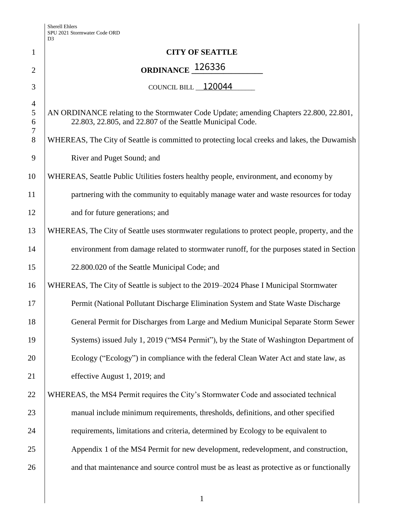|                | D <sub>3</sub>                                                                                                                                      |
|----------------|-----------------------------------------------------------------------------------------------------------------------------------------------------|
| $\mathbf{1}$   | <b>CITY OF SEATTLE</b>                                                                                                                              |
| $\overline{2}$ | ORDINANCE <sub>126336</sub>                                                                                                                         |
| 3              | COUNCIL BILL 120044                                                                                                                                 |
| $\overline{4}$ |                                                                                                                                                     |
| 5<br>6         | AN ORDINANCE relating to the Stormwater Code Update; amending Chapters 22.800, 22.801,<br>22.803, 22.805, and 22.807 of the Seattle Municipal Code. |
| 7<br>8         | WHEREAS, The City of Seattle is committed to protecting local creeks and lakes, the Duwamish                                                        |
| 9              | River and Puget Sound; and                                                                                                                          |
| 10             | WHEREAS, Seattle Public Utilities fosters healthy people, environment, and economy by                                                               |
| 11             | partnering with the community to equitably manage water and waste resources for today                                                               |
| 12             | and for future generations; and                                                                                                                     |
| 13             | WHEREAS, The City of Seattle uses stormwater regulations to protect people, property, and the                                                       |
| 14             | environment from damage related to stormwater runoff, for the purposes stated in Section                                                            |
| 15             | 22.800.020 of the Seattle Municipal Code; and                                                                                                       |
| 16             | WHEREAS, The City of Seattle is subject to the 2019-2024 Phase I Municipal Stormwater                                                               |
| 17             | Permit (National Pollutant Discharge Elimination System and State Waste Discharge                                                                   |
| 18             | General Permit for Discharges from Large and Medium Municipal Separate Storm Sewer                                                                  |
| 19             | Systems) issued July 1, 2019 ("MS4 Permit"), by the State of Washington Department of                                                               |
| 20             | Ecology ("Ecology") in compliance with the federal Clean Water Act and state law, as                                                                |
| 21             | effective August 1, 2019; and                                                                                                                       |
| 22             | WHEREAS, the MS4 Permit requires the City's Stormwater Code and associated technical                                                                |
| 23             | manual include minimum requirements, thresholds, definitions, and other specified                                                                   |
| 24             | requirements, limitations and criteria, determined by Ecology to be equivalent to                                                                   |
| 25             | Appendix 1 of the MS4 Permit for new development, redevelopment, and construction,                                                                  |
| 26             | and that maintenance and source control must be as least as protective as or functionally                                                           |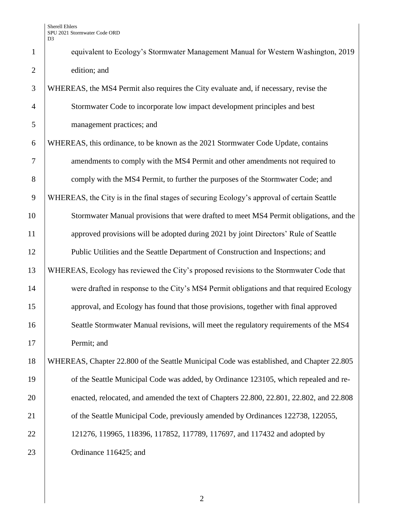1 equivalent to Ecology's Stormwater Management Manual for Western Washington, 2019 2 edition; and

 WHEREAS, the MS4 Permit also requires the City evaluate and, if necessary, revise the Stormwater Code to incorporate low impact development principles and best management practices; and WHEREAS, this ordinance, to be known as the 2021 Stormwater Code Update, contains 7 amendments to comply with the MS4 Permit and other amendments not required to 8 comply with the MS4 Permit, to further the purposes of the Stormwater Code; and WHEREAS, the City is in the final stages of securing Ecology's approval of certain Seattle Stormwater Manual provisions that were drafted to meet MS4 Permit obligations, and the 11 approved provisions will be adopted during 2021 by joint Directors' Rule of Seattle Public Utilities and the Seattle Department of Construction and Inspections; and WHEREAS, Ecology has reviewed the City's proposed revisions to the Stormwater Code that were drafted in response to the City's MS4 Permit obligations and that required Ecology approval, and Ecology has found that those provisions, together with final approved 16 Seattle Stormwater Manual revisions, will meet the regulatory requirements of the MS4 Permit; and WHEREAS, Chapter 22.800 of the Seattle Municipal Code was established, and Chapter 22.805 19 of the Seattle Municipal Code was added, by Ordinance 123105, which repealed and re- enacted, relocated, and amended the text of Chapters 22.800, 22.801, 22.802, and 22.808 21 of the Seattle Municipal Code, previously amended by Ordinances 122738, 122055, 22 121276, 119965, 118396, 117852, 117789, 117697, and 117432 and adopted by

23 Ordinance 116425; and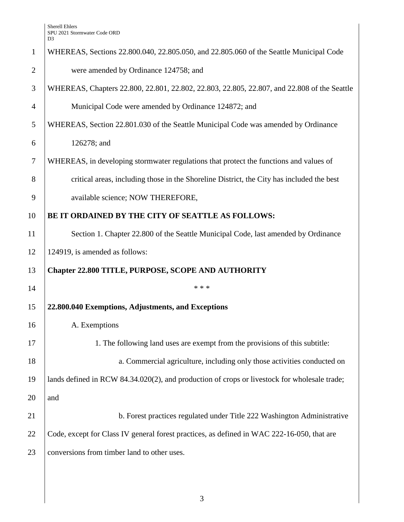|                | D <sub>3</sub>                                                                               |
|----------------|----------------------------------------------------------------------------------------------|
| $\mathbf{1}$   | WHEREAS, Sections 22.800.040, 22.805.050, and 22.805.060 of the Seattle Municipal Code       |
| $\overline{2}$ | were amended by Ordinance 124758; and                                                        |
| 3              | WHEREAS, Chapters 22.800, 22.801, 22.802, 22.803, 22.805, 22.807, and 22.808 of the Seattle  |
| $\overline{4}$ | Municipal Code were amended by Ordinance 124872; and                                         |
| 5              | WHEREAS, Section 22.801.030 of the Seattle Municipal Code was amended by Ordinance           |
| 6              | 126278; and                                                                                  |
| 7              | WHEREAS, in developing stormwater regulations that protect the functions and values of       |
| 8              | critical areas, including those in the Shoreline District, the City has included the best    |
| 9              | available science; NOW THEREFORE,                                                            |
| 10             | BE IT ORDAINED BY THE CITY OF SEATTLE AS FOLLOWS:                                            |
| 11             | Section 1. Chapter 22.800 of the Seattle Municipal Code, last amended by Ordinance           |
| 12             | 124919, is amended as follows:                                                               |
| 13             | <b>Chapter 22.800 TITLE, PURPOSE, SCOPE AND AUTHORITY</b>                                    |
| 14             | * * *                                                                                        |
| 15             | 22.800.040 Exemptions, Adjustments, and Exceptions                                           |
| 16             | A. Exemptions                                                                                |
| 17             | 1. The following land uses are exempt from the provisions of this subtitle:                  |
| 18             | a. Commercial agriculture, including only those activities conducted on                      |
| 19             | lands defined in RCW 84.34.020(2), and production of crops or livestock for wholesale trade; |
| 20             | and                                                                                          |
| 21             | b. Forest practices regulated under Title 222 Washington Administrative                      |
| 22             | Code, except for Class IV general forest practices, as defined in WAC 222-16-050, that are   |
| 23             | conversions from timber land to other uses.                                                  |
|                |                                                                                              |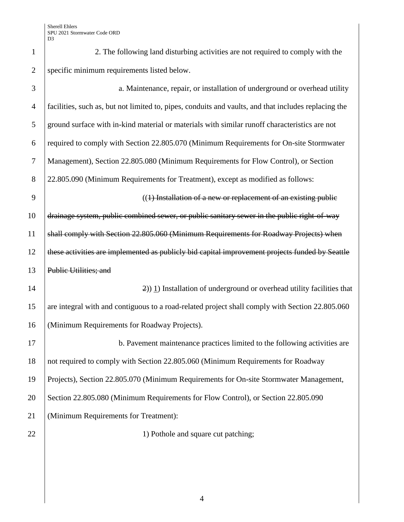1 2. The following land disturbing activities are not required to comply with the 2 specific minimum requirements listed below.

| 3              | a. Maintenance, repair, or installation of underground or overhead utility                           |
|----------------|------------------------------------------------------------------------------------------------------|
| $\overline{4}$ | facilities, such as, but not limited to, pipes, conduits and vaults, and that includes replacing the |
| 5              | ground surface with in-kind material or materials with similar runoff characteristics are not        |
| 6              | required to comply with Section 22.805.070 (Minimum Requirements for On-site Stormwater              |
| $\overline{7}$ | Management), Section 22.805.080 (Minimum Requirements for Flow Control), or Section                  |
| 8              | 22.805.090 (Minimum Requirements for Treatment), except as modified as follows:                      |
| 9              | $((1)$ Installation of a new or replacement of an existing public                                    |
| 10             | drainage system, public combined sewer, or public sanitary sewer in the public right-of-way          |
| 11             | shall comply with Section 22.805.060 (Minimum Requirements for Roadway Projects) when                |
| 12             | these activities are implemented as publicly bid capital improvement projects funded by Seattle      |
| 13             | Public Utilities; and                                                                                |
| 14             | $\left(\frac{2}{2}\right)$ 1) Installation of underground or overhead utility facilities that        |
| 15             | are integral with and contiguous to a road-related project shall comply with Section 22.805.060      |
| 16             | (Minimum Requirements for Roadway Projects).                                                         |
| 17             | b. Pavement maintenance practices limited to the following activities are                            |
| 18             | not required to comply with Section 22.805.060 (Minimum Requirements for Roadway                     |
| 19             | Projects), Section 22.805.070 (Minimum Requirements for On-site Stormwater Management,               |
| 20             | Section 22.805.080 (Minimum Requirements for Flow Control), or Section 22.805.090                    |
| 21             | (Minimum Requirements for Treatment):                                                                |
| 22             | 1) Pothole and square cut patching;                                                                  |
|                |                                                                                                      |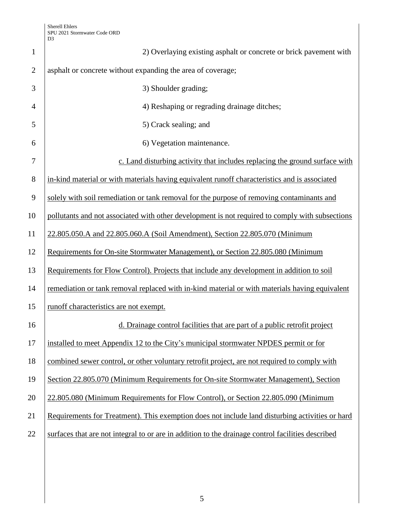| $\mathbf{1}$   | 2) Overlaying existing asphalt or concrete or brick pavement with                                 |
|----------------|---------------------------------------------------------------------------------------------------|
| $\overline{2}$ | asphalt or concrete without expanding the area of coverage;                                       |
| 3              | 3) Shoulder grading;                                                                              |
| $\overline{4}$ | 4) Reshaping or regrading drainage ditches;                                                       |
| 5              | 5) Crack sealing; and                                                                             |
| 6              | 6) Vegetation maintenance.                                                                        |
| 7              | c. Land disturbing activity that includes replacing the ground surface with                       |
| 8              | in-kind material or with materials having equivalent runoff characteristics and is associated     |
| 9              | solely with soil remediation or tank removal for the purpose of removing contaminants and         |
| 10             | pollutants and not associated with other development is not required to comply with subsections   |
| 11             | 22.805.050.A and 22.805.060.A (Soil Amendment), Section 22.805.070 (Minimum                       |
| 12             | Requirements for On-site Stormwater Management), or Section 22.805.080 (Minimum                   |
| 13             | Requirements for Flow Control). Projects that include any development in addition to soil         |
| 14             | remediation or tank removal replaced with in-kind material or with materials having equivalent    |
| 15             | runoff characteristics are not exempt.                                                            |
| 16             | d. Drainage control facilities that are part of a public retrofit project                         |
| 17             | installed to meet Appendix 12 to the City's municipal stormwater NPDES permit or for              |
| 18             | combined sewer control, or other voluntary retrofit project, are not required to comply with      |
| 19             | Section 22.805.070 (Minimum Requirements for On-site Stormwater Management), Section              |
| 20             | 22.805.080 (Minimum Requirements for Flow Control), or Section 22.805.090 (Minimum                |
| 21             | Requirements for Treatment). This exemption does not include land disturbing activities or hard   |
| 22             | surfaces that are not integral to or are in addition to the drainage control facilities described |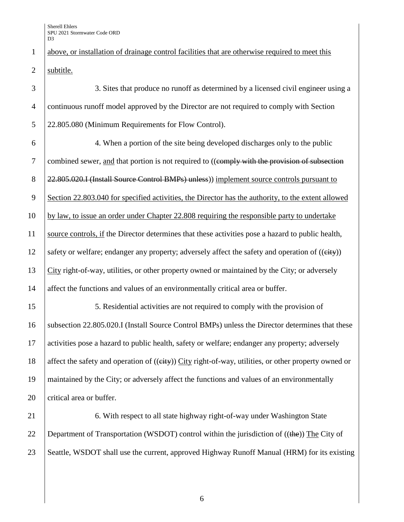1 above, or installation of drainage control facilities that are otherwise required to meet this 2 subtitle.

3 3. Sites that produce no runoff as determined by a licensed civil engineer using a 4 continuous runoff model approved by the Director are not required to comply with Section 5 22.805.080 (Minimum Requirements for Flow Control). 6 4. When a portion of the site being developed discharges only to the public 7 combined sewer, and that portion is not required to ((ependy with the provision of subsection 8 22.805.020.I (Install Source Control BMPs) unless) implement source controls pursuant to 9 Section 22.803.040 for specified activities, the Director has the authority, to the extent allowed 10 by law, to issue an order under Chapter 22.808 requiring the responsible party to undertake 11 source controls, if the Director determines that these activities pose a hazard to public health, 12 safety or welfare; endanger any property; adversely affect the safety and operation of  $((e^{i} + f^{*}))$ 13 City right-of-way, utilities, or other property owned or maintained by the City; or adversely 14 affect the functions and values of an environmentally critical area or buffer. 15 15 5. Residential activities are not required to comply with the provision of 16 Subsection 22.805.020.I (Install Source Control BMPs) unless the Director determines that these 17 activities pose a hazard to public health, safety or welfare; endanger any property; adversely 18 affect the safety and operation of ((eity)) City right-of-way, utilities, or other property owned or 19 maintained by the City; or adversely affect the functions and values of an environmentally 20 critical area or buffer. 21 6. With respect to all state highway right-of-way under Washington State 22 Department of Transportation (WSDOT) control within the jurisdiction of  $((the))$  The City of

23 Seattle, WSDOT shall use the current, approved Highway Runoff Manual (HRM) for its existing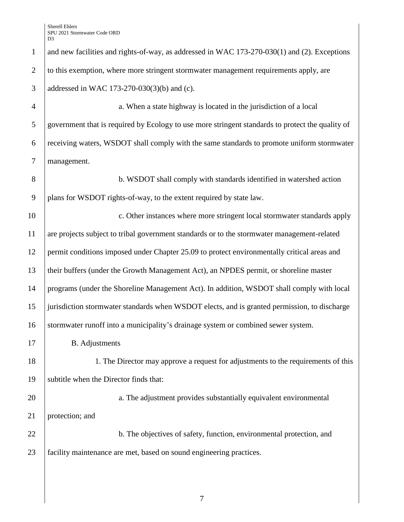| $\mathbf{1}$   | and new facilities and rights-of-way, as addressed in WAC 173-270-030(1) and (2). Exceptions     |
|----------------|--------------------------------------------------------------------------------------------------|
| $\overline{2}$ | to this exemption, where more stringent stormwater management requirements apply, are            |
| 3              | addressed in WAC 173-270-030(3)(b) and (c).                                                      |
| $\overline{4}$ | a. When a state highway is located in the jurisdiction of a local                                |
| 5              | government that is required by Ecology to use more stringent standards to protect the quality of |
| 6              | receiving waters, WSDOT shall comply with the same standards to promote uniform stormwater       |
| $\overline{7}$ | management.                                                                                      |
| 8              | b. WSDOT shall comply with standards identified in watershed action                              |
| 9              | plans for WSDOT rights-of-way, to the extent required by state law.                              |
| 10             | c. Other instances where more stringent local stormwater standards apply                         |
| 11             | are projects subject to tribal government standards or to the stormwater management-related      |
| 12             | permit conditions imposed under Chapter 25.09 to protect environmentally critical areas and      |
| 13             | their buffers (under the Growth Management Act), an NPDES permit, or shoreline master            |
| 14             | programs (under the Shoreline Management Act). In addition, WSDOT shall comply with local        |
| 15             | jurisdiction stormwater standards when WSDOT elects, and is granted permission, to discharge     |
| 16             | stormwater runoff into a municipality's drainage system or combined sewer system.                |
| 17             | <b>B.</b> Adjustments                                                                            |
| 18             | 1. The Director may approve a request for adjustments to the requirements of this                |
| 19             | subtitle when the Director finds that:                                                           |
| 20             | a. The adjustment provides substantially equivalent environmental                                |
| 21             | protection; and                                                                                  |
| 22             | b. The objectives of safety, function, environmental protection, and                             |
| 23             | facility maintenance are met, based on sound engineering practices.                              |
|                |                                                                                                  |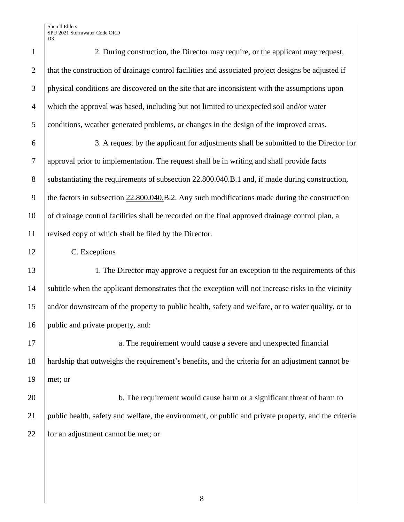| $\mathbf{1}$   | 2. During construction, the Director may require, or the applicant may request,                      |
|----------------|------------------------------------------------------------------------------------------------------|
| $\overline{2}$ | that the construction of drainage control facilities and associated project designs be adjusted if   |
| 3              | physical conditions are discovered on the site that are inconsistent with the assumptions upon       |
| $\overline{4}$ | which the approval was based, including but not limited to unexpected soil and/or water              |
| 5              | conditions, weather generated problems, or changes in the design of the improved areas.              |
| 6              | 3. A request by the applicant for adjustments shall be submitted to the Director for                 |
| $\overline{7}$ | approval prior to implementation. The request shall be in writing and shall provide facts            |
| $8\,$          | substantiating the requirements of subsection 22.800.040.B.1 and, if made during construction,       |
| 9              | the factors in subsection $22.800.040$ .B.2. Any such modifications made during the construction     |
| 10             | of drainage control facilities shall be recorded on the final approved drainage control plan, a      |
| 11             | revised copy of which shall be filed by the Director.                                                |
| 12             | C. Exceptions                                                                                        |
| 13             | 1. The Director may approve a request for an exception to the requirements of this                   |
| 14             | subtitle when the applicant demonstrates that the exception will not increase risks in the vicinity  |
| 15             | and/or downstream of the property to public health, safety and welfare, or to water quality, or to   |
| 16             | public and private property, and:                                                                    |
| 17             | a. The requirement would cause a severe and unexpected financial                                     |
| 18             | hardship that outweighs the requirement's benefits, and the criteria for an adjustment cannot be     |
| 19             | met; or                                                                                              |
| 20             | b. The requirement would cause harm or a significant threat of harm to                               |
| 21             | public health, safety and welfare, the environment, or public and private property, and the criteria |
| 22             | for an adjustment cannot be met; or                                                                  |
|                |                                                                                                      |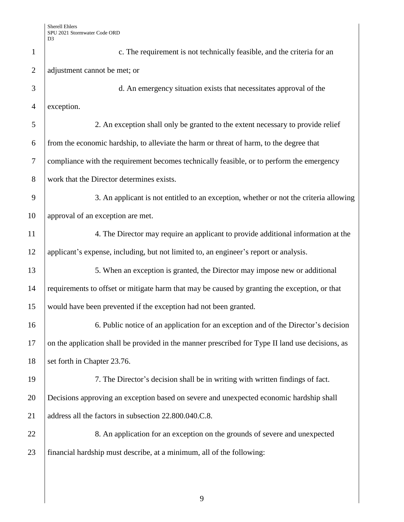| $\mathbf{1}$   | c. The requirement is not technically feasible, and the criteria for an                          |
|----------------|--------------------------------------------------------------------------------------------------|
| $\overline{2}$ | adjustment cannot be met; or                                                                     |
| 3              | d. An emergency situation exists that necessitates approval of the                               |
| $\overline{4}$ | exception.                                                                                       |
| 5              | 2. An exception shall only be granted to the extent necessary to provide relief                  |
| 6              | from the economic hardship, to alleviate the harm or threat of harm, to the degree that          |
| $\tau$         | compliance with the requirement becomes technically feasible, or to perform the emergency        |
| 8              | work that the Director determines exists.                                                        |
| 9              | 3. An applicant is not entitled to an exception, whether or not the criteria allowing            |
| 10             | approval of an exception are met.                                                                |
| 11             | 4. The Director may require an applicant to provide additional information at the                |
| 12             | applicant's expense, including, but not limited to, an engineer's report or analysis.            |
| 13             | 5. When an exception is granted, the Director may impose new or additional                       |
| 14             | requirements to offset or mitigate harm that may be caused by granting the exception, or that    |
| 15             | would have been prevented if the exception had not been granted.                                 |
| 16             | 6. Public notice of an application for an exception and of the Director's decision               |
| 17             | on the application shall be provided in the manner prescribed for Type II land use decisions, as |
| 18             | set forth in Chapter 23.76.                                                                      |
| 19             | 7. The Director's decision shall be in writing with written findings of fact.                    |
| 20             | Decisions approving an exception based on severe and unexpected economic hardship shall          |
| 21             | address all the factors in subsection 22.800.040.C.8.                                            |
| 22             | 8. An application for an exception on the grounds of severe and unexpected                       |
| 23             | financial hardship must describe, at a minimum, all of the following:                            |
|                |                                                                                                  |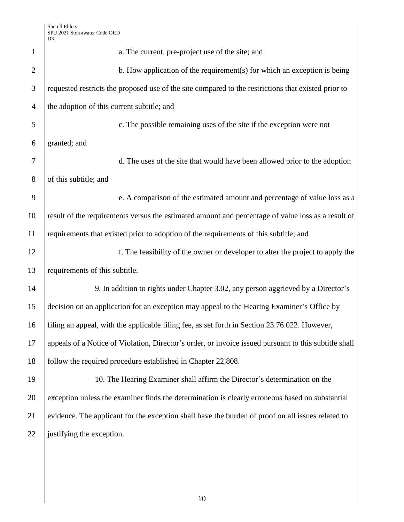| $\mathbf{1}$   | a. The current, pre-project use of the site; and                                                      |
|----------------|-------------------------------------------------------------------------------------------------------|
| $\overline{2}$ | b. How application of the requirement(s) for which an exception is being                              |
| 3              | requested restricts the proposed use of the site compared to the restrictions that existed prior to   |
| $\overline{4}$ | the adoption of this current subtitle; and                                                            |
| 5              | c. The possible remaining uses of the site if the exception were not                                  |
| 6              | granted; and                                                                                          |
| 7              | d. The uses of the site that would have been allowed prior to the adoption                            |
| $8\phantom{1}$ | of this subtitle; and                                                                                 |
| 9              | e. A comparison of the estimated amount and percentage of value loss as a                             |
| 10             | result of the requirements versus the estimated amount and percentage of value loss as a result of    |
| 11             | requirements that existed prior to adoption of the requirements of this subtitle; and                 |
| 12             | f. The feasibility of the owner or developer to alter the project to apply the                        |
| 13             | requirements of this subtitle.                                                                        |
| 14             | 9. In addition to rights under Chapter 3.02, any person aggrieved by a Director's                     |
| 15             | decision on an application for an exception may appeal to the Hearing Examiner's Office by            |
| 16             | filing an appeal, with the applicable filing fee, as set forth in Section 23.76.022. However,         |
| 17             | appeals of a Notice of Violation, Director's order, or invoice issued pursuant to this subtitle shall |
| 18             | follow the required procedure established in Chapter 22.808.                                          |
| 19             | 10. The Hearing Examiner shall affirm the Director's determination on the                             |
| 20             | exception unless the examiner finds the determination is clearly erroneous based on substantial       |
| 21             | evidence. The applicant for the exception shall have the burden of proof on all issues related to     |
| 22             | justifying the exception.                                                                             |
|                |                                                                                                       |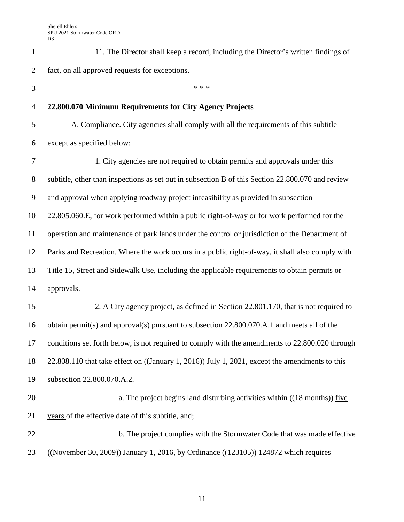1 11. The Director shall keep a record, including the Director's written findings of 2 fact, on all approved requests for exceptions.

## 4 **22.800.070 Minimum Requirements for City Agency Projects**

 $3 \mid$  \*\*\*

5 A. Compliance. City agencies shall comply with all the requirements of this subtitle  $6$  except as specified below:

 1. City agencies are not required to obtain permits and approvals under this 8 subtitle, other than inspections as set out in subsection B of this Section 22.800.070 and review and approval when applying roadway project infeasibility as provided in subsection 22.805.060.E, for work performed within a public right-of-way or for work performed for the operation and maintenance of park lands under the control or jurisdiction of the Department of Parks and Recreation. Where the work occurs in a public right-of-way, it shall also comply with Title 15, Street and Sidewalk Use, including the applicable requirements to obtain permits or approvals.

15 2. A City agency project, as defined in Section 22.801.170, that is not required to 16 obtain permit(s) and approval(s) pursuant to subsection 22.800.070.A.1 and meets all of the 17 conditions set forth below, is not required to comply with the amendments to 22.800.020 through 18  $\left| \frac{22.808.110}{22.808.110} \right|$  that take effect on ((January 1, 2016)) July 1, 2021, except the amendments to this 19 subsection 22.800.070.A.2.

20 a. The project begins land disturbing activities within ((18 months)) five 21  $\sqrt{2}$  years of the effective date of this subtitle, and;

22 b. The project complies with the Stormwater Code that was made effective 23 ((November 30, 2009)) January 1, 2016, by Ordinance ((123105)) 124872 which requires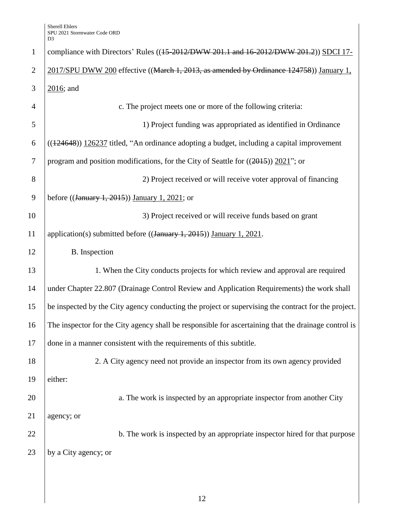| $\mathbf{1}$   | compliance with Directors' Rules ((45-2012/DWW 201.1 and 16-2012/DWW 201.2)) SDCI 17-                |
|----------------|------------------------------------------------------------------------------------------------------|
| $\overline{2}$ | 2017/SPU DWW 200 effective ((March 1, 2013, as amended by Ordinance 124758)) January 1,              |
| 3              | $2016$ ; and                                                                                         |
| $\overline{4}$ | c. The project meets one or more of the following criteria:                                          |
| 5              | 1) Project funding was appropriated as identified in Ordinance                                       |
| 6              | $((124648))$ 126237 titled, "An ordinance adopting a budget, including a capital improvement         |
| 7              | program and position modifications, for the City of Seattle for $((2015))$ 2021"; or                 |
| 8              | 2) Project received or will receive voter approval of financing                                      |
| 9              | before $((\text{January } 1, 2015))$ January 1, 2021; or                                             |
| 10             | 3) Project received or will receive funds based on grant                                             |
| 11             | application(s) submitted before $((\text{January } 1, 2015))$ January 1, 2021.                       |
| 12             | B. Inspection                                                                                        |
| 13             | 1. When the City conducts projects for which review and approval are required                        |
| 14             | under Chapter 22.807 (Drainage Control Review and Application Requirements) the work shall           |
| 15             | be inspected by the City agency conducting the project or supervising the contract for the project.  |
| 16             | The inspector for the City agency shall be responsible for ascertaining that the drainage control is |
| 17             | done in a manner consistent with the requirements of this subtitle.                                  |
| 18             | 2. A City agency need not provide an inspector from its own agency provided                          |
| 19             | either:                                                                                              |
| 20             | a. The work is inspected by an appropriate inspector from another City                               |
| 21             | agency; or                                                                                           |
| 22             | b. The work is inspected by an appropriate inspector hired for that purpose                          |
| 23             | by a City agency; or                                                                                 |
|                |                                                                                                      |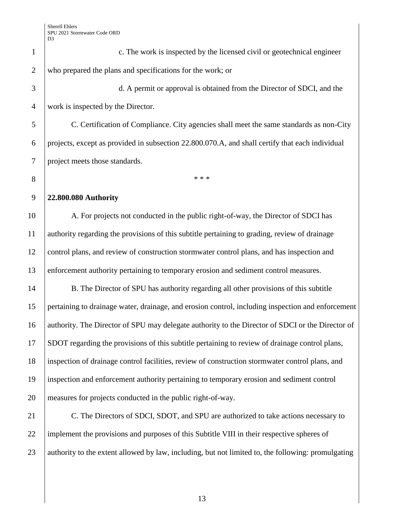c. The work is inspected by the licensed civil or geotechnical engineer who prepared the plans and specifications for the work; or d. A permit or approval is obtained from the Director of SDCI, and the work is inspected by the Director. C. Certification of Compliance. City agencies shall meet the same standards as non-City projects, except as provided in subsection 22.800.070.A, and shall certify that each individual project meets those standards.  $^*$  **22.800.080 Authority**  10 A. For projects not conducted in the public right-of-way, the Director of SDCI has authority regarding the provisions of this subtitle pertaining to grading, review of drainage control plans, and review of construction stormwater control plans, and has inspection and enforcement authority pertaining to temporary erosion and sediment control measures. 14 B. The Director of SPU has authority regarding all other provisions of this subtitle pertaining to drainage water, drainage, and erosion control, including inspection and enforcement 16 authority. The Director of SPU may delegate authority to the Director of SDCI or the Director of SDOT regarding the provisions of this subtitle pertaining to review of drainage control plans, inspection of drainage control facilities, review of construction stormwater control plans, and inspection and enforcement authority pertaining to temporary erosion and sediment control measures for projects conducted in the public right-of-way. 21 C. The Directors of SDCI, SDOT, and SPU are authorized to take actions necessary to 22 implement the provisions and purposes of this Subtitle VIII in their respective spheres of authority to the extent allowed by law, including, but not limited to, the following: promulgating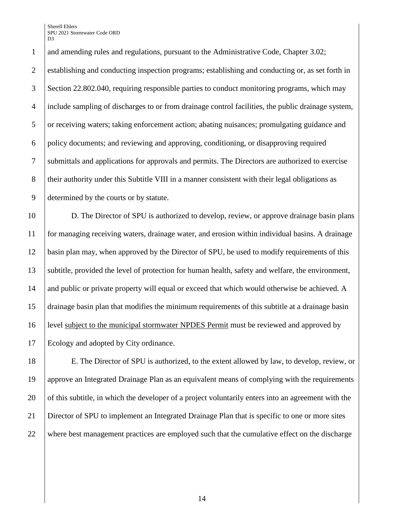1 and amending rules and regulations, pursuant to the Administrative Code, Chapter 3.02; establishing and conducting inspection programs; establishing and conducting or, as set forth in Section 22.802.040, requiring responsible parties to conduct monitoring programs, which may include sampling of discharges to or from drainage control facilities, the public drainage system, or receiving waters; taking enforcement action; abating nuisances; promulgating guidance and policy documents; and reviewing and approving, conditioning, or disapproving required submittals and applications for approvals and permits. The Directors are authorized to exercise 8 their authority under this Subtitle VIII in a manner consistent with their legal obligations as determined by the courts or by statute.

 D. The Director of SPU is authorized to develop, review, or approve drainage basin plans for managing receiving waters, drainage water, and erosion within individual basins. A drainage basin plan may, when approved by the Director of SPU, be used to modify requirements of this subtitle, provided the level of protection for human health, safety and welfare, the environment, 14 and public or private property will equal or exceed that which would otherwise be achieved. A drainage basin plan that modifies the minimum requirements of this subtitle at a drainage basin level subject to the municipal stormwater NPDES Permit must be reviewed and approved by Ecology and adopted by City ordinance.

 E. The Director of SPU is authorized, to the extent allowed by law, to develop, review, or approve an Integrated Drainage Plan as an equivalent means of complying with the requirements 20 of this subtitle, in which the developer of a project voluntarily enters into an agreement with the Director of SPU to implement an Integrated Drainage Plan that is specific to one or more sites where best management practices are employed such that the cumulative effect on the discharge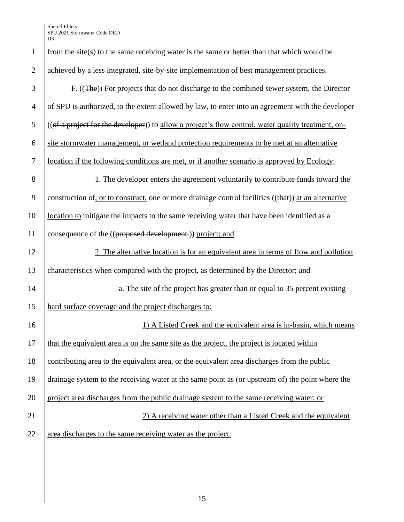| $\overline{2}$ | achieved by a less integrated, site-by-site implementation of best management practices.             |
|----------------|------------------------------------------------------------------------------------------------------|
| 3              | F. ((The)) For projects that do not discharge to the combined sewer system, the Director             |
| $\overline{4}$ | of SPU is authorized, to the extent allowed by law, to enter into an agreement with the developer    |
| 5              | ((of a project for the developer)) to allow a project's flow control, water quality treatment, on-   |
| 6              | site stormwater management, or wetland protection requirements to be met at an alternative           |
| $\tau$         | location if the following conditions are met, or if another scenario is approved by Ecology:         |
| 8              | 1. The developer enters the agreement voluntarily to contribute funds toward the                     |
| 9              | construction of, or to construct, one or more drainage control facilities ((that)) at an alternative |
| 10             | location to mitigate the impacts to the same receiving water that have been identified as a          |
| 11             | consequence of the ((proposed development.)) project; and                                            |
| 12             | 2. The alternative location is for an equivalent area in terms of flow and pollution                 |
| 13             | characteristics when compared with the project, as determined by the Director; and                   |
| 14             | a. The site of the project has greater than or equal to 35 percent existing                          |
| 15             | hard surface coverage and the project discharges to:                                                 |
| 16             | 1) A Listed Creek and the equivalent area is in-basin, which means                                   |
| 17             | that the equivalent area is on the same site as the project, the project is located within           |
| 18             | contributing area to the equivalent area, or the equivalent area discharges from the public          |
| 19             | drainage system to the receiving water at the same point as (or upstream of) the point where the     |
| 20             | project area discharges from the public drainage system to the same receiving water; or              |
| 21             | 2) A receiving water other than a Listed Creek and the equivalent                                    |
| 22             | area discharges to the same receiving water as the project.                                          |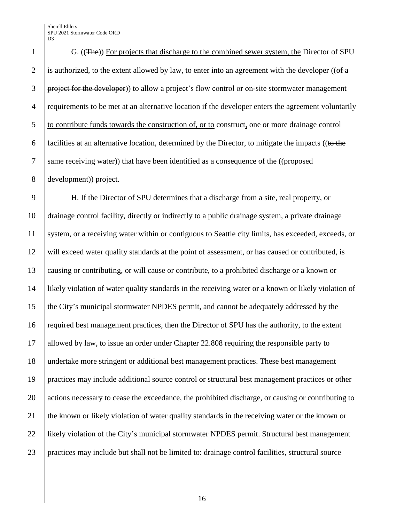G. ((The)) For projects that discharge to the combined sewer system, the Director of SPU 2 is authorized, to the extent allowed by law, to enter into an agreement with the developer ( $(\theta \hat{H} \hat{H})$ 3 project for the developer)) to allow a project's flow control or on-site stormwater management requirements to be met at an alternative location if the developer enters the agreement voluntarily to contribute funds towards the construction of, or to construct, one or more drainage control 6 facilities at an alternative location, determined by the Director, to mitigate the impacts ((to the  $\vert$  same receiving water)) that have been identified as a consequence of the ((proposed development)) project.

 H. If the Director of SPU determines that a discharge from a site, real property, or drainage control facility, directly or indirectly to a public drainage system, a private drainage system, or a receiving water within or contiguous to Seattle city limits, has exceeded, exceeds, or will exceed water quality standards at the point of assessment, or has caused or contributed, is causing or contributing, or will cause or contribute, to a prohibited discharge or a known or likely violation of water quality standards in the receiving water or a known or likely violation of the City's municipal stormwater NPDES permit, and cannot be adequately addressed by the required best management practices, then the Director of SPU has the authority, to the extent allowed by law, to issue an order under Chapter 22.808 requiring the responsible party to undertake more stringent or additional best management practices. These best management practices may include additional source control or structural best management practices or other 20 actions necessary to cease the exceedance, the prohibited discharge, or causing or contributing to 21 the known or likely violation of water quality standards in the receiving water or the known or likely violation of the City's municipal stormwater NPDES permit. Structural best management practices may include but shall not be limited to: drainage control facilities, structural source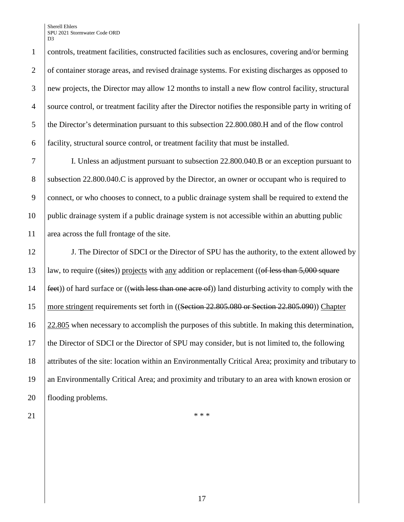controls, treatment facilities, constructed facilities such as enclosures, covering and/or berming 2 of container storage areas, and revised drainage systems. For existing discharges as opposed to new projects, the Director may allow 12 months to install a new flow control facility, structural source control, or treatment facility after the Director notifies the responsible party in writing of 5 the Director's determination pursuant to this subsection 22.800.080.H and of the flow control facility, structural source control, or treatment facility that must be installed.

7 I. Unless an adjustment pursuant to subsection 22.800.040.B or an exception pursuant to 8 Subsection 22.800.040.C is approved by the Director, an owner or occupant who is required to 9 connect, or who chooses to connect, to a public drainage system shall be required to extend the 10 public drainage system if a public drainage system is not accessible within an abutting public 11 area across the full frontage of the site.

12 J. The Director of SDCI or the Director of SPU has the authority, to the extent allowed by  $\vert$  law, to require ((sites)) projects with any addition or replacement ((of less than 5,000 square  $\left| \frac{\text{feet}}{\text{feet}} \right|$  of hard surface or ((with less than one acre of)) land disturbing activity to comply with the 15 more stringent requirements set forth in ((Section 22.805.080 or Section 22.805.090)) Chapter 22.805 when necessary to accomplish the purposes of this subtitle. In making this determination, the Director of SDCI or the Director of SPU may consider, but is not limited to, the following attributes of the site: location within an Environmentally Critical Area; proximity and tributary to an Environmentally Critical Area; and proximity and tributary to an area with known erosion or 20 | flooding problems.

21  $\vert$  \*\*\*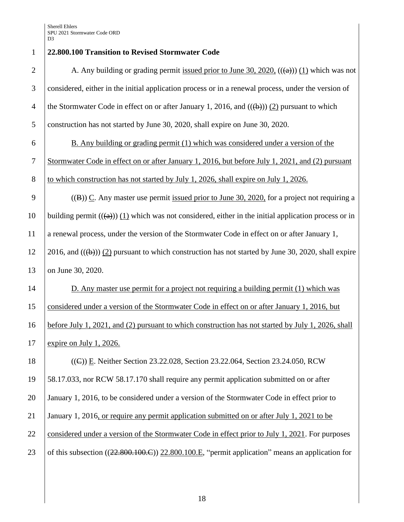**22.800.100 Transition to Revised Stormwater Code**  2 A. Any building or grading permit issued prior to June 30, 2020,  $((a))$  (1) which was not considered, either in the initial application process or in a renewal process, under the version of 4 the Stormwater Code in effect on or after January 1, 2016, and  $((\theta))$  (2) pursuant to which construction has not started by June 30, 2020, shall expire on June 30, 2020. B. Any building or grading permit (1) which was considered under a version of the Stormwater Code in effect on or after January 1, 2016, but before July 1, 2021, and (2) pursuant 8 to which construction has not started by July 1, 2026, shall expire on July 1, 2026. 9 ((B)) C. Any master use permit issued prior to June 30, 2020, for a project not requiring a 10 building permit  $((a))$  (1) which was not considered, either in the initial application process or in a renewal process, under the version of the Stormwater Code in effect on or after January 1,  $12 \quad |2016$ , and  $((\theta)) \quad (2)$  pursuant to which construction has not started by June 30, 2020, shall expire 13 on June 30, 2020. D. Any master use permit for a project not requiring a building permit (1) which was considered under a version of the Stormwater Code in effect on or after January 1, 2016, but before July 1, 2021, and (2) pursuant to which construction has not started by July 1, 2026, shall expire on July 1, 2026. ((C)) E. Neither Section 23.22.028, Section 23.22.064, Section 23.24.050, RCW 58.17.033, nor RCW 58.17.170 shall require any permit application submitted on or after January 1, 2016, to be considered under a version of the Stormwater Code in effect prior to January 1, 2016, or require any permit application submitted on or after July 1, 2021 to be 22 considered under a version of the Stormwater Code in effect prior to July 1, 2021. For purposes 23 of this subsection  $((22.800.100.E))$  22.800.100.E, "permit application" means an application for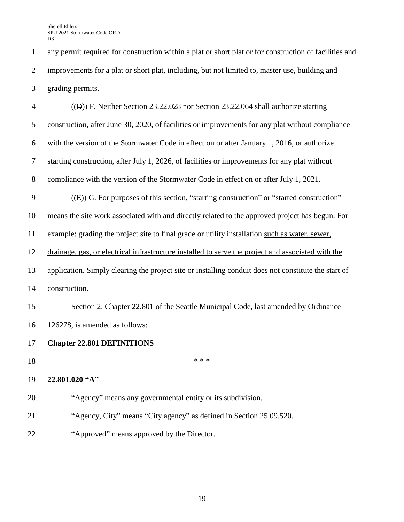any permit required for construction within a plat or short plat or for construction of facilities and improvements for a plat or short plat, including, but not limited to, master use, building and grading permits.

 ((D)) F. Neither Section 23.22.028 nor Section 23.22.064 shall authorize starting construction, after June 30, 2020, of facilities or improvements for any plat without compliance 6 with the version of the Stormwater Code in effect on or after January 1, 2016, or authorize starting construction, after July 1, 2026, of facilities or improvements for any plat without 8 compliance with the version of the Stormwater Code in effect on or after July 1, 2021.  $(4)$   $(4)$   $(4)$   $(4)$   $(5)$   $(6)$ . For purposes of this section, "starting construction" or "started construction" means the site work associated with and directly related to the approved project has begun. For example: grading the project site to final grade or utility installation such as water, sewer, drainage, gas, or electrical infrastructure installed to serve the project and associated with the application. Simply clearing the project site or installing conduit does not constitute the start of 14 | construction. 15 Section 2. Chapter 22.801 of the Seattle Municipal Code, last amended by Ordinance 126278, is amended as follows: **Chapter 22.801 DEFINITIONS**  \*\*\* **22.801.020 "A" The Contract Contract Studies** 20 **The Contract Contract Contract Contract Contract Contract Contract Contract Contract Contract Contract Contract Contract Contract Contract Contract Contract Contract Contract Contract Agency, City''** means "City agency" as defined in Section 25.09.520. **Approved** means approved by the Director.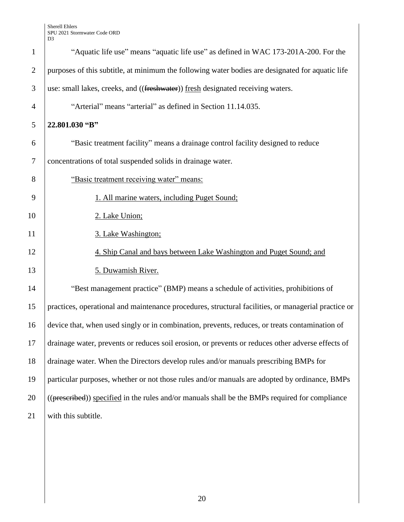|                | D <sub>3</sub>                                                                                      |
|----------------|-----------------------------------------------------------------------------------------------------|
| $\mathbf{1}$   | "Aquatic life use" means "aquatic life use" as defined in WAC 173-201A-200. For the                 |
| $\overline{2}$ | purposes of this subtitle, at minimum the following water bodies are designated for aquatic life    |
| 3              | use: small lakes, creeks, and ((freshwater)) fresh designated receiving waters.                     |
| $\overline{4}$ | "Arterial" means "arterial" as defined in Section 11.14.035.                                        |
| 5              | 22.801.030 "B"                                                                                      |
| 6              | "Basic treatment facility" means a drainage control facility designed to reduce                     |
| $\overline{7}$ | concentrations of total suspended solids in drainage water.                                         |
| 8              | "Basic treatment receiving water" means:                                                            |
| 9              | 1. All marine waters, including Puget Sound;                                                        |
| 10             | 2. Lake Union;                                                                                      |
| 11             | 3. Lake Washington;                                                                                 |
| 12             | 4. Ship Canal and bays between Lake Washington and Puget Sound; and                                 |
| 13             | 5. Duwamish River.                                                                                  |
| 14             | "Best management practice" (BMP) means a schedule of activities, prohibitions of                    |
| 15             | practices, operational and maintenance procedures, structural facilities, or managerial practice or |
| 16             | device that, when used singly or in combination, prevents, reduces, or treats contamination of      |
| 17             | drainage water, prevents or reduces soil erosion, or prevents or reduces other adverse effects of   |
| 18             | drainage water. When the Directors develop rules and/or manuals prescribing BMPs for                |
| 19             | particular purposes, whether or not those rules and/or manuals are adopted by ordinance, BMPs       |
| 20             | ((prescribed)) specified in the rules and/or manuals shall be the BMPs required for compliance      |
| 21             | with this subtitle.                                                                                 |
|                |                                                                                                     |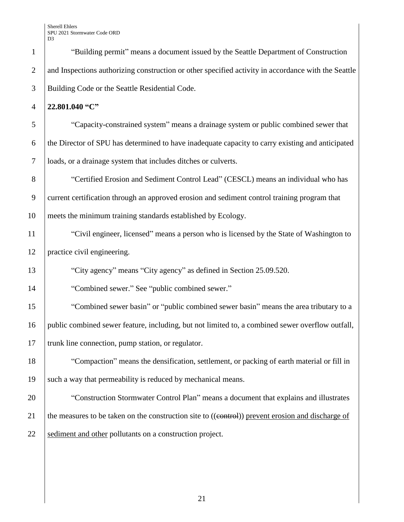**22.801.040 "C"**

 "Capacity-constrained system" means a drainage system or public combined sewer that the Director of SPU has determined to have inadequate capacity to carry existing and anticipated loads, or a drainage system that includes ditches or culverts.

8 "Certified Erosion and Sediment Control Lead" (CESCL) means an individual who has current certification through an approved erosion and sediment control training program that meets the minimum training standards established by Ecology.

 "Civil engineer, licensed" means a person who is licensed by the State of Washington to practice civil engineering.

"City agency" means "City agency" as defined in Section 25.09.520.

**Combined sewer.**" See "public combined sewer."

 "Combined sewer basin" or "public combined sewer basin" means the area tributary to a public combined sewer feature, including, but not limited to, a combined sewer overflow outfall, 17 trunk line connection, pump station, or regulator.

 "Compaction" means the densification, settlement, or packing of earth material or fill in 19 | such a way that permeability is reduced by mechanical means.

**The Construction Stormwater Control Plan**" means a document that explains and illustrates 21 the measures to be taken on the construction site to  $((\text{control}))$  prevent erosion and discharge of 22 Sediment and other pollutants on a construction project.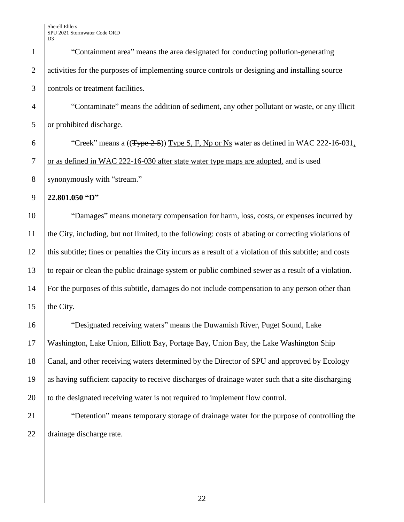| $\mathbf{1}$   | "Containment area" means the area designated for conducting pollution-generating                         |
|----------------|----------------------------------------------------------------------------------------------------------|
| $\overline{2}$ | activities for the purposes of implementing source controls or designing and installing source           |
| 3              | controls or treatment facilities.                                                                        |
| $\overline{4}$ | "Contaminate" means the addition of sediment, any other pollutant or waste, or any illicit               |
| 5              | or prohibited discharge.                                                                                 |
| 6              | "Creek" means a $((Type 2-5))$ Type S, F, Np or Ns water as defined in WAC 222-16-031,                   |
| $\tau$         | or as defined in WAC 222-16-030 after state water type maps are adopted, and is used                     |
| 8              | synonymously with "stream."                                                                              |
| 9              | 22.801.050 "D"                                                                                           |
| 10             | "Damages" means monetary compensation for harm, loss, costs, or expenses incurred by                     |
| 11             | the City, including, but not limited, to the following: costs of abating or correcting violations of     |
| 12             | this subtitle; fines or penalties the City incurs as a result of a violation of this subtitle; and costs |
| 13             | to repair or clean the public drainage system or public combined sewer as a result of a violation.       |
| 14             | For the purposes of this subtitle, damages do not include compensation to any person other than          |
| 15             | the City.                                                                                                |
| 16             | "Designated receiving waters" means the Duwamish River, Puget Sound, Lake                                |
| 17             | Washington, Lake Union, Elliott Bay, Portage Bay, Union Bay, the Lake Washington Ship                    |
| 18             | Canal, and other receiving waters determined by the Director of SPU and approved by Ecology              |
| 19             | as having sufficient capacity to receive discharges of drainage water such that a site discharging       |
| 20             | to the designated receiving water is not required to implement flow control.                             |
| 21             | "Detention" means temporary storage of drainage water for the purpose of controlling the                 |
| 22             | drainage discharge rate.                                                                                 |
|                |                                                                                                          |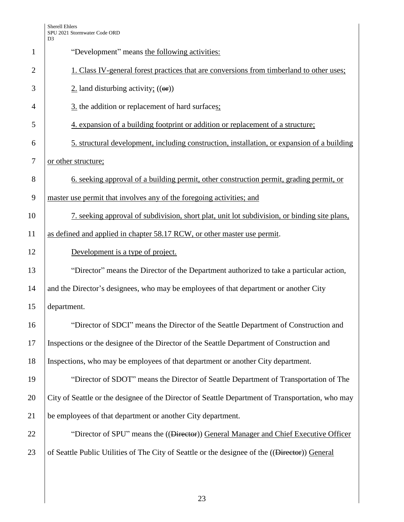|                | D <sub>3</sub>                                                                                    |
|----------------|---------------------------------------------------------------------------------------------------|
| $\mathbf{1}$   | "Development" means the following activities:                                                     |
| $\overline{2}$ | 1. Class IV-general forest practices that are conversions from timberland to other uses;          |
| 3              | $2$ . land disturbing activity; $((\omega f))$                                                    |
| 4              | 3. the addition or replacement of hard surfaces;                                                  |
| 5              | 4. expansion of a building footprint or addition or replacement of a structure;                   |
| 6              | 5. structural development, including construction, installation, or expansion of a building       |
| $\tau$         | or other structure;                                                                               |
| 8              | <u>6. seeking approval of a building permit, other construction permit, grading permit, or</u>    |
| 9              | master use permit that involves any of the foregoing activities; and                              |
| 10             | 7. seeking approval of subdivision, short plat, unit lot subdivision, or binding site plans,      |
| 11             | as defined and applied in chapter 58.17 RCW, or other master use permit.                          |
| 12             | Development is a type of project.                                                                 |
| 13             | "Director" means the Director of the Department authorized to take a particular action,           |
| 14             | and the Director's designees, who may be employees of that department or another City             |
| 15             | department.                                                                                       |
| 16             | "Director of SDCI" means the Director of the Seattle Department of Construction and               |
| 17             | Inspections or the designee of the Director of the Seattle Department of Construction and         |
| 18             | Inspections, who may be employees of that department or another City department.                  |
| 19             | "Director of SDOT" means the Director of Seattle Department of Transportation of The              |
| 20             | City of Seattle or the designee of the Director of Seattle Department of Transportation, who may  |
| 21             | be employees of that department or another City department.                                       |
| 22             | "Director of SPU" means the (( <del>Director</del> )) General Manager and Chief Executive Officer |
| 23             | of Seattle Public Utilities of The City of Seattle or the designee of the ((Director)) General    |
|                |                                                                                                   |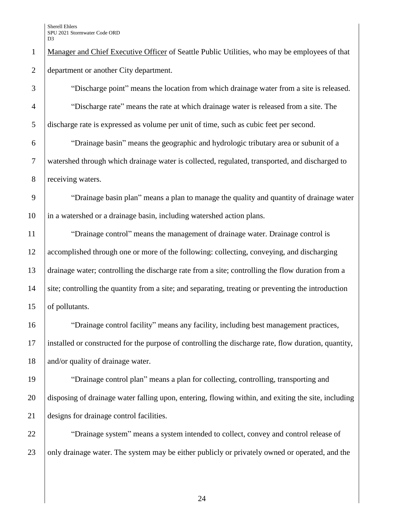1 Manager and Chief Executive Officer of Seattle Public Utilities, who may be employees of that 2 department or another City department.

3 "Discharge point" means the location from which drainage water from a site is released. 4 "Discharge rate" means the rate at which drainage water is released from a site. The 5 discharge rate is expressed as volume per unit of time, such as cubic feet per second.

6 "Drainage basin" means the geographic and hydrologic tributary area or subunit of a 7 watershed through which drainage water is collected, regulated, transported, and discharged to 8 receiving waters.

9 Trainage basin plan" means a plan to manage the quality and quantity of drainage water 10 in a watershed or a drainage basin, including watershed action plans.

11 The "Drainage control" means the management of drainage water. Drainage control is 12 accomplished through one or more of the following: collecting, conveying, and discharging 13 drainage water; controlling the discharge rate from a site; controlling the flow duration from a 14 site; controlling the quantity from a site; and separating, treating or preventing the introduction 15 of pollutants.

16 "Drainage control facility" means any facility, including best management practices, 17 installed or constructed for the purpose of controlling the discharge rate, flow duration, quantity, 18 and/or quality of drainage water.

19 The "Drainage control plan" means a plan for collecting, controlling, transporting and 20 disposing of drainage water falling upon, entering, flowing within, and exiting the site, including 21 designs for drainage control facilities.

22 The "Drainage system" means a system intended to collect, convey and control release of 23 only drainage water. The system may be either publicly or privately owned or operated, and the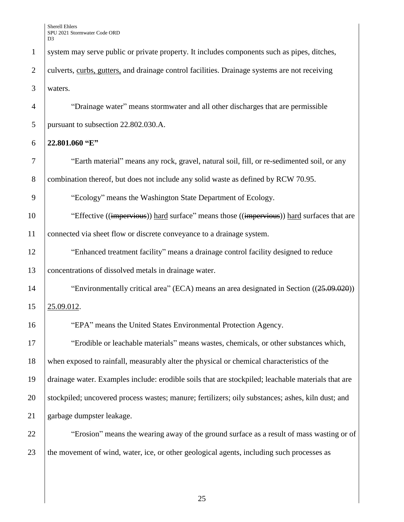| $\mathbf{1}$   | system may serve public or private property. It includes components such as pipes, ditches,        |
|----------------|----------------------------------------------------------------------------------------------------|
| $\overline{2}$ | culverts, curbs, gutters, and drainage control facilities. Drainage systems are not receiving      |
| 3              | waters.                                                                                            |
| $\overline{4}$ | "Drainage water" means stormwater and all other discharges that are permissible                    |
| 5              | pursuant to subsection 22.802.030.A.                                                               |
| 6              | 22.801.060 "E"                                                                                     |
| 7              | "Earth material" means any rock, gravel, natural soil, fill, or re-sedimented soil, or any         |
| 8              | combination thereof, but does not include any solid waste as defined by RCW 70.95.                 |
| 9              | "Ecology" means the Washington State Department of Ecology.                                        |
| 10             | "Effective ((impervious)) hard surface" means those ((impervious)) hard surfaces that are          |
| 11             | connected via sheet flow or discrete conveyance to a drainage system.                              |
| 12             | "Enhanced treatment facility" means a drainage control facility designed to reduce                 |
| 13             | concentrations of dissolved metals in drainage water.                                              |
| 14             | "Environmentally critical area" (ECA) means an area designated in Section $((25.09.020))$          |
| 15             | 25.09.012.                                                                                         |
| 16             | "EPA" means the United States Environmental Protection Agency.                                     |
| 17             | "Erodible or leachable materials" means wastes, chemicals, or other substances which,              |
| 18             | when exposed to rainfall, measurably alter the physical or chemical characteristics of the         |
| 19             | drainage water. Examples include: erodible soils that are stockpiled; leachable materials that are |
| 20             | stockpiled; uncovered process wastes; manure; fertilizers; oily substances; ashes, kiln dust; and  |
| 21             | garbage dumpster leakage.                                                                          |
| 22             | "Erosion" means the wearing away of the ground surface as a result of mass wasting or of           |
| 23             | the movement of wind, water, ice, or other geological agents, including such processes as          |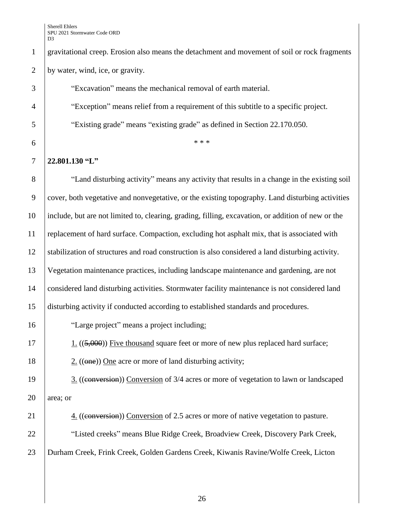gravitational creep. Erosion also means the detachment and movement of soil or rock fragments by water, wind, ice, or gravity. "Excavation" means the mechanical removal of earth material. "Exception" means relief from a requirement of this subtitle to a specific project. "Existing grade" means "existing grade" as defined in Section 22.170.050.  $^*$  \* \* \* **22.801.130 "L"** "Land disturbing activity" means any activity that results in a change in the existing soil cover, both vegetative and nonvegetative, or the existing topography. Land disturbing activities include, but are not limited to, clearing, grading, filling, excavation, or addition of new or the replacement of hard surface. Compaction, excluding hot asphalt mix, that is associated with stabilization of structures and road construction is also considered a land disturbing activity. Vegetation maintenance practices, including landscape maintenance and gardening, are not considered land disturbing activities. Stormwater facility maintenance is not considered land disturbing activity if conducted according to established standards and procedures. "Large project" means a project including:  $\boxed{1}$  ((5,000)) Five thousand square feet or more of new plus replaced hard surface;  $\vert$  2. ((one)) One acre or more of land disturbing activity; 19 3. ((conversion) Conversion of 3/4 acres or more of vegetation to lawn or landscaped area; or 21 4. ((conversion) Conversion of 2.5 acres or more of native vegetation to pasture. 22 | "Listed creeks" means Blue Ridge Creek, Broadview Creek, Discovery Park Creek, Durham Creek, Frink Creek, Golden Gardens Creek, Kiwanis Ravine/Wolfe Creek, Licton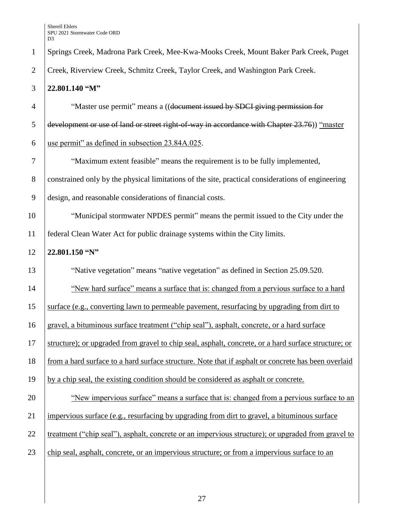| Creek, Riverview Creek, Schmitz Creek, Taylor Creek, and Washington Park Creek.<br>22.801.140 "M"    |
|------------------------------------------------------------------------------------------------------|
|                                                                                                      |
|                                                                                                      |
| "Master use permit" means a ((document issued by SDCI giving permission for                          |
| development or use of land or street right of way in accordance with Chapter 23.76)) "master         |
| use permit" as defined in subsection 23.84A.025.                                                     |
| "Maximum extent feasible" means the requirement is to be fully implemented,                          |
| constrained only by the physical limitations of the site, practical considerations of engineering    |
| design, and reasonable considerations of financial costs.                                            |
| "Municipal stormwater NPDES permit" means the permit issued to the City under the                    |
| federal Clean Water Act for public drainage systems within the City limits.                          |
| 22.801.150 "N"                                                                                       |
| "Native vegetation" means "native vegetation" as defined in Section 25.09.520.                       |
| "New hard surface" means a surface that is: changed from a pervious surface to a hard                |
| surface (e.g., converting lawn to permeable pavement, resurfacing by upgrading from dirt to          |
| gravel, a bituminous surface treatment ("chip seal"), asphalt, concrete, or a hard surface           |
| structure); or upgraded from gravel to chip seal, asphalt, concrete, or a hard surface structure; or |
| from a hard surface to a hard surface structure. Note that if asphalt or concrete has been overlaid  |
| by a chip seal, the existing condition should be considered as asphalt or concrete.                  |
| "New impervious surface" means a surface that is: changed from a pervious surface to an              |
| impervious surface (e.g., resurfacing by upgrading from dirt to gravel, a bituminous surface         |
| treatment ("chip seal"), asphalt, concrete or an impervious structure); or upgraded from gravel to   |
| chip seal, asphalt, concrete, or an impervious structure; or from a impervious surface to an         |
|                                                                                                      |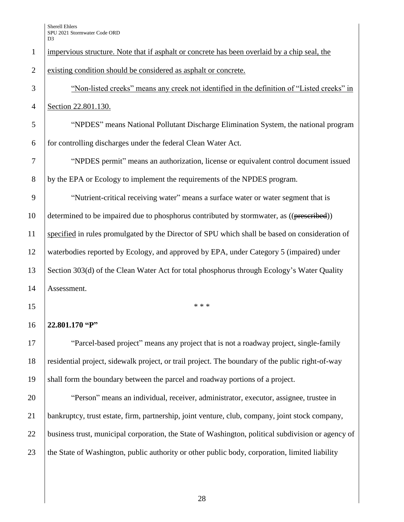| $\mathbf{1}$   | impervious structure. Note that if asphalt or concrete has been overlaid by a chip seal, the       |
|----------------|----------------------------------------------------------------------------------------------------|
| $\overline{2}$ | existing condition should be considered as asphalt or concrete.                                    |
| $\mathfrak{Z}$ | "Non-listed creeks" means any creek not identified in the definition of "Listed creeks" in         |
| $\overline{4}$ | Section 22.801.130.                                                                                |
| 5              | "NPDES" means National Pollutant Discharge Elimination System, the national program                |
| 6              | for controlling discharges under the federal Clean Water Act.                                      |
| 7              | "NPDES permit" means an authorization, license or equivalent control document issued               |
| 8              | by the EPA or Ecology to implement the requirements of the NPDES program.                          |
| 9              | "Nutrient-critical receiving water" means a surface water or water segment that is                 |
| 10             | determined to be impaired due to phosphorus contributed by stormwater, as ((prescribed))           |
| 11             | specified in rules promulgated by the Director of SPU which shall be based on consideration of     |
| 12             | waterbodies reported by Ecology, and approved by EPA, under Category 5 (impaired) under            |
| 13             | Section 303(d) of the Clean Water Act for total phosphorus through Ecology's Water Quality         |
| 14             | Assessment.                                                                                        |
| 15             | * * *                                                                                              |
| 16             | 22.801.170 "P"                                                                                     |
| 17             | "Parcel-based project" means any project that is not a roadway project, single-family              |
| 18             | residential project, sidewalk project, or trail project. The boundary of the public right-of-way   |
| 19             | shall form the boundary between the parcel and roadway portions of a project.                      |
| 20             | "Person" means an individual, receiver, administrator, executor, assignee, trustee in              |
| 21             | bankruptcy, trust estate, firm, partnership, joint venture, club, company, joint stock company,    |
| 22             | business trust, municipal corporation, the State of Washington, political subdivision or agency of |
| 23             | the State of Washington, public authority or other public body, corporation, limited liability     |
|                |                                                                                                    |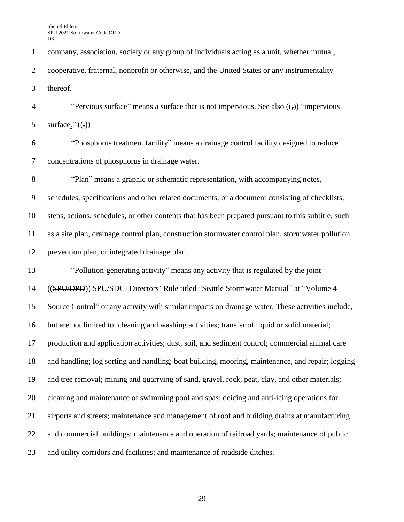company, association, society or any group of individuals acting as a unit, whether mutual, 2 Cooperative, fraternal, nonprofit or otherwise, and the United States or any instrumentality thereof.

4 "Pervious surface" means a surface that is not impervious. See also  $($ , $)$  "impervious" 5 surface."  $((.)$ 

 "Phosphorus treatment facility" means a drainage control facility designed to reduce concentrations of phosphorus in drainage water.

 "Plan" means a graphic or schematic representation, with accompanying notes, schedules, specifications and other related documents, or a document consisting of checklists, steps, actions, schedules, or other contents that has been prepared pursuant to this subtitle, such as a site plan, drainage control plan, construction stormwater control plan, stormwater pollution prevention plan, or integrated drainage plan.

 "Pollution-generating activity" means any activity that is regulated by the joint ((SPU/DPD)) SPU/SDCI Directors' Rule titled "Seattle Stormwater Manual" at "Volume 4 – Source Control" or any activity with similar impacts on drainage water. These activities include, but are not limited to: cleaning and washing activities; transfer of liquid or solid material; production and application activities; dust, soil, and sediment control; commercial animal care 18 and handling; log sorting and handling; boat building, mooring, maintenance, and repair; logging and tree removal; mining and quarrying of sand, gravel, rock, peat, clay, and other materials; cleaning and maintenance of swimming pool and spas; deicing and anti-icing operations for airports and streets; maintenance and management of roof and building drains at manufacturing 22 and commercial buildings; maintenance and operation of railroad yards; maintenance of public 23 and utility corridors and facilities; and maintenance of roadside ditches.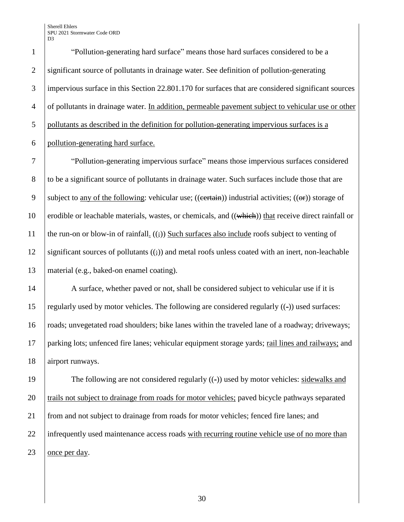"Pollution-generating hard surface" means those hard surfaces considered to be a 2 significant source of pollutants in drainage water. See definition of pollution-generating impervious surface in this Section 22.801.170 for surfaces that are considered significant sources of pollutants in drainage water. In addition, permeable pavement subject to vehicular use or other pollutants as described in the definition for pollution-generating impervious surfaces is a pollution-generating hard surface.

7 "Pollution-generating impervious surface" means those impervious surfaces considered 8 to be a significant source of pollutants in drainage water. Such surfaces include those that are 9 subject to any of the following: vehicular use; ((example ) industrial activities; (( $\Theta$ )) storage of 10 erodible or leachable materials, wastes, or chemicals, and  $((which))$  that receive direct rainfall or 11 the run-on or blow-in of rainfall.  $((\frac{1}{2}))$  Such surfaces also include roofs subject to venting of 12 | significant sources of pollutants  $((\frac{1}{2}))$  and metal roofs unless coated with an inert, non-leachable 13 material (e.g., baked-on enamel coating).

14 A surface, whether paved or not, shall be considered subject to vehicular use if it is 15 regularly used by motor vehicles. The following are considered regularly  $((-))$  used surfaces: 16 roads; unvegetated road shoulders; bike lanes within the traveled lane of a roadway; driveways; 17 parking lots; unfenced fire lanes; vehicular equipment storage yards; rail lines and railways; and 18 airport runways.

19 The following are not considered regularly ((-)) used by motor vehicles: sidewalks and 20 trails not subject to drainage from roads for motor vehicles; paved bicycle pathways separated 21 from and not subject to drainage from roads for motor vehicles; fenced fire lanes; and 22 infrequently used maintenance access roads with recurring routine vehicle use of no more than 23 once per day.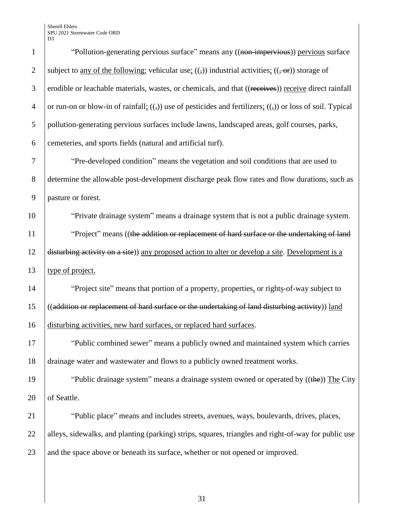| $\mathbf{1}$   | "Pollution-generating pervious surface" means any ((non-impervious)) pervious surface                              |
|----------------|--------------------------------------------------------------------------------------------------------------------|
| $\overline{2}$ | subject to <u>any of the following:</u> vehicular use; $((,))$ industrial activities; $((, \text{or}))$ storage of |
| 3              | erodible or leachable materials, wastes, or chemicals, and that ((receives)) receive direct rainfall               |
| $\overline{4}$ | or run-on or blow-in of rainfall; $((,))$ use of pesticides and fertilizers; $((,))$ or loss of soil. Typical      |
| 5              | pollution-generating pervious surfaces include lawns, landscaped areas, golf courses, parks,                       |
| 6              | cemeteries, and sports fields (natural and artificial turf).                                                       |
| 7              | "Pre-developed condition" means the vegetation and soil conditions that are used to                                |
| 8              | determine the allowable post-development discharge peak flow rates and flow durations, such as                     |
| 9              | pasture or forest.                                                                                                 |
| 10             | "Private drainage system" means a drainage system that is not a public drainage system.                            |
| 11             | "Project" means ((the addition or replacement of hard surface or the undertaking of land                           |
| 12             | disturbing activity on a site)) any proposed action to alter or develop a site. Development is a                   |
| 13             | type of project.                                                                                                   |
| 14             | "Project site" means that portion of a property, properties, or rights-of-way subject to                           |
| 15             | ((addition or replacement of hard surface or the undertaking of land disturbing activity)) land                    |
| 16             | disturbing activities, new hard surfaces, or replaced hard surfaces.                                               |
| 17             | "Public combined sewer" means a publicly owned and maintained system which carries                                 |
| 18             | drainage water and wastewater and flows to a publicly owned treatment works.                                       |
| 19             | "Public drainage system" means a drainage system owned or operated by ((the)) The City                             |
| 20             | of Seattle.                                                                                                        |
| 21             | "Public place" means and includes streets, avenues, ways, boulevards, drives, places,                              |
| 22             | alleys, sidewalks, and planting (parking) strips, squares, triangles and right-of-way for public use               |
| 23             | and the space above or beneath its surface, whether or not opened or improved.                                     |
|                |                                                                                                                    |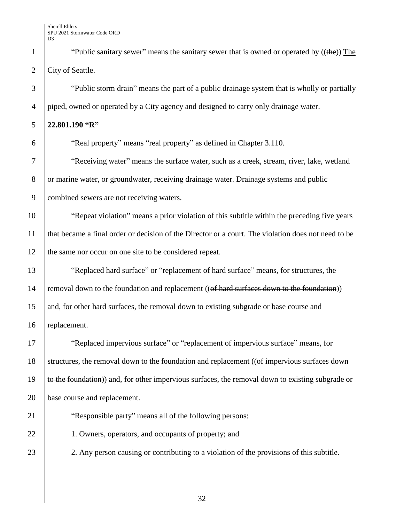<sup>1</sup> "Public sanitary sewer" means the sanitary sewer that is owned or operated by  $((the))$  The 2 City of Seattle.

3 "Public storm drain" means the part of a public drainage system that is wholly or partially 4 piped, owned or operated by a City agency and designed to carry only drainage water.

## 5 **22.801.190 "R"**

6 "Real property" means "real property" as defined in Chapter 3.110.

7 "Seceiving water" means the surface water, such as a creek, stream, river, lake, wetland 8 or marine water, or groundwater, receiving drainage water. Drainage systems and public 9 combined sewers are not receiving waters.

10 "Repeat violation" means a prior violation of this subtitle within the preceding five years 11 that became a final order or decision of the Director or a court. The violation does not need to be 12 the same nor occur on one site to be considered repeat.

13 **The Steplaced hard surface**" or "replacement of hard surface" means, for structures, the 14 removal <u>down to the foundation</u> and replacement (( $\theta$  hard surfaces down to the foundation)) 15 and, for other hard surfaces, the removal down to existing subgrade or base course and 16 replacement.

17 | "Replaced impervious surface" or "replacement of impervious surface" means, for 18 Structures, the removal down to the foundation and replacement ((of impervious surfaces down 19  $\pm$  to the foundation)) and, for other impervious surfaces, the removal down to existing subgrade or 20 base course and replacement.

21 **Wesh** exponsible party" means all of the following persons:

22 1. Owners, operators, and occupants of property; and

23 2. Any person causing or contributing to a violation of the provisions of this subtitle.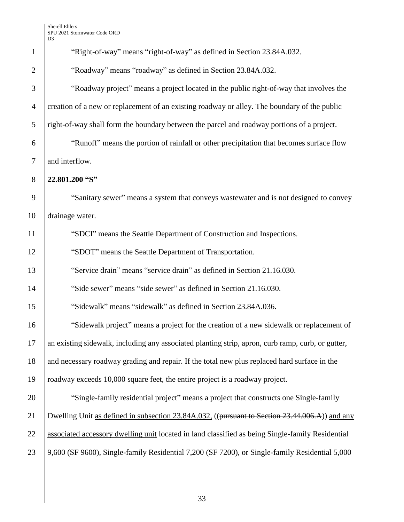| $\mathbf{1}$   | "Right-of-way" means "right-of-way" as defined in Section 23.84A.032.                             |
|----------------|---------------------------------------------------------------------------------------------------|
| $\overline{2}$ | "Roadway" means "roadway" as defined in Section 23.84A.032.                                       |
| 3              | "Roadway project" means a project located in the public right-of-way that involves the            |
| $\overline{4}$ | creation of a new or replacement of an existing roadway or alley. The boundary of the public      |
| 5              | right-of-way shall form the boundary between the parcel and roadway portions of a project.        |
| 6              | "Runoff" means the portion of rainfall or other precipitation that becomes surface flow           |
| $\tau$         | and interflow.                                                                                    |
| 8              | 22.801.200 "S"                                                                                    |
| 9              | "Sanitary sewer" means a system that conveys wastewater and is not designed to convey             |
| 10             | drainage water.                                                                                   |
| 11             | "SDCI" means the Seattle Department of Construction and Inspections.                              |
| 12             | "SDOT" means the Seattle Department of Transportation.                                            |
| 13             | "Service drain" means "service drain" as defined in Section 21.16.030.                            |
| 14             | "Side sewer" means "side sewer" as defined in Section 21.16.030.                                  |
| 15             | "Sidewalk" means "sidewalk" as defined in Section 23.84A.036.                                     |
| 16             | "Sidewalk project" means a project for the creation of a new sidewalk or replacement of           |
| 17             | an existing sidewalk, including any associated planting strip, apron, curb ramp, curb, or gutter, |
| 18             | and necessary roadway grading and repair. If the total new plus replaced hard surface in the      |
| 19             | roadway exceeds 10,000 square feet, the entire project is a roadway project.                      |
| 20             | "Single-family residential project" means a project that constructs one Single-family             |
| 21             | Dwelling Unit as defined in subsection 23.84A.032. ((pursuant to Section 23.44.006.A)) and any    |
| 22             | associated accessory dwelling unit located in land classified as being Single-family Residential  |
| 23             | 9,600 (SF 9600), Single-family Residential 7,200 (SF 7200), or Single-family Residential 5,000    |
|                |                                                                                                   |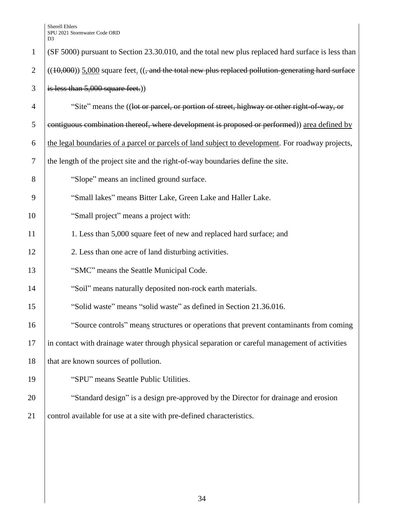| $\mathbf{1}$   | (SF 5000) pursuant to Section 23.30.010, and the total new plus replaced hard surface is less than       |
|----------------|----------------------------------------------------------------------------------------------------------|
| $\overline{2}$ | $((10,000))$ 5,000 square feet. $((, and the total new plus replaced pollution generating hard surface)$ |
| 3              | is less than $5,000$ square feet.)                                                                       |
| $\overline{4}$ | "Site" means the ((lot or parcel, or portion of street, highway or other right-of-way, or                |
| 5              | contiguous combination thereof, where development is proposed or performed)) area defined by             |
| 6              | the legal boundaries of a parcel or parcels of land subject to development. For roadway projects,        |
| $\tau$         | the length of the project site and the right-of-way boundaries define the site.                          |
| 8              | "Slope" means an inclined ground surface.                                                                |
| 9              | "Small lakes" means Bitter Lake, Green Lake and Haller Lake.                                             |
| 10             | "Small project" means a project with:                                                                    |
| 11             | 1. Less than 5,000 square feet of new and replaced hard surface; and                                     |
| 12             | 2. Less than one acre of land disturbing activities.                                                     |
| 13             | "SMC" means the Seattle Municipal Code.                                                                  |
| 14             | "Soil" means naturally deposited non-rock earth materials.                                               |
| 15             | "Solid waste" means "solid waste" as defined in Section 21.36.016.                                       |
| 16             | "Source controls" means structures or operations that prevent contaminants from coming                   |
| 17             | in contact with drainage water through physical separation or careful management of activities           |
| 18             | that are known sources of pollution.                                                                     |
| 19             | "SPU" means Seattle Public Utilities.                                                                    |
| 20             | "Standard design" is a design pre-approved by the Director for drainage and erosion                      |
| 21             | control available for use at a site with pre-defined characteristics.                                    |
|                |                                                                                                          |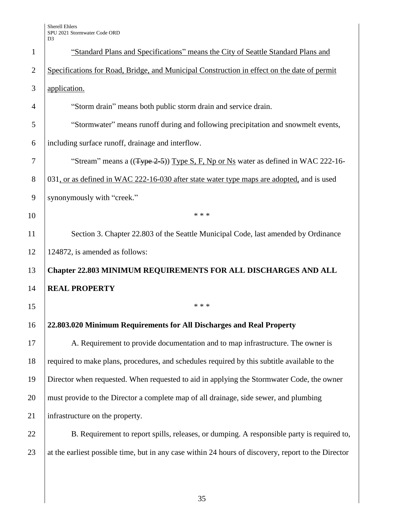| $\mathbf{1}$   | "Standard Plans and Specifications" means the City of Seattle Standard Plans and                    |
|----------------|-----------------------------------------------------------------------------------------------------|
| $\overline{2}$ | Specifications for Road, Bridge, and Municipal Construction in effect on the date of permit         |
| 3              | application.                                                                                        |
| $\overline{4}$ | "Storm drain" means both public storm drain and service drain.                                      |
| 5              | "Stormwater" means runoff during and following precipitation and snowmelt events,                   |
| 6              | including surface runoff, drainage and interflow.                                                   |
| 7              | "Stream" means a ((Type 2-5)) Type S, F, Np or Ns water as defined in WAC 222-16-                   |
| 8              | 031, or as defined in WAC 222-16-030 after state water type maps are adopted, and is used           |
| 9              | synonymously with "creek."                                                                          |
| 10             | * * *                                                                                               |
| 11             | Section 3. Chapter 22.803 of the Seattle Municipal Code, last amended by Ordinance                  |
| 12             | 124872, is amended as follows:                                                                      |
| 13             | Chapter 22.803 MINIMUM REQUIREMENTS FOR ALL DISCHARGES AND ALL                                      |
| 14             | <b>REAL PROPERTY</b>                                                                                |
| 15             | * * *                                                                                               |
| 16             | 22.803.020 Minimum Requirements for All Discharges and Real Property                                |
| 17             | A. Requirement to provide documentation and to map infrastructure. The owner is                     |
| 18             | required to make plans, procedures, and schedules required by this subtitle available to the        |
| 19             | Director when requested. When requested to aid in applying the Stormwater Code, the owner           |
| 20             | must provide to the Director a complete map of all drainage, side sewer, and plumbing               |
| 21             | infrastructure on the property.                                                                     |
| 22             | B. Requirement to report spills, releases, or dumping. A responsible party is required to,          |
| 23             | at the earliest possible time, but in any case within 24 hours of discovery, report to the Director |
|                |                                                                                                     |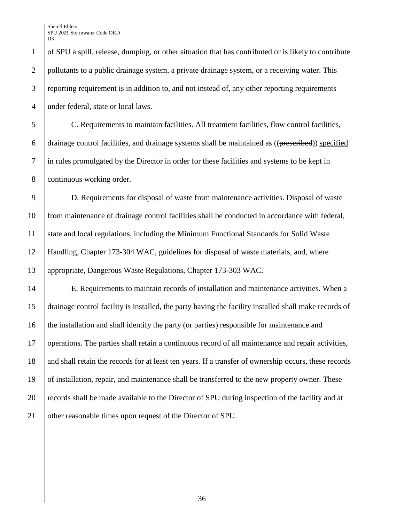of SPU a spill, release, dumping, or other situation that has contributed or is likely to contribute 2 pollutants to a public drainage system, a private drainage system, or a receiving water. This 3 reporting requirement is in addition to, and not instead of, any other reporting requirements 4 under federal, state or local laws.

 C. Requirements to maintain facilities. All treatment facilities, flow control facilities, 6 drainage control facilities, and drainage systems shall be maintained as  $((\text{presented}))$  specified in rules promulgated by the Director in order for these facilities and systems to be kept in continuous working order.

 D. Requirements for disposal of waste from maintenance activities. Disposal of waste from maintenance of drainage control facilities shall be conducted in accordance with federal, state and local regulations, including the Minimum Functional Standards for Solid Waste Handling, Chapter 173-304 WAC, guidelines for disposal of waste materials, and, where appropriate, Dangerous Waste Regulations, Chapter 173-303 WAC.

 E. Requirements to maintain records of installation and maintenance activities. When a drainage control facility is installed, the party having the facility installed shall make records of the installation and shall identify the party (or parties) responsible for maintenance and operations. The parties shall retain a continuous record of all maintenance and repair activities, 18 and shall retain the records for at least ten years. If a transfer of ownership occurs, these records of installation, repair, and maintenance shall be transferred to the new property owner. These records shall be made available to the Director of SPU during inspection of the facility and at 21 other reasonable times upon request of the Director of SPU.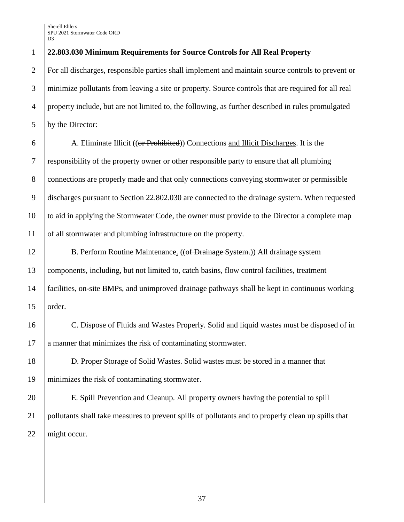## **22.803.030 Minimum Requirements for Source Controls for All Real Property**

 For all discharges, responsible parties shall implement and maintain source controls to prevent or minimize pollutants from leaving a site or property. Source controls that are required for all real property include, but are not limited to, the following, as further described in rules promulgated by the Director:

 A. Eliminate Illicit ((or Prohibited)) Connections and Illicit Discharges. It is the responsibility of the property owner or other responsible party to ensure that all plumbing connections are properly made and that only connections conveying stormwater or permissible discharges pursuant to Section 22.802.030 are connected to the drainage system. When requested to aid in applying the Stormwater Code, the owner must provide to the Director a complete map of all stormwater and plumbing infrastructure on the property.

12 B. Perform Routine Maintenance. ((of Drainage System.)) All drainage system 13 components, including, but not limited to, catch basins, flow control facilities, treatment facilities, on-site BMPs, and unimproved drainage pathways shall be kept in continuous working order.

 C. Dispose of Fluids and Wastes Properly. Solid and liquid wastes must be disposed of in a manner that minimizes the risk of contaminating stormwater.

 D. Proper Storage of Solid Wastes. Solid wastes must be stored in a manner that minimizes the risk of contaminating stormwater.

 E. Spill Prevention and Cleanup. All property owners having the potential to spill pollutants shall take measures to prevent spills of pollutants and to properly clean up spills that 22 | might occur.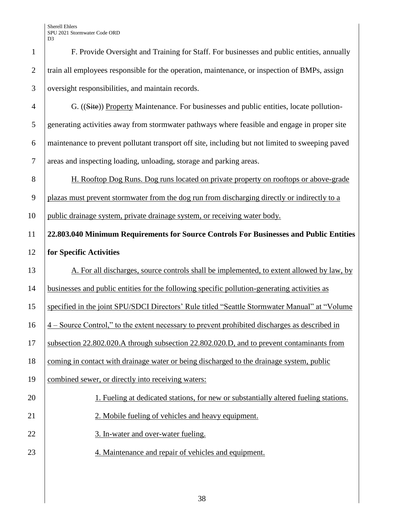| $\mathbf{1}$     | F. Provide Oversight and Training for Staff. For businesses and public entities, annually                 |
|------------------|-----------------------------------------------------------------------------------------------------------|
| $\overline{2}$   | train all employees responsible for the operation, maintenance, or inspection of BMPs, assign             |
| 3                | oversight responsibilities, and maintain records.                                                         |
| $\overline{4}$   | G. ((Site)) Property Maintenance. For businesses and public entities, locate pollution-                   |
| 5                | generating activities away from stormwater pathways where feasible and engage in proper site              |
| 6                | maintenance to prevent pollutant transport off site, including but not limited to sweeping paved          |
| $\boldsymbol{7}$ | areas and inspecting loading, unloading, storage and parking areas.                                       |
| $8\,$            | H. Rooftop Dog Runs. Dog runs located on private property on rooftops or above-grade                      |
| 9                | plazas must prevent stormwater from the dog run from discharging directly or indirectly to a              |
| 10               | public drainage system, private drainage system, or receiving water body.                                 |
| 11               | 22.803.040 Minimum Requirements for Source Controls For Businesses and Public Entities                    |
| 12               | for Specific Activities                                                                                   |
|                  |                                                                                                           |
| 13               | A. For all discharges, source controls shall be implemented, to extent allowed by law, by                 |
| 14               | businesses and public entities for the following specific pollution-generating activities as              |
| 15               | specified in the joint SPU/SDCI Directors' Rule titled "Seattle Stormwater Manual" at "Volume             |
| 16               | $\frac{4}{4}$ – Source Control," to the extent necessary to prevent prohibited discharges as described in |
| 17               | subsection 22.802.020.A through subsection 22.802.020.D, and to prevent contaminants from                 |
| 18               | coming in contact with drainage water or being discharged to the drainage system, public                  |
| 19               | combined sewer, or directly into receiving waters:                                                        |
| 20               | 1. Fueling at dedicated stations, for new or substantially altered fueling stations.                      |
| 21               | 2. Mobile fueling of vehicles and heavy equipment.                                                        |
| 22               | 3. In-water and over-water fueling.                                                                       |
| 23               | 4. Maintenance and repair of vehicles and equipment.                                                      |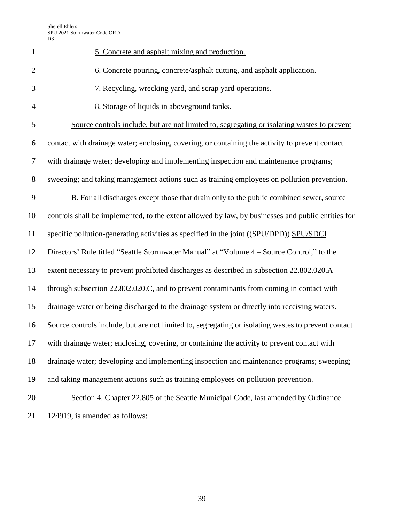|                | SPU 2021 Stormwater Code ORD<br>D <sub>3</sub>                                                      |
|----------------|-----------------------------------------------------------------------------------------------------|
| $\mathbf{1}$   | 5. Concrete and asphalt mixing and production.                                                      |
| $\overline{2}$ | 6. Concrete pouring, concrete/asphalt cutting, and asphalt application.                             |
| 3              | 7. Recycling, wrecking yard, and scrap yard operations.                                             |
| $\overline{4}$ | 8. Storage of liquids in above ground tanks.                                                        |
| 5              | Source controls include, but are not limited to, segregating or isolating wastes to prevent         |
| 6              | contact with drainage water; enclosing, covering, or containing the activity to prevent contact     |
| $\tau$         | with drainage water; developing and implementing inspection and maintenance programs;               |
| 8              | sweeping; and taking management actions such as training employees on pollution prevention.         |
| 9              | <b>B.</b> For all discharges except those that drain only to the public combined sewer, source      |
| 10             | controls shall be implemented, to the extent allowed by law, by businesses and public entities for  |
| 11             | specific pollution-generating activities as specified in the joint ((SPU/DPD)) SPU/SDCI             |
| 12             | Directors' Rule titled "Seattle Stormwater Manual" at "Volume 4 – Source Control," to the           |
| 13             | extent necessary to prevent prohibited discharges as described in subsection 22.802.020.A           |
| 14             | through subsection 22.802.020.C, and to prevent contaminants from coming in contact with            |
| 15             | drainage water or being discharged to the drainage system or directly into receiving waters.        |
| 16             | Source controls include, but are not limited to, segregating or isolating wastes to prevent contact |
| 17             | with drainage water; enclosing, covering, or containing the activity to prevent contact with        |
| 18             | drainage water; developing and implementing inspection and maintenance programs; sweeping;          |
| 19             | and taking management actions such as training employees on pollution prevention.                   |
| 20             | Section 4. Chapter 22.805 of the Seattle Municipal Code, last amended by Ordinance                  |
| 21             | 124919, is amended as follows:                                                                      |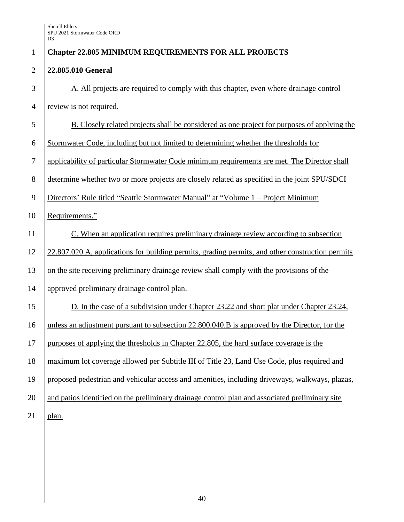| $\mathbf{1}$   | <b>Chapter 22.805 MINIMUM REQUIREMENTS FOR ALL PROJECTS</b>                                      |
|----------------|--------------------------------------------------------------------------------------------------|
| $\overline{2}$ | 22.805.010 General                                                                               |
| 3              | A. All projects are required to comply with this chapter, even where drainage control            |
| $\overline{4}$ | review is not required.                                                                          |
| 5              | B. Closely related projects shall be considered as one project for purposes of applying the      |
| 6              | Stormwater Code, including but not limited to determining whether the thresholds for             |
| $\tau$         | applicability of particular Stormwater Code minimum requirements are met. The Director shall     |
| 8              | determine whether two or more projects are closely related as specified in the joint SPU/SDCI    |
| 9              | Directors' Rule titled "Seattle Stormwater Manual" at "Volume 1 - Project Minimum                |
| 10             | Requirements."                                                                                   |
| 11             | C. When an application requires preliminary drainage review according to subsection              |
| 12             | 22.807.020.A, applications for building permits, grading permits, and other construction permits |
| 13             | on the site receiving preliminary drainage review shall comply with the provisions of the        |
| 14             | approved preliminary drainage control plan.                                                      |
| 15             | D. In the case of a subdivision under Chapter 23.22 and short plat under Chapter 23.24,          |
| 16             | unless an adjustment pursuant to subsection 22.800.040.B is approved by the Director, for the    |
| 17             | purposes of applying the thresholds in Chapter 22.805, the hard surface coverage is the          |
| 18             | maximum lot coverage allowed per Subtitle III of Title 23, Land Use Code, plus required and      |
| 19             | proposed pedestrian and vehicular access and amenities, including driveways, walkways, plazas,   |
| 20             | and patios identified on the preliminary drainage control plan and associated preliminary site   |
| 21             | plan.                                                                                            |
|                |                                                                                                  |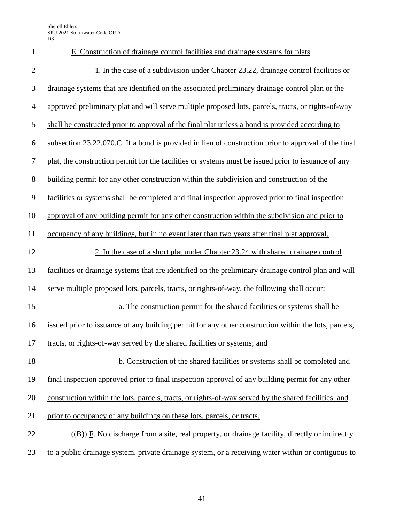| $\mathbf{1}$   | E. Construction of drainage control facilities and drainage systems for plats                        |
|----------------|------------------------------------------------------------------------------------------------------|
| $\mathbf{2}$   | 1. In the case of a subdivision under Chapter 23.22, drainage control facilities or                  |
| 3              | drainage systems that are identified on the associated preliminary drainage control plan or the      |
| $\overline{4}$ | approved preliminary plat and will serve multiple proposed lots, parcels, tracts, or rights-of-way   |
| 5              | shall be constructed prior to approval of the final plat unless a bond is provided according to      |
| 6              | subsection 23.22.070.C. If a bond is provided in lieu of construction prior to approval of the final |
| $\tau$         | plat, the construction permit for the facilities or systems must be issued prior to issuance of any  |
| $8\,$          | building permit for any other construction within the subdivision and construction of the            |
| 9              | facilities or systems shall be completed and final inspection approved prior to final inspection     |
| 10             | approval of any building permit for any other construction within the subdivision and prior to       |
| 11             | occupancy of any buildings, but in no event later than two years after final plat approval.          |
| 12             | 2. In the case of a short plat under Chapter 23.24 with shared drainage control                      |
| 13             | facilities or drainage systems that are identified on the preliminary drainage control plan and will |
| 14             | serve multiple proposed lots, parcels, tracts, or rights-of-way, the following shall occur:          |
| 15             | a. The construction permit for the shared facilities or systems shall be                             |
| 16             | issued prior to issuance of any building permit for any other construction within the lots, parcels, |
| 17             | tracts, or rights-of-way served by the shared facilities or systems; and                             |
| 18             | b. Construction of the shared facilities or systems shall be completed and                           |
| 19             | final inspection approved prior to final inspection approval of any building permit for any other    |
| 20             | construction within the lots, parcels, tracts, or rights-of-way served by the shared facilities, and |
| 21             | prior to occupancy of any buildings on these lots, parcels, or tracts.                               |
| 22             | $((B))$ F. No discharge from a site, real property, or drainage facility, directly or indirectly     |
| 23             | to a public drainage system, private drainage system, or a receiving water within or contiguous to   |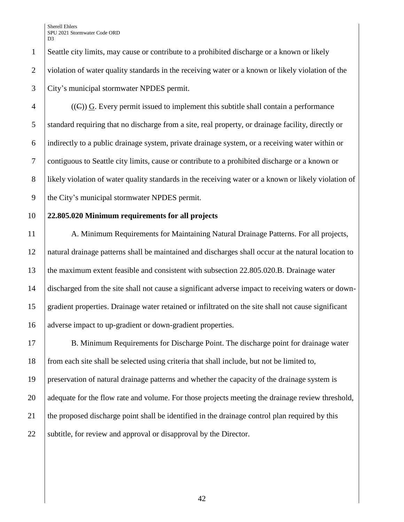Seattle city limits, may cause or contribute to a prohibited discharge or a known or likely 2 violation of water quality standards in the receiving water or a known or likely violation of the City's municipal stormwater NPDES permit.

 $\{ (G) \}$  G. Every permit issued to implement this subtitle shall contain a performance 5 standard requiring that no discharge from a site, real property, or drainage facility, directly or indirectly to a public drainage system, private drainage system, or a receiving water within or contiguous to Seattle city limits, cause or contribute to a prohibited discharge or a known or 8 | likely violation of water quality standards in the receiving water or a known or likely violation of the City's municipal stormwater NPDES permit.

# **22.805.020 Minimum requirements for all projects**

11 A. Minimum Requirements for Maintaining Natural Drainage Patterns. For all projects, natural drainage patterns shall be maintained and discharges shall occur at the natural location to the maximum extent feasible and consistent with subsection 22.805.020.B. Drainage water discharged from the site shall not cause a significant adverse impact to receiving waters or down- gradient properties. Drainage water retained or infiltrated on the site shall not cause significant adverse impact to up-gradient or down-gradient properties.

 B. Minimum Requirements for Discharge Point. The discharge point for drainage water from each site shall be selected using criteria that shall include, but not be limited to, preservation of natural drainage patterns and whether the capacity of the drainage system is 20 adequate for the flow rate and volume. For those projects meeting the drainage review threshold, the proposed discharge point shall be identified in the drainage control plan required by this 22 Subtitle, for review and approval or disapproval by the Director.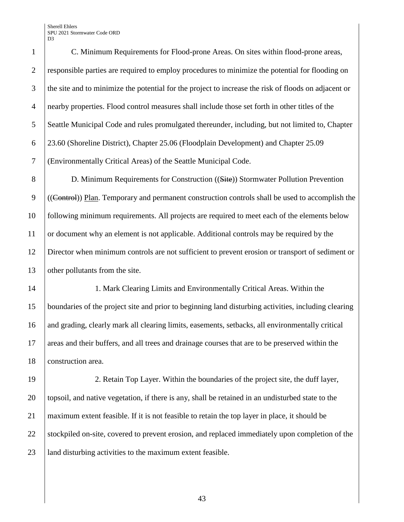C. Minimum Requirements for Flood-prone Areas. On sites within flood-prone areas, responsible parties are required to employ procedures to minimize the potential for flooding on the site and to minimize the potential for the project to increase the risk of floods on adjacent or nearby properties. Flood control measures shall include those set forth in other titles of the Seattle Municipal Code and rules promulgated thereunder, including, but not limited to, Chapter 23.60 (Shoreline District), Chapter 25.06 (Floodplain Development) and Chapter 25.09 (Environmentally Critical Areas) of the Seattle Municipal Code.

 D. Minimum Requirements for Construction ((Site)) Stormwater Pollution Prevention ((Control)) Plan. Temporary and permanent construction controls shall be used to accomplish the following minimum requirements. All projects are required to meet each of the elements below or document why an element is not applicable. Additional controls may be required by the Director when minimum controls are not sufficient to prevent erosion or transport of sediment or 13 other pollutants from the site.

 1. Mark Clearing Limits and Environmentally Critical Areas. Within the boundaries of the project site and prior to beginning land disturbing activities, including clearing 16 and grading, clearly mark all clearing limits, easements, setbacks, all environmentally critical areas and their buffers, and all trees and drainage courses that are to be preserved within the **construction area.** 

 2. Retain Top Layer. Within the boundaries of the project site, the duff layer, topsoil, and native vegetation, if there is any, shall be retained in an undisturbed state to the maximum extent feasible. If it is not feasible to retain the top layer in place, it should be 22 Stockpiled on-site, covered to prevent erosion, and replaced immediately upon completion of the 23 | land disturbing activities to the maximum extent feasible.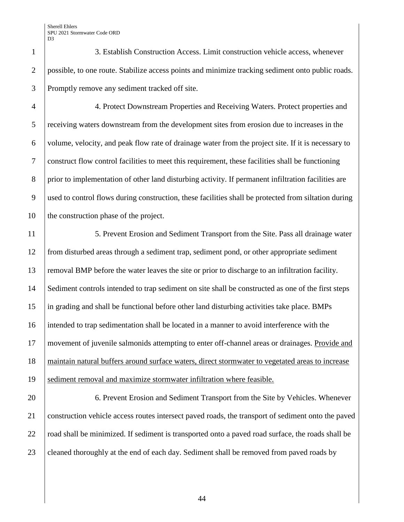3. Establish Construction Access. Limit construction vehicle access, whenever possible, to one route. Stabilize access points and minimize tracking sediment onto public roads. Promptly remove any sediment tracked off site.

 4. Protect Downstream Properties and Receiving Waters. Protect properties and receiving waters downstream from the development sites from erosion due to increases in the volume, velocity, and peak flow rate of drainage water from the project site. If it is necessary to construct flow control facilities to meet this requirement, these facilities shall be functioning 8 prior to implementation of other land disturbing activity. If permanent infiltration facilities are used to control flows during construction, these facilities shall be protected from siltation during 10 the construction phase of the project.

 5. Prevent Erosion and Sediment Transport from the Site. Pass all drainage water from disturbed areas through a sediment trap, sediment pond, or other appropriate sediment removal BMP before the water leaves the site or prior to discharge to an infiltration facility. Sediment controls intended to trap sediment on site shall be constructed as one of the first steps in grading and shall be functional before other land disturbing activities take place. BMPs intended to trap sedimentation shall be located in a manner to avoid interference with the movement of juvenile salmonids attempting to enter off-channel areas or drainages. Provide and maintain natural buffers around surface waters, direct stormwater to vegetated areas to increase 19 Sediment removal and maximize stormwater infiltration where feasible.

**6. Prevent Erosion and Sediment Transport from the Site by Vehicles. Whenever**  construction vehicle access routes intersect paved roads, the transport of sediment onto the paved 22 road shall be minimized. If sediment is transported onto a paved road surface, the roads shall be 23 cleaned thoroughly at the end of each day. Sediment shall be removed from paved roads by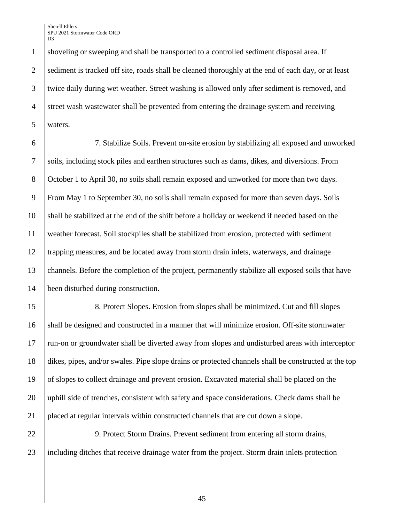shoveling or sweeping and shall be transported to a controlled sediment disposal area. If 2 sediment is tracked off site, roads shall be cleaned thoroughly at the end of each day, or at least twice daily during wet weather. Street washing is allowed only after sediment is removed, and street wash wastewater shall be prevented from entering the drainage system and receiving waters.

 7. Stabilize Soils. Prevent on-site erosion by stabilizing all exposed and unworked soils, including stock piles and earthen structures such as dams, dikes, and diversions. From October 1 to April 30, no soils shall remain exposed and unworked for more than two days. From May 1 to September 30, no soils shall remain exposed for more than seven days. Soils shall be stabilized at the end of the shift before a holiday or weekend if needed based on the weather forecast. Soil stockpiles shall be stabilized from erosion, protected with sediment trapping measures, and be located away from storm drain inlets, waterways, and drainage channels. Before the completion of the project, permanently stabilize all exposed soils that have been disturbed during construction.

15 8. Protect Slopes. Erosion from slopes shall be minimized. Cut and fill slopes shall be designed and constructed in a manner that will minimize erosion. Off-site stormwater run-on or groundwater shall be diverted away from slopes and undisturbed areas with interceptor dikes, pipes, and/or swales. Pipe slope drains or protected channels shall be constructed at the top of slopes to collect drainage and prevent erosion. Excavated material shall be placed on the uphill side of trenches, consistent with safety and space considerations. Check dams shall be placed at regular intervals within constructed channels that are cut down a slope.

22 9. Protect Storm Drains. Prevent sediment from entering all storm drains, including ditches that receive drainage water from the project. Storm drain inlets protection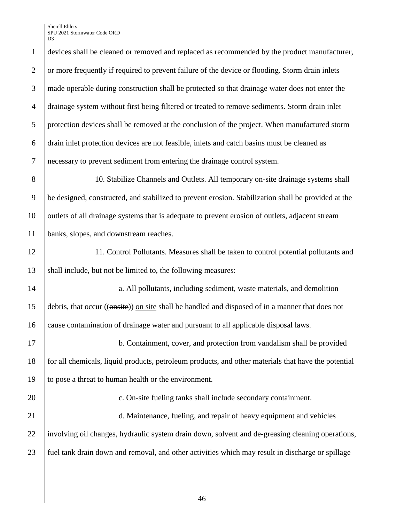devices shall be cleaned or removed and replaced as recommended by the product manufacturer, 2 or more frequently if required to prevent failure of the device or flooding. Storm drain inlets made operable during construction shall be protected so that drainage water does not enter the drainage system without first being filtered or treated to remove sediments. Storm drain inlet protection devices shall be removed at the conclusion of the project. When manufactured storm drain inlet protection devices are not feasible, inlets and catch basins must be cleaned as necessary to prevent sediment from entering the drainage control system.

8 10. Stabilize Channels and Outlets. All temporary on-site drainage systems shall 9 be designed, constructed, and stabilized to prevent erosion. Stabilization shall be provided at the 10 outlets of all drainage systems that is adequate to prevent erosion of outlets, adjacent stream 11 banks, slopes, and downstream reaches.

12 11. Control Pollutants. Measures shall be taken to control potential pollutants and 13 shall include, but not be limited to, the following measures:

14 **a.** All pollutants, including sediment, waste materials, and demolition 15 debris, that occur ((onsite)) on site shall be handled and disposed of in a manner that does not 16 cause contamination of drainage water and pursuant to all applicable disposal laws.

17 b. Containment, cover, and protection from vandalism shall be provided 18 for all chemicals, liquid products, petroleum products, and other materials that have the potential 19 to pose a threat to human health or the environment.

21 d. Maintenance, fueling, and repair of heavy equipment and vehicles 22 involving oil changes, hydraulic system drain down, solvent and de-greasing cleaning operations, 23 fuel tank drain down and removal, and other activities which may result in discharge or spillage

20 **c.** On-site fueling tanks shall include secondary containment.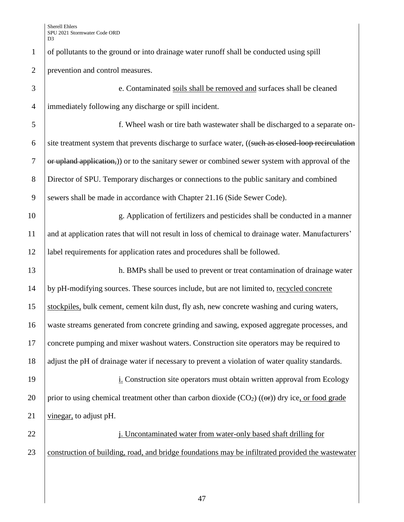of pollutants to the ground or into drainage water runoff shall be conducted using spill prevention and control measures.

 e. Contaminated soils shall be removed and surfaces shall be cleaned immediately following any discharge or spill incident. f. Wheel wash or tire bath wastewater shall be discharged to a separate on- $\overline{6}$  site treatment system that prevents discharge to surface water, ((such as closed-loop recirculation or upland application,) or to the sanitary sewer or combined sewer system with approval of the Director of SPU. Temporary discharges or connections to the public sanitary and combined 9 Sewers shall be made in accordance with Chapter 21.16 (Side Sewer Code). g. Application of fertilizers and pesticides shall be conducted in a manner and at application rates that will not result in loss of chemical to drainage water. Manufacturers' label requirements for application rates and procedures shall be followed. 13 h. BMPs shall be used to prevent or treat contamination of drainage water by pH-modifying sources. These sources include, but are not limited to, recycled concrete stockpiles, bulk cement, cement kiln dust, fly ash, new concrete washing and curing waters, waste streams generated from concrete grinding and sawing, exposed aggregate processes, and concrete pumping and mixer washout waters. Construction site operators may be required to 18 adjust the pH of drainage water if necessary to prevent a violation of water quality standards. **i.** Construction site operators must obtain written approval from Ecology 20 prior to using chemical treatment other than carbon dioxide  $(CO_2)$  (( $\Theta$ )) dry ice, or food grade

- 21 vinegar, to adjust pH.
- construction of building, road, and bridge foundations may be infiltrated provided the wastewater

**j**. Uncontaminated water from water-only based shaft drilling for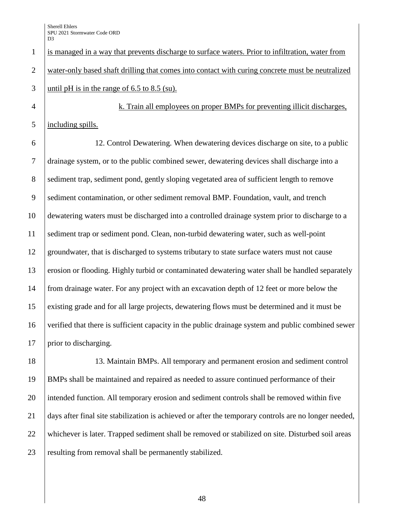is managed in a way that prevents discharge to surface waters. Prior to infiltration, water from water-only based shaft drilling that comes into contact with curing concrete must be neutralized 3 until pH is in the range of 6.5 to 8.5 (su). 4 | k. Train all employees on proper BMPs for preventing illicit discharges, including spills. 12. Control Dewatering. When dewatering devices discharge on site, to a public drainage system, or to the public combined sewer, dewatering devices shall discharge into a sediment trap, sediment pond, gently sloping vegetated area of sufficient length to remove 9 Sediment contamination, or other sediment removal BMP. Foundation, vault, and trench dewatering waters must be discharged into a controlled drainage system prior to discharge to a sediment trap or sediment pond. Clean, non-turbid dewatering water, such as well-point 12 groundwater, that is discharged to systems tributary to state surface waters must not cause erosion or flooding. Highly turbid or contaminated dewatering water shall be handled separately from drainage water. For any project with an excavation depth of 12 feet or more below the existing grade and for all large projects, dewatering flows must be determined and it must be verified that there is sufficient capacity in the public drainage system and public combined sewer 17 | prior to discharging.

 13. Maintain BMPs. All temporary and permanent erosion and sediment control BMPs shall be maintained and repaired as needed to assure continued performance of their intended function. All temporary erosion and sediment controls shall be removed within five days after final site stabilization is achieved or after the temporary controls are no longer needed, whichever is later. Trapped sediment shall be removed or stabilized on site. Disturbed soil areas 23 resulting from removal shall be permanently stabilized.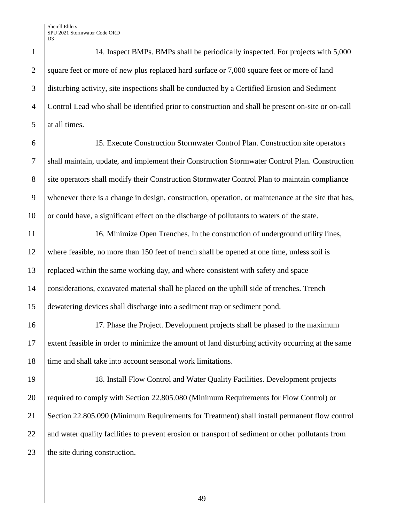1 14. Inspect BMPs. BMPs shall be periodically inspected. For projects with 5,000 2 square feet or more of new plus replaced hard surface or 7,000 square feet or more of land 3 disturbing activity, site inspections shall be conducted by a Certified Erosion and Sediment 4 Control Lead who shall be identified prior to construction and shall be present on-site or on-call 5 at all times.

6 15. Execute Construction Stormwater Control Plan. Construction site operators

7 shall maintain, update, and implement their Construction Stormwater Control Plan. Construction 8 site operators shall modify their Construction Stormwater Control Plan to maintain compliance 9 whenever there is a change in design, construction, operation, or maintenance at the site that has, 10 or could have, a significant effect on the discharge of pollutants to waters of the state.

11 16. Minimize Open Trenches. In the construction of underground utility lines, where feasible, no more than 150 feet of trench shall be opened at one time, unless soil is replaced within the same working day, and where consistent with safety and space considerations, excavated material shall be placed on the uphill side of trenches. Trench dewatering devices shall discharge into a sediment trap or sediment pond.

16 17. Phase the Project. Development projects shall be phased to the maximum 17 extent feasible in order to minimize the amount of land disturbing activity occurring at the same 18 time and shall take into account seasonal work limitations.

19 18. Install Flow Control and Water Quality Facilities. Development projects 20 required to comply with Section 22.805.080 (Minimum Requirements for Flow Control) or 21 Section 22.805.090 (Minimum Requirements for Treatment) shall install permanent flow control 22 and water quality facilities to prevent erosion or transport of sediment or other pollutants from 23 the site during construction.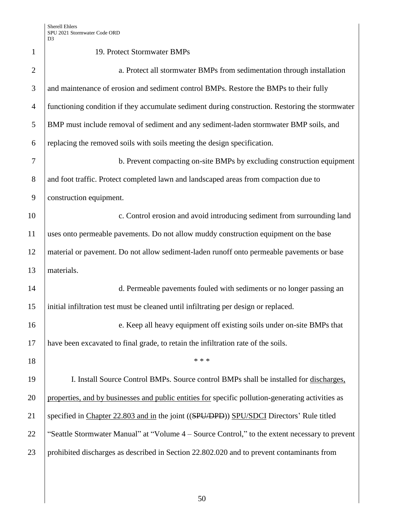| $\mathbf{1}$   | 19. Protect Stormwater BMPs                                                                       |
|----------------|---------------------------------------------------------------------------------------------------|
| $\overline{2}$ | a. Protect all stormwater BMPs from sedimentation through installation                            |
| 3              | and maintenance of erosion and sediment control BMPs. Restore the BMPs to their fully             |
| $\overline{4}$ | functioning condition if they accumulate sediment during construction. Restoring the stormwater   |
| 5              | BMP must include removal of sediment and any sediment-laden stormwater BMP soils, and             |
| 6              | replacing the removed soils with soils meeting the design specification.                          |
| 7              | b. Prevent compacting on-site BMPs by excluding construction equipment                            |
| 8              | and foot traffic. Protect completed lawn and landscaped areas from compaction due to              |
| 9              | construction equipment.                                                                           |
| 10             | c. Control erosion and avoid introducing sediment from surrounding land                           |
| 11             | uses onto permeable pavements. Do not allow muddy construction equipment on the base              |
| 12             | material or pavement. Do not allow sediment-laden runoff onto permeable pavements or base         |
| 13             | materials.                                                                                        |
| 14             | d. Permeable pavements fouled with sediments or no longer passing an                              |
| 15             | initial infiltration test must be cleaned until infiltrating per design or replaced.              |
| 16             | e. Keep all heavy equipment off existing soils under on-site BMPs that                            |
| 17             | have been excavated to final grade, to retain the infiltration rate of the soils.                 |
| 18             | * * *                                                                                             |
| 19             | I. Install Source Control BMPs. Source control BMPs shall be installed for discharges,            |
| 20             | properties, and by businesses and public entities for specific pollution-generating activities as |
| 21             | specified in Chapter 22.803 and in the joint ((SPU/DPD)) SPU/SDCI Directors' Rule titled          |
| 22             | "Seattle Stormwater Manual" at "Volume 4 - Source Control," to the extent necessary to prevent    |
| 23             | prohibited discharges as described in Section 22.802.020 and to prevent contaminants from         |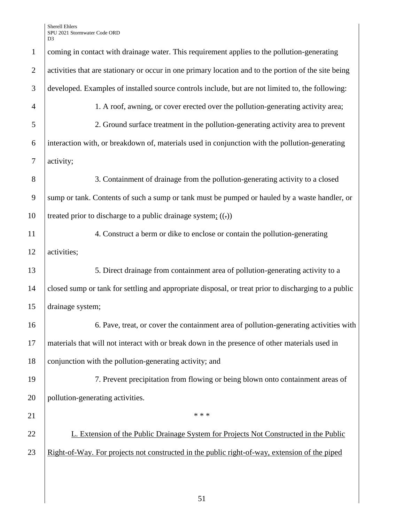| $\mathbf{1}$   | coming in contact with drainage water. This requirement applies to the pollution-generating          |
|----------------|------------------------------------------------------------------------------------------------------|
| $\overline{2}$ | activities that are stationary or occur in one primary location and to the portion of the site being |
| 3              | developed. Examples of installed source controls include, but are not limited to, the following:     |
| $\overline{4}$ | 1. A roof, awning, or cover erected over the pollution-generating activity area;                     |
| 5              | 2. Ground surface treatment in the pollution-generating activity area to prevent                     |
| 6              | interaction with, or breakdown of, materials used in conjunction with the pollution-generating       |
| 7              | activity;                                                                                            |
| 8              | 3. Containment of drainage from the pollution-generating activity to a closed                        |
| 9              | sump or tank. Contents of such a sump or tank must be pumped or hauled by a waste handler, or        |
| 10             | treated prior to discharge to a public drainage system; $((.)$                                       |
| 11             | 4. Construct a berm or dike to enclose or contain the pollution-generating                           |
| 12             | activities;                                                                                          |
| 13             | 5. Direct drainage from containment area of pollution-generating activity to a                       |
| 14             | closed sump or tank for settling and appropriate disposal, or treat prior to discharging to a public |
| 15             | drainage system;                                                                                     |
| 16             | 6. Pave, treat, or cover the containment area of pollution-generating activities with                |
| 17             | materials that will not interact with or break down in the presence of other materials used in       |
| 18             | conjunction with the pollution-generating activity; and                                              |
| 19             | 7. Prevent precipitation from flowing or being blown onto containment areas of                       |
| 20             | pollution-generating activities.                                                                     |
| 21             | * * *                                                                                                |
| 22             | L. Extension of the Public Drainage System for Projects Not Constructed in the Public                |
| 23             | Right-of-Way. For projects not constructed in the public right-of-way, extension of the piped        |
|                |                                                                                                      |
|                |                                                                                                      |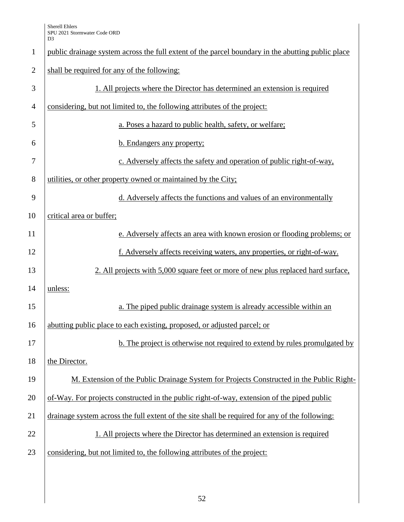| $\mathbf{1}$   | public drainage system across the full extent of the parcel boundary in the abutting public place |
|----------------|---------------------------------------------------------------------------------------------------|
| $\overline{2}$ | shall be required for any of the following:                                                       |
| 3              | 1. All projects where the Director has determined an extension is required                        |
| $\overline{4}$ | considering, but not limited to, the following attributes of the project:                         |
| 5              | a. Poses a hazard to public health, safety, or welfare;                                           |
| 6              | b. Endangers any property;                                                                        |
| $\tau$         | c. Adversely affects the safety and operation of public right-of-way,                             |
| 8              | utilities, or other property owned or maintained by the City;                                     |
| 9              | d. Adversely affects the functions and values of an environmentally                               |
| 10             | critical area or buffer;                                                                          |
| 11             | e. Adversely affects an area with known erosion or flooding problems; or                          |
| 12             | f. Adversely affects receiving waters, any properties, or right-of-way.                           |
| 13             | 2. All projects with 5,000 square feet or more of new plus replaced hard surface,                 |
| 14             | unless:                                                                                           |
| 15             | a. The piped public drainage system is already accessible within an                               |
| 16             | abutting public place to each existing, proposed, or adjusted parcel; or                          |
| 17             | b. The project is otherwise not required to extend by rules promulgated by                        |
| 18             | the Director.                                                                                     |
| 19             | M. Extension of the Public Drainage System for Projects Constructed in the Public Right-          |
| 20             | of-Way. For projects constructed in the public right-of-way, extension of the piped public        |
| 21             | drainage system across the full extent of the site shall be required for any of the following:    |
| 22             | 1. All projects where the Director has determined an extension is required                        |
| 23             | considering, but not limited to, the following attributes of the project:                         |
|                |                                                                                                   |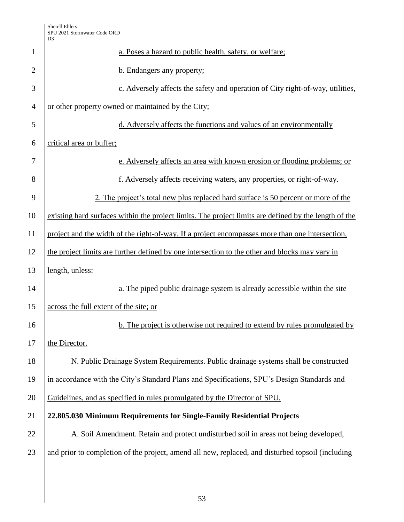|                | D <sub>3</sub>                                                                                        |
|----------------|-------------------------------------------------------------------------------------------------------|
| $\mathbf{1}$   | a. Poses a hazard to public health, safety, or welfare;                                               |
| $\overline{2}$ | b. Endangers any property;                                                                            |
| 3              | c. Adversely affects the safety and operation of City right-of-way, utilities,                        |
| $\overline{4}$ | or other property owned or maintained by the City;                                                    |
| 5              | d. Adversely affects the functions and values of an environmentally                                   |
| 6              | critical area or buffer;                                                                              |
| 7              | e. Adversely affects an area with known erosion or flooding problems; or                              |
| 8              | f. Adversely affects receiving waters, any properties, or right-of-way.                               |
| 9              | 2. The project's total new plus replaced hard surface is 50 percent or more of the                    |
| 10             | existing hard surfaces within the project limits. The project limits are defined by the length of the |
| 11             | project and the width of the right-of-way. If a project encompasses more than one intersection,       |
| 12             | the project limits are further defined by one intersection to the other and blocks may vary in        |
| 13             | length, unless:                                                                                       |
| 14             | a. The piped public drainage system is already accessible within the site                             |
| 15             | across the full extent of the site; or                                                                |
| 16             | b. The project is otherwise not required to extend by rules promulgated by                            |
| 17             | the Director.                                                                                         |
| 18             | N. Public Drainage System Requirements. Public drainage systems shall be constructed                  |
| 19             | in accordance with the City's Standard Plans and Specifications, SPU's Design Standards and           |
| 20             | Guidelines, and as specified in rules promulgated by the Director of SPU.                             |
| 21             | 22.805.030 Minimum Requirements for Single-Family Residential Projects                                |
| 22             | A. Soil Amendment. Retain and protect undisturbed soil in areas not being developed,                  |
| 23             | and prior to completion of the project, amend all new, replaced, and disturbed topsoil (including     |
|                |                                                                                                       |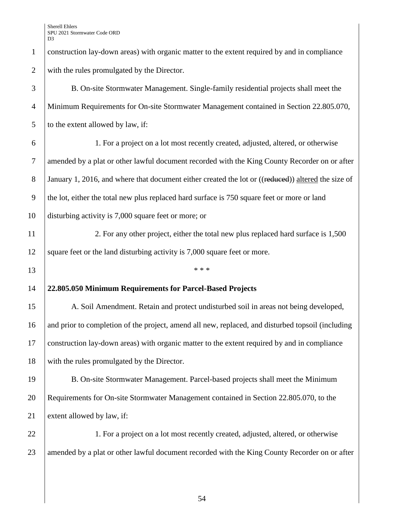1 construction lay-down areas) with organic matter to the extent required by and in compliance 2 with the rules promulgated by the Director.

| 3              | B. On-site Stormwater Management. Single-family residential projects shall meet the                |
|----------------|----------------------------------------------------------------------------------------------------|
| $\overline{4}$ | Minimum Requirements for On-site Stormwater Management contained in Section 22.805.070,            |
| 5              | to the extent allowed by law, if:                                                                  |
| 6              | 1. For a project on a lot most recently created, adjusted, altered, or otherwise                   |
| $\overline{7}$ | amended by a plat or other lawful document recorded with the King County Recorder on or after      |
| $8\phantom{.}$ | January 1, 2016, and where that document either created the lot or ((reduced)) altered the size of |
| 9              | the lot, either the total new plus replaced hard surface is 750 square feet or more or land        |
| 10             | disturbing activity is 7,000 square feet or more; or                                               |
| 11             | 2. For any other project, either the total new plus replaced hard surface is 1,500                 |
| 12             | square feet or the land disturbing activity is 7,000 square feet or more.                          |
| 13             | * * *                                                                                              |
| 14             | 22.805.050 Minimum Requirements for Parcel-Based Projects                                          |
| 15             | A. Soil Amendment. Retain and protect undisturbed soil in areas not being developed,               |
| 16             | and prior to completion of the project, amend all new, replaced, and disturbed topsoil (including  |
| 17             | construction lay-down areas) with organic matter to the extent required by and in compliance       |
| 18             | with the rules promulgated by the Director.                                                        |
| 19             | B. On-site Stormwater Management. Parcel-based projects shall meet the Minimum                     |
| 20             | Requirements for On-site Stormwater Management contained in Section 22.805.070, to the             |
| 21             | extent allowed by law, if:                                                                         |
| 22             | 1. For a project on a lot most recently created, adjusted, altered, or otherwise                   |
| 23             | amended by a plat or other lawful document recorded with the King County Recorder on or after      |
|                |                                                                                                    |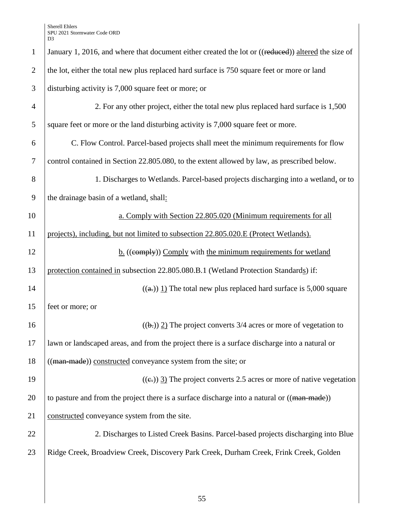|                | D <sub>3</sub>                                                                                     |
|----------------|----------------------------------------------------------------------------------------------------|
| $\mathbf{1}$   | January 1, 2016, and where that document either created the lot or ((reduced)) altered the size of |
| $\overline{2}$ | the lot, either the total new plus replaced hard surface is 750 square feet or more or land        |
| 3              | disturbing activity is 7,000 square feet or more; or                                               |
| $\overline{4}$ | 2. For any other project, either the total new plus replaced hard surface is 1,500                 |
| 5              | square feet or more or the land disturbing activity is 7,000 square feet or more.                  |
| 6              | C. Flow Control. Parcel-based projects shall meet the minimum requirements for flow                |
| $\tau$         | control contained in Section 22.805.080, to the extent allowed by law, as prescribed below.        |
| 8              | 1. Discharges to Wetlands. Parcel-based projects discharging into a wetland, or to                 |
| 9              | the drainage basin of a wetland, shall:                                                            |
| 10             | a. Comply with Section 22.805.020 (Minimum requirements for all                                    |
| 11             | projects), including, but not limited to subsection 22.805.020.E (Protect Wetlands).               |
| 12             | b. ((eomply)) Comply with the minimum requirements for wetland                                     |
| 13             | protection contained in subsection 22.805.080.B.1 (Wetland Protection Standards) if:               |
| 14             | $((a))$ 1) The total new plus replaced hard surface is 5,000 square                                |
| 15             | feet or more; or                                                                                   |
| 16             | $((\rightarrow))$ 2) The project converts 3/4 acres or more of vegetation to                       |
| 17             | lawn or landscaped areas, and from the project there is a surface discharge into a natural or      |
| 18             | ((man made)) constructed conveyance system from the site; or                                       |
| 19             | $((e))$ 3) The project converts 2.5 acres or more of native vegetation                             |
| 20             | to pasture and from the project there is a surface discharge into a natural or ((man made))        |
| 21             | constructed conveyance system from the site.                                                       |
| 22             | 2. Discharges to Listed Creek Basins. Parcel-based projects discharging into Blue                  |
| 23             | Ridge Creek, Broadview Creek, Discovery Park Creek, Durham Creek, Frink Creek, Golden              |
|                |                                                                                                    |
|                |                                                                                                    |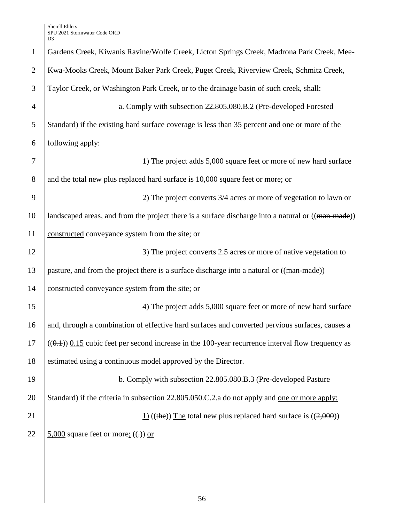| $\mathbf{1}$   | Gardens Creek, Kiwanis Ravine/Wolfe Creek, Licton Springs Creek, Madrona Park Creek, Mee-           |
|----------------|-----------------------------------------------------------------------------------------------------|
| $\overline{2}$ | Kwa-Mooks Creek, Mount Baker Park Creek, Puget Creek, Riverview Creek, Schmitz Creek,               |
| 3              | Taylor Creek, or Washington Park Creek, or to the drainage basin of such creek, shall:              |
| $\overline{4}$ | a. Comply with subsection 22.805.080.B.2 (Pre-developed Forested                                    |
| 5              | Standard) if the existing hard surface coverage is less than 35 percent and one or more of the      |
| 6              | following apply:                                                                                    |
| 7              | 1) The project adds 5,000 square feet or more of new hard surface                                   |
| 8              | and the total new plus replaced hard surface is 10,000 square feet or more; or                      |
| 9              | 2) The project converts 3/4 acres or more of vegetation to lawn or                                  |
| 10             | landscaped areas, and from the project there is a surface discharge into a natural or ((man made))  |
| 11             | constructed conveyance system from the site; or                                                     |
| 12             | 3) The project converts 2.5 acres or more of native vegetation to                                   |
| 13             | pasture, and from the project there is a surface discharge into a natural or ((man made))           |
| 14             | constructed conveyance system from the site; or                                                     |
| 15             | 4) The project adds 5,000 square feet or more of new hard surface                                   |
| 16             | and, through a combination of effective hard surfaces and converted pervious surfaces, causes a     |
| 17             | $((0.4))$ 0.15 cubic feet per second increase in the 100-year recurrence interval flow frequency as |
| 18             | estimated using a continuous model approved by the Director.                                        |
| 19             | b. Comply with subsection 22.805.080.B.3 (Pre-developed Pasture                                     |
| 20             | Standard) if the criteria in subsection 22.805.050.C.2.a do not apply and <u>one or more apply:</u> |
| 21             | $\underline{1}$ ((the)) The total new plus replaced hard surface is ((2,000))                       |
| 22             | $5,000$ square feet or more; ((.)) or                                                               |
|                |                                                                                                     |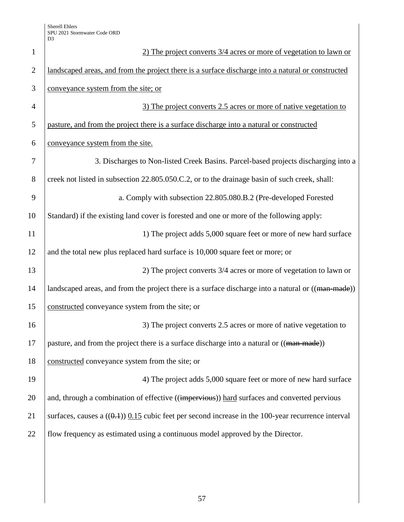| $\mathbf{1}$   | 2) The project converts 3/4 acres or more of vegetation to lawn or                                   |
|----------------|------------------------------------------------------------------------------------------------------|
| $\overline{2}$ | landscaped areas, and from the project there is a surface discharge into a natural or constructed    |
| 3              | conveyance system from the site; or                                                                  |
| $\overline{4}$ | 3) The project converts 2.5 acres or more of native vegetation to                                    |
| 5              | pasture, and from the project there is a surface discharge into a natural or constructed             |
| 6              | conveyance system from the site.                                                                     |
| 7              | 3. Discharges to Non-listed Creek Basins. Parcel-based projects discharging into a                   |
| 8              | creek not listed in subsection 22.805.050.C.2, or to the drainage basin of such creek, shall:        |
| 9              | a. Comply with subsection 22.805.080.B.2 (Pre-developed Forested                                     |
| 10             | Standard) if the existing land cover is forested and one or more of the following apply:             |
| 11             | 1) The project adds 5,000 square feet or more of new hard surface                                    |
| 12             | and the total new plus replaced hard surface is 10,000 square feet or more; or                       |
| 13             | 2) The project converts 3/4 acres or more of vegetation to lawn or                                   |
| 14             | landscaped areas, and from the project there is a surface discharge into a natural or ((man-made))   |
| 15             | constructed conveyance system from the site; or                                                      |
| 16             | 3) The project converts 2.5 acres or more of native vegetation to                                    |
| 17             | pasture, and from the project there is a surface discharge into a natural or ((man-made))            |
| 18             | constructed conveyance system from the site; or                                                      |
| 19             | 4) The project adds 5,000 square feet or more of new hard surface                                    |
| 20             | and, through a combination of effective ((impervious)) hard surfaces and converted pervious          |
| 21             | surfaces, causes a $((0.1))$ 0.15 cubic feet per second increase in the 100-year recurrence interval |
| 22             | flow frequency as estimated using a continuous model approved by the Director.                       |
|                |                                                                                                      |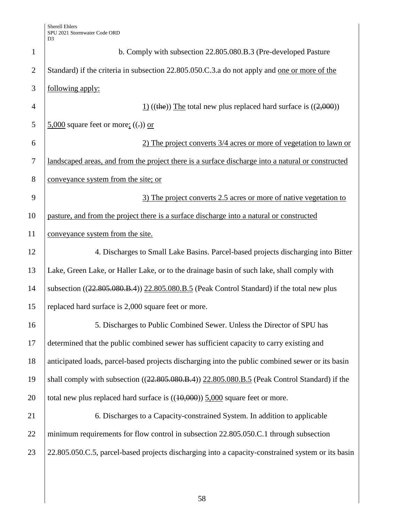| $\mathbf{1}$   | b. Comply with subsection 22.805.080.B.3 (Pre-developed Pasture                                     |  |  |
|----------------|-----------------------------------------------------------------------------------------------------|--|--|
| $\overline{2}$ | Standard) if the criteria in subsection 22.805.050.C.3.a do not apply and one or more of the        |  |  |
| 3              | following apply:                                                                                    |  |  |
| $\overline{4}$ | $\underline{1}$ ((the)) The total new plus replaced hard surface is ((2,000))                       |  |  |
| 5              | $5,000$ square feet or more; $((.) )$ or                                                            |  |  |
| 6              | 2) The project converts 3/4 acres or more of vegetation to lawn or                                  |  |  |
| $\tau$         | landscaped areas, and from the project there is a surface discharge into a natural or constructed   |  |  |
| 8              | conveyance system from the site; or                                                                 |  |  |
| 9              | 3) The project converts 2.5 acres or more of native vegetation to                                   |  |  |
| 10             | pasture, and from the project there is a surface discharge into a natural or constructed            |  |  |
| 11             | conveyance system from the site.                                                                    |  |  |
| 12             | 4. Discharges to Small Lake Basins. Parcel-based projects discharging into Bitter                   |  |  |
| 13             | Lake, Green Lake, or Haller Lake, or to the drainage basin of such lake, shall comply with          |  |  |
| 14             | subsection $((22.805.080.B.4))$ $(22.805.080.B.5)$ (Peak Control Standard) if the total new plus    |  |  |
| 15             | replaced hard surface is 2,000 square feet or more.                                                 |  |  |
| 16             | 5. Discharges to Public Combined Sewer. Unless the Director of SPU has                              |  |  |
| 17             | determined that the public combined sewer has sufficient capacity to carry existing and             |  |  |
| 18             | anticipated loads, parcel-based projects discharging into the public combined sewer or its basin    |  |  |
| 19             | shall comply with subsection $((22.805.080.B.4))$ $(22.805.080.B.5)$ (Peak Control Standard) if the |  |  |
| 20             | total new plus replaced hard surface is $((10,000))$ 5,000 square feet or more.                     |  |  |
| 21             | 6. Discharges to a Capacity-constrained System. In addition to applicable                           |  |  |
| 22             | minimum requirements for flow control in subsection 22.805.050.C.1 through subsection               |  |  |
| 23             | 22.805.050.C.5, parcel-based projects discharging into a capacity-constrained system or its basin   |  |  |
|                |                                                                                                     |  |  |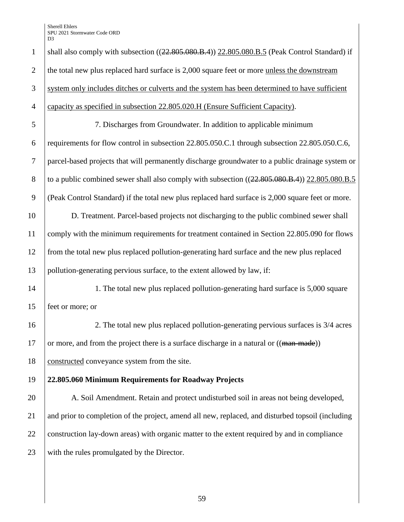1 shall also comply with subsection  $((22.805.080.B.4))$  22.805.080.B.5 (Peak Control Standard) if 2 the total new plus replaced hard surface is 2,000 square feet or more unless the downstream system only includes ditches or culverts and the system has been determined to have sufficient capacity as specified in subsection 22.805.020.H (Ensure Sufficient Capacity). 7. Discharges from Groundwater. In addition to applicable minimum requirements for flow control in subsection 22.805.050.C.1 through subsection 22.805.050.C.6, parcel-based projects that will permanently discharge groundwater to a public drainage system or 8 to a public combined sewer shall also comply with subsection  $((22.805.080.B.4))$  22.805.080.B.5 (Peak Control Standard) if the total new plus replaced hard surface is 2,000 square feet or more. D. Treatment. Parcel-based projects not discharging to the public combined sewer shall comply with the minimum requirements for treatment contained in Section 22.805.090 for flows from the total new plus replaced pollution-generating hard surface and the new plus replaced pollution-generating pervious surface, to the extent allowed by law, if: 14 1. The total new plus replaced pollution-generating hard surface is 5,000 square feet or more; or 2. The total new plus replaced pollution-generating pervious surfaces is 3/4 acres 17 or more, and from the project there is a surface discharge in a natural or  $((\text{man-made}))$ 18 constructed conveyance system from the site. **22.805.060 Minimum Requirements for Roadway Projects**  20 A. Soil Amendment. Retain and protect undisturbed soil in areas not being developed, and prior to completion of the project, amend all new, replaced, and disturbed topsoil (including 22 construction lay-down areas) with organic matter to the extent required by and in compliance 23 with the rules promulgated by the Director.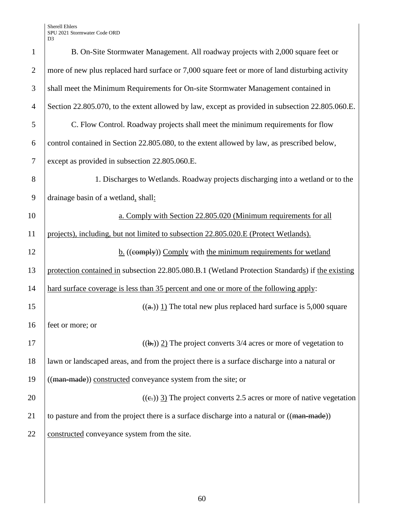| $\mathbf{1}$   | B. On-Site Stormwater Management. All roadway projects with 2,000 square feet or                 |  |  |
|----------------|--------------------------------------------------------------------------------------------------|--|--|
| $\overline{2}$ | more of new plus replaced hard surface or 7,000 square feet or more of land disturbing activity  |  |  |
| 3              | shall meet the Minimum Requirements for On-site Stormwater Management contained in               |  |  |
| $\overline{4}$ | Section 22.805.070, to the extent allowed by law, except as provided in subsection 22.805.060.E. |  |  |
| 5              | C. Flow Control. Roadway projects shall meet the minimum requirements for flow                   |  |  |
| 6              | control contained in Section 22.805.080, to the extent allowed by law, as prescribed below,      |  |  |
| $\tau$         | except as provided in subsection 22.805.060.E.                                                   |  |  |
| 8              | 1. Discharges to Wetlands. Roadway projects discharging into a wetland or to the                 |  |  |
| 9              | drainage basin of a wetland, shall:                                                              |  |  |
| 10             | a. Comply with Section 22.805.020 (Minimum requirements for all                                  |  |  |
| 11             | projects), including, but not limited to subsection 22.805.020.E (Protect Wetlands).             |  |  |
| 12             | $\underline{b}$ . ((comply)) Comply with the minimum requirements for wetland                    |  |  |
| 13             | protection contained in subsection 22.805.080.B.1 (Wetland Protection Standards) if the existing |  |  |
| 14             | hard surface coverage is less than 35 percent and one or more of the following apply:            |  |  |
| 15             | $((a))$ 1) The total new plus replaced hard surface is 5,000 square                              |  |  |
| 16             | feet or more; or                                                                                 |  |  |
| 17             | $((\mathbf{b})$ ) 2) The project converts 3/4 acres or more of vegetation to                     |  |  |
| 18             | lawn or landscaped areas, and from the project there is a surface discharge into a natural or    |  |  |
| 19             | ((man-made)) constructed conveyance system from the site; or                                     |  |  |
| 20             | $((e))$ 3) The project converts 2.5 acres or more of native vegetation                           |  |  |
| 21             | to pasture and from the project there is a surface discharge into a natural or ((man-made))      |  |  |
| 22             | constructed conveyance system from the site.                                                     |  |  |
|                |                                                                                                  |  |  |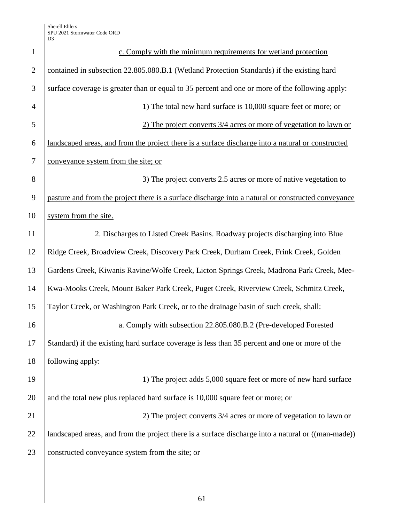| $\mathbf{1}$   | c. Comply with the minimum requirements for wetland protection                                     |  |  |
|----------------|----------------------------------------------------------------------------------------------------|--|--|
| $\overline{2}$ | contained in subsection 22.805.080.B.1 (Wetland Protection Standards) if the existing hard         |  |  |
| 3              | surface coverage is greater than or equal to 35 percent and one or more of the following apply:    |  |  |
| $\overline{4}$ | 1) The total new hard surface is 10,000 square feet or more; or                                    |  |  |
| 5              | 2) The project converts 3/4 acres or more of vegetation to lawn or                                 |  |  |
| 6              | landscaped areas, and from the project there is a surface discharge into a natural or constructed  |  |  |
| 7              | conveyance system from the site; or                                                                |  |  |
| 8              | 3) The project converts 2.5 acres or more of native vegetation to                                  |  |  |
| 9              | pasture and from the project there is a surface discharge into a natural or constructed conveyance |  |  |
| 10             | system from the site.                                                                              |  |  |
| 11             | 2. Discharges to Listed Creek Basins. Roadway projects discharging into Blue                       |  |  |
| 12             | Ridge Creek, Broadview Creek, Discovery Park Creek, Durham Creek, Frink Creek, Golden              |  |  |
| 13             | Gardens Creek, Kiwanis Ravine/Wolfe Creek, Licton Springs Creek, Madrona Park Creek, Mee-          |  |  |
| 14             | Kwa-Mooks Creek, Mount Baker Park Creek, Puget Creek, Riverview Creek, Schmitz Creek,              |  |  |
| 15             | Taylor Creek, or Washington Park Creek, or to the drainage basin of such creek, shall:             |  |  |
| 16             | a. Comply with subsection 22.805.080.B.2 (Pre-developed Forested                                   |  |  |
| 17             | Standard) if the existing hard surface coverage is less than 35 percent and one or more of the     |  |  |
| 18             | following apply:                                                                                   |  |  |
| 19             | 1) The project adds 5,000 square feet or more of new hard surface                                  |  |  |
| 20             | and the total new plus replaced hard surface is 10,000 square feet or more; or                     |  |  |
| 21             | 2) The project converts 3/4 acres or more of vegetation to lawn or                                 |  |  |
| 22             | landscaped areas, and from the project there is a surface discharge into a natural or ((man-made)) |  |  |
| 23             | constructed conveyance system from the site; or                                                    |  |  |
|                |                                                                                                    |  |  |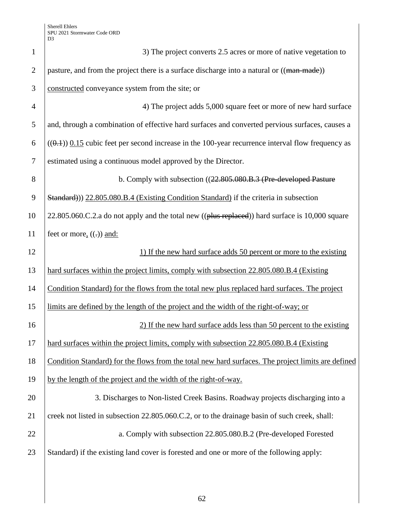| $\mathbf{1}$   | 3) The project converts 2.5 acres or more of native vegetation to                                   |  |
|----------------|-----------------------------------------------------------------------------------------------------|--|
| $\overline{2}$ | pasture, and from the project there is a surface discharge into a natural or ((man-made))           |  |
| 3              | constructed conveyance system from the site; or                                                     |  |
| $\overline{4}$ | 4) The project adds 5,000 square feet or more of new hard surface                                   |  |
| 5              | and, through a combination of effective hard surfaces and converted pervious surfaces, causes a     |  |
| 6              | $((0.4))$ 0.15 cubic feet per second increase in the 100-year recurrence interval flow frequency as |  |
| $\tau$         | estimated using a continuous model approved by the Director.                                        |  |
| 8              | b. Comply with subsection ((22.805.080.B.3 (Pre-developed Pasture                                   |  |
| 9              | Standard)) 22.805.080.B.4 (Existing Condition Standard) if the criteria in subsection               |  |
| 10             | 22.805.060.C.2.a do not apply and the total new ((plus replaced)) hard surface is 10,000 square     |  |
| 11             | feet or more, $((.)$ and:                                                                           |  |
| 12             | 1) If the new hard surface adds 50 percent or more to the existing                                  |  |
| 13             | hard surfaces within the project limits, comply with subsection 22.805.080.B.4 (Existing            |  |
| 14             | Condition Standard) for the flows from the total new plus replaced hard surfaces. The project       |  |
| 15             | limits are defined by the length of the project and the width of the right-of-way; or               |  |
| 16             | 2) If the new hard surface adds less than 50 percent to the existing                                |  |
| 17             | hard surfaces within the project limits, comply with subsection 22.805.080.B.4 (Existing            |  |
| 18             | Condition Standard) for the flows from the total new hard surfaces. The project limits are defined  |  |
| 19             | by the length of the project and the width of the right-of-way.                                     |  |
| 20             | 3. Discharges to Non-listed Creek Basins. Roadway projects discharging into a                       |  |
| 21             | creek not listed in subsection 22.805.060.C.2, or to the drainage basin of such creek, shall:       |  |
| 22             | a. Comply with subsection 22.805.080.B.2 (Pre-developed Forested                                    |  |
| 23             | Standard) if the existing land cover is forested and one or more of the following apply:            |  |
|                |                                                                                                     |  |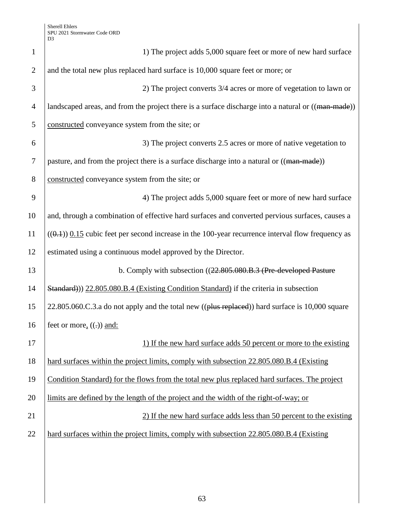| $\mathbf{1}$   | 1) The project adds 5,000 square feet or more of new hard surface                                   |  |  |
|----------------|-----------------------------------------------------------------------------------------------------|--|--|
| $\overline{2}$ | and the total new plus replaced hard surface is 10,000 square feet or more; or                      |  |  |
| 3              | 2) The project converts 3/4 acres or more of vegetation to lawn or                                  |  |  |
| $\overline{4}$ | landscaped areas, and from the project there is a surface discharge into a natural or ((man-made))  |  |  |
| 5              | constructed conveyance system from the site; or                                                     |  |  |
| 6              | 3) The project converts 2.5 acres or more of native vegetation to                                   |  |  |
| 7              | pasture, and from the project there is a surface discharge into a natural or ((man made))           |  |  |
| 8              | constructed conveyance system from the site; or                                                     |  |  |
| 9              | 4) The project adds 5,000 square feet or more of new hard surface                                   |  |  |
| 10             | and, through a combination of effective hard surfaces and converted pervious surfaces, causes a     |  |  |
| 11             | $((0.1))$ 0.15 cubic feet per second increase in the 100-year recurrence interval flow frequency as |  |  |
| 12             | estimated using a continuous model approved by the Director.                                        |  |  |
| 13             | b. Comply with subsection ((22.805.080.B.3 (Pre-developed Pasture                                   |  |  |
| 14             | Standard)) 22.805.080.B.4 (Existing Condition Standard) if the criteria in subsection               |  |  |
| 15             | 22.805.060.C.3.a do not apply and the total new ((plus replaced)) hard surface is 10,000 square     |  |  |
| 16             | feet or more, $((.)$ and:                                                                           |  |  |
| 17             | 1) If the new hard surface adds 50 percent or more to the existing                                  |  |  |
| 18             | hard surfaces within the project limits, comply with subsection 22.805.080.B.4 (Existing            |  |  |
| 19             | Condition Standard) for the flows from the total new plus replaced hard surfaces. The project       |  |  |
| 20             | limits are defined by the length of the project and the width of the right-of-way; or               |  |  |
| 21             | 2) If the new hard surface adds less than 50 percent to the existing                                |  |  |
| 22             | hard surfaces within the project limits, comply with subsection 22.805.080.B.4 (Existing            |  |  |
|                |                                                                                                     |  |  |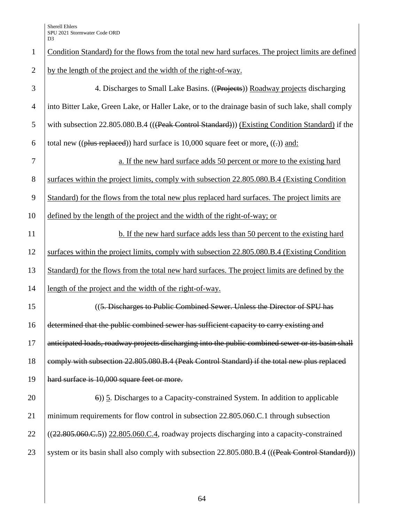| $\mathbf{1}$   | Condition Standard) for the flows from the total new hard surfaces. The project limits are defined |  |  |
|----------------|----------------------------------------------------------------------------------------------------|--|--|
| $\mathbf{2}$   | by the length of the project and the width of the right-of-way.                                    |  |  |
| 3              | 4. Discharges to Small Lake Basins. ((Projects)) Roadway projects discharging                      |  |  |
| $\overline{4}$ | into Bitter Lake, Green Lake, or Haller Lake, or to the drainage basin of such lake, shall comply  |  |  |
| 5              | with subsection 22.805.080.B.4 (((Peak Control Standard))) (Existing Condition Standard) if the    |  |  |
| 6              | total new (( $\theta$ lus replaced)) hard surface is 10,000 square feet or more, ((-)) and:        |  |  |
| $\tau$         | a. If the new hard surface adds 50 percent or more to the existing hard                            |  |  |
| 8              | surfaces within the project limits, comply with subsection 22.805.080.B.4 (Existing Condition      |  |  |
| 9              | Standard) for the flows from the total new plus replaced hard surfaces. The project limits are     |  |  |
| 10             | defined by the length of the project and the width of the right-of-way; or                         |  |  |
| 11             | b. If the new hard surface adds less than 50 percent to the existing hard                          |  |  |
| 12             | surfaces within the project limits, comply with subsection 22.805.080.B.4 (Existing Condition      |  |  |
| 13             | Standard) for the flows from the total new hard surfaces. The project limits are defined by the    |  |  |
| 14             | length of the project and the width of the right-of-way.                                           |  |  |
| 15             | ((5. Discharges to Public Combined Sewer. Unless the Director of SPU has                           |  |  |
| 16             | determined that the public combined sewer has sufficient capacity to carry existing and            |  |  |
| 17             | anticipated loads, roadway projects discharging into the public combined sewer or its basin shall  |  |  |
| 18             | comply with subsection 22.805.080.B.4 (Peak Control Standard) if the total new plus replaced       |  |  |
| 19             | hard surface is 10,000 square feet or more.                                                        |  |  |
| 20             | $\epsilon$ )) 5. Discharges to a Capacity-constrained System. In addition to applicable            |  |  |
| 21             | minimum requirements for flow control in subsection 22.805.060.C.1 through subsection              |  |  |
| 22             | $((22.805.060.C.5))$ $(22.805.060.C.4,$ roadway projects discharging into a capacity-constrained   |  |  |
| 23             | system or its basin shall also comply with subsection 22.805.080.B.4 (((Peak Control Standard)))   |  |  |
|                |                                                                                                    |  |  |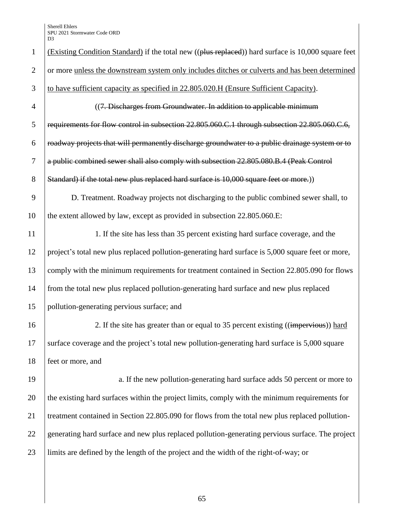| $\mathbf{1}$   | (Existing Condition Standard) if the total new ((plus replaced)) hard surface is 10,000 square feet |
|----------------|-----------------------------------------------------------------------------------------------------|
| $\overline{2}$ | or more unless the downstream system only includes ditches or culverts and has been determined      |
| 3              | to have sufficient capacity as specified in 22.805.020.H (Ensure Sufficient Capacity).              |
| 4              | ((7. Discharges from Groundwater. In addition to applicable minimum                                 |
| 5              | requirements for flow control in subsection 22.805.060.C.1 through subsection 22.805.060.C.6,       |
| 6              | roadway projects that will permanently discharge groundwater to a public drainage system or to      |
| $\tau$         | a public combined sewer shall also comply with subsection 22.805.080.B.4 (Peak Control              |
| 8              | Standard) if the total new plus replaced hard surface is 10,000 square feet or more.)               |
| 9              | D. Treatment. Roadway projects not discharging to the public combined sewer shall, to               |
| 10             | the extent allowed by law, except as provided in subsection 22.805.060.E:                           |
| 11             | 1. If the site has less than 35 percent existing hard surface coverage, and the                     |
| 12             | project's total new plus replaced pollution-generating hard surface is 5,000 square feet or more,   |
| 13             | comply with the minimum requirements for treatment contained in Section 22.805.090 for flows        |
| 14             | from the total new plus replaced pollution-generating hard surface and new plus replaced            |
| 15             | pollution-generating pervious surface; and                                                          |
| 16             | 2. If the site has greater than or equal to 35 percent existing ((impervious)) hard                 |
| 17             | surface coverage and the project's total new pollution-generating hard surface is 5,000 square      |
| 18             | feet or more, and                                                                                   |
| 19             | a. If the new pollution-generating hard surface adds 50 percent or more to                          |
| 20             | the existing hard surfaces within the project limits, comply with the minimum requirements for      |
| 21             | treatment contained in Section 22.805.090 for flows from the total new plus replaced pollution-     |
| 22             | generating hard surface and new plus replaced pollution-generating pervious surface. The project    |
| 23             | limits are defined by the length of the project and the width of the right-of-way; or               |
|                |                                                                                                     |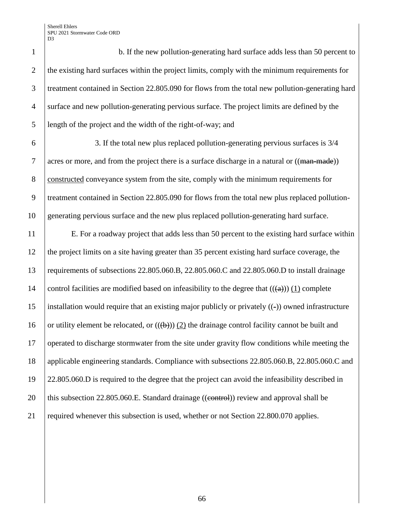b. If the new pollution-generating hard surface adds less than 50 percent to 2 the existing hard surfaces within the project limits, comply with the minimum requirements for treatment contained in Section 22.805.090 for flows from the total new pollution-generating hard surface and new pollution-generating pervious surface. The project limits are defined by the length of the project and the width of the right-of-way; and

6 3. If the total new plus replaced pollution-generating pervious surfaces is 3/4 7 acres or more, and from the project there is a surface discharge in a natural or  $((\text{man-made}))$ 8 constructed conveyance system from the site, comply with the minimum requirements for 9 treatment contained in Section 22.805.090 for flows from the total new plus replaced pollution-10 generating pervious surface and the new plus replaced pollution-generating hard surface.

 E. For a roadway project that adds less than 50 percent to the existing hard surface within the project limits on a site having greater than 35 percent existing hard surface coverage, the requirements of subsections 22.805.060.B, 22.805.060.C and 22.805.060.D to install drainage 14 control facilities are modified based on infeasibility to the degree that  $((\theta))$  (1) complete installation would require that an existing major publicly or privately ((-)) owned infrastructure 16 or utility element be relocated, or  $((\theta))$  (2) the drainage control facility cannot be built and operated to discharge stormwater from the site under gravity flow conditions while meeting the applicable engineering standards. Compliance with subsections 22.805.060.B, 22.805.060.C and 22.805.060.D is required to the degree that the project can avoid the infeasibility described in 20 | this subsection 22.805.060.E. Standard drainage ((control)) review and approval shall be 21 required whenever this subsection is used, whether or not Section 22.800.070 applies.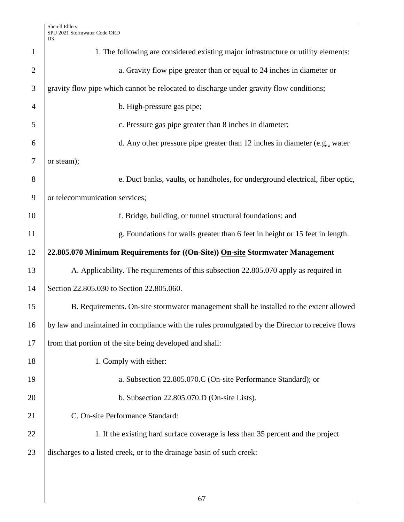| $\mathbf{1}$   | 1. The following are considered existing major infrastructure or utility elements:              |  |  |
|----------------|-------------------------------------------------------------------------------------------------|--|--|
| $\overline{2}$ | a. Gravity flow pipe greater than or equal to 24 inches in diameter or                          |  |  |
| 3              | gravity flow pipe which cannot be relocated to discharge under gravity flow conditions;         |  |  |
| $\overline{4}$ | b. High-pressure gas pipe;                                                                      |  |  |
| 5              | c. Pressure gas pipe greater than 8 inches in diameter;                                         |  |  |
| 6              | d. Any other pressure pipe greater than 12 inches in diameter (e.g., water                      |  |  |
| 7              | or steam);                                                                                      |  |  |
| 8              | e. Duct banks, vaults, or handholes, for underground electrical, fiber optic,                   |  |  |
| 9              | or telecommunication services;                                                                  |  |  |
| 10             | f. Bridge, building, or tunnel structural foundations; and                                      |  |  |
| 11             | g. Foundations for walls greater than 6 feet in height or 15 feet in length.                    |  |  |
| 12             | 22.805.070 Minimum Requirements for ((On-Site)) On-site Stormwater Management                   |  |  |
| 13             | A. Applicability. The requirements of this subsection 22.805.070 apply as required in           |  |  |
| 14             | Section 22.805.030 to Section 22.805.060.                                                       |  |  |
| 15             | B. Requirements. On-site stormwater management shall be installed to the extent allowed         |  |  |
| 16             | by law and maintained in compliance with the rules promulgated by the Director to receive flows |  |  |
| 17             | from that portion of the site being developed and shall:                                        |  |  |
| 18             | 1. Comply with either:                                                                          |  |  |
| 19             | a. Subsection 22.805.070.C (On-site Performance Standard); or                                   |  |  |
| 20             | b. Subsection 22.805.070.D (On-site Lists).                                                     |  |  |
| 21             | C. On-site Performance Standard:                                                                |  |  |
| 22             | 1. If the existing hard surface coverage is less than 35 percent and the project                |  |  |
| 23             | discharges to a listed creek, or to the drainage basin of such creek:                           |  |  |
|                |                                                                                                 |  |  |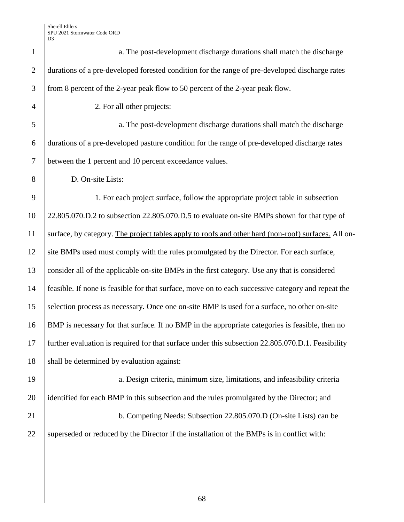| $\mathbf{1}$   | a. The post-development discharge durations shall match the discharge                               |  |
|----------------|-----------------------------------------------------------------------------------------------------|--|
| $\overline{2}$ | durations of a pre-developed forested condition for the range of pre-developed discharge rates      |  |
| 3              | from 8 percent of the 2-year peak flow to 50 percent of the 2-year peak flow.                       |  |
| $\overline{4}$ | 2. For all other projects:                                                                          |  |
| 5              | a. The post-development discharge durations shall match the discharge                               |  |
| 6              | durations of a pre-developed pasture condition for the range of pre-developed discharge rates       |  |
| $\tau$         | between the 1 percent and 10 percent exceedance values.                                             |  |
| 8              | D. On-site Lists:                                                                                   |  |
| 9              | 1. For each project surface, follow the appropriate project table in subsection                     |  |
| 10             | 22.805.070.D.2 to subsection 22.805.070.D.5 to evaluate on-site BMPs shown for that type of         |  |
| 11             | surface, by category. The project tables apply to roofs and other hard (non-roof) surfaces. All on- |  |
| 12             | site BMPs used must comply with the rules promulgated by the Director. For each surface,            |  |
| 13             | consider all of the applicable on-site BMPs in the first category. Use any that is considered       |  |
| 14             | feasible. If none is feasible for that surface, move on to each successive category and repeat the  |  |
| 15             | selection process as necessary. Once one on-site BMP is used for a surface, no other on-site        |  |
| 16             | BMP is necessary for that surface. If no BMP in the appropriate categories is feasible, then no     |  |
| 17             | further evaluation is required for that surface under this subsection 22.805.070.D.1. Feasibility   |  |
| 18             | shall be determined by evaluation against:                                                          |  |
| 19             | a. Design criteria, minimum size, limitations, and infeasibility criteria                           |  |
| 20             | identified for each BMP in this subsection and the rules promulgated by the Director; and           |  |
| 21             | b. Competing Needs: Subsection 22.805.070.D (On-site Lists) can be                                  |  |
| 22             | superseded or reduced by the Director if the installation of the BMPs is in conflict with:          |  |
|                |                                                                                                     |  |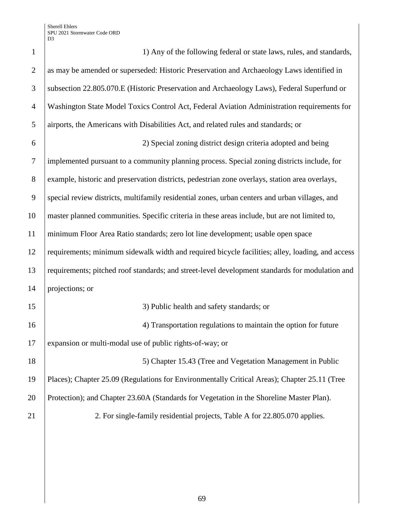| $\mathbf{1}$   | 1) Any of the following federal or state laws, rules, and standards,                             |  |  |
|----------------|--------------------------------------------------------------------------------------------------|--|--|
| $\overline{2}$ | as may be amended or superseded: Historic Preservation and Archaeology Laws identified in        |  |  |
| 3              | subsection 22.805.070.E (Historic Preservation and Archaeology Laws), Federal Superfund or       |  |  |
| $\overline{4}$ | Washington State Model Toxics Control Act, Federal Aviation Administration requirements for      |  |  |
| 5              | airports, the Americans with Disabilities Act, and related rules and standards; or               |  |  |
| 6              | 2) Special zoning district design criteria adopted and being                                     |  |  |
| $\tau$         | implemented pursuant to a community planning process. Special zoning districts include, for      |  |  |
| 8              | example, historic and preservation districts, pedestrian zone overlays, station area overlays,   |  |  |
| 9              | special review districts, multifamily residential zones, urban centers and urban villages, and   |  |  |
| 10             | master planned communities. Specific criteria in these areas include, but are not limited to,    |  |  |
| 11             | minimum Floor Area Ratio standards; zero lot line development; usable open space                 |  |  |
| 12             | requirements; minimum sidewalk width and required bicycle facilities; alley, loading, and access |  |  |
| 13             | requirements; pitched roof standards; and street-level development standards for modulation and  |  |  |
| 14             | projections; or                                                                                  |  |  |
| 15             | 3) Public health and safety standards; or                                                        |  |  |
| 16             | 4) Transportation regulations to maintain the option for future                                  |  |  |
| 17             | expansion or multi-modal use of public rights-of-way; or                                         |  |  |
| 18             | 5) Chapter 15.43 (Tree and Vegetation Management in Public                                       |  |  |
| 19             | Places); Chapter 25.09 (Regulations for Environmentally Critical Areas); Chapter 25.11 (Tree     |  |  |
| 20             | Protection); and Chapter 23.60A (Standards for Vegetation in the Shoreline Master Plan).         |  |  |
| 21             | 2. For single-family residential projects, Table A for 22.805.070 applies.                       |  |  |
|                |                                                                                                  |  |  |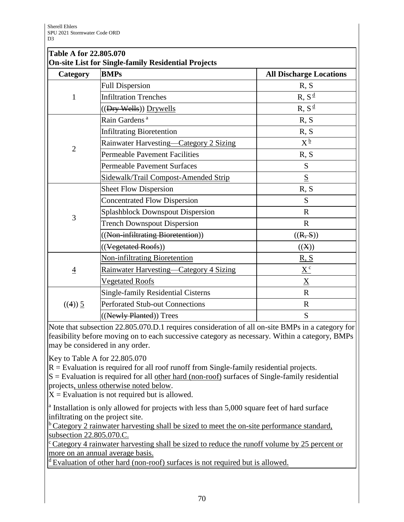| Table A for 22.805.070                                     |                                         |                                |  |
|------------------------------------------------------------|-----------------------------------------|--------------------------------|--|
| <b>On-site List for Single-family Residential Projects</b> |                                         |                                |  |
| Category                                                   | <b>BMPs</b>                             | <b>All Discharge Locations</b> |  |
|                                                            | <b>Full Dispersion</b>                  | R, S                           |  |
| 1                                                          | <b>Infiltration Trenches</b>            | $R, S^{\underline{d}}$         |  |
|                                                            | $((Dry\,Wells))$ Drywells               | $R, S^{\frac{d}{2}}$           |  |
|                                                            | Rain Gardens <sup>a</sup>               | R, S                           |  |
|                                                            | <b>Infiltrating Bioretention</b>        | R, S                           |  |
| $\overline{2}$                                             | Rainwater Harvesting-Category 2 Sizing  | $X^{\frac{b}{}}$               |  |
|                                                            | <b>Permeable Pavement Facilities</b>    | R, S                           |  |
|                                                            | <b>Permeable Pavement Surfaces</b>      | S                              |  |
|                                                            | Sidewalk/Trail Compost-Amended Strip    | $\underline{\mathbf{S}}$       |  |
|                                                            | <b>Sheet Flow Dispersion</b>            | R, S                           |  |
|                                                            | <b>Concentrated Flow Dispersion</b>     | S                              |  |
| 3                                                          | <b>Splashblock Downspout Dispersion</b> | $\mathbf R$                    |  |
|                                                            | <b>Trench Downspout Dispersion</b>      | $\mathbf R$                    |  |
|                                                            | ((Non-infiltrating Bioretention))       | ((R, S))                       |  |
|                                                            | ((Vegetated Roofs))                     | ((X))                          |  |
|                                                            | <b>Non-infiltrating Bioretention</b>    | <u>R, S</u>                    |  |
| $\overline{4}$                                             | Rainwater Harvesting—Category 4 Sizing  | $\underline{X}^c$              |  |
|                                                            | <b>Vegetated Roofs</b>                  | $\underline{X}$                |  |
|                                                            | Single-family Residential Cisterns      | $\mathbf R$                    |  |
| ((4)) 5                                                    | <b>Perforated Stub-out Connections</b>  | $\mathbf R$                    |  |
|                                                            | ((Newly Planted)) Trees                 | S                              |  |

Note that subsection 22.805.070.D.1 requires consideration of all on-site BMPs in a category for feasibility before moving on to each successive category as necessary. Within a category, BMPs may be considered in any order.

Key to Table A for 22.805.070

 $R =$  Evaluation is required for all roof runoff from Single-family residential projects.

 $S =$  Evaluation is required for all other hard (non-roof) surfaces of Single-family residential projects, unless otherwise noted below.

 $X =$  Evaluation is not required but is allowed.

<sup>a</sup> Installation is only allowed for projects with less than 5,000 square feet of hard surface infiltrating on the project site.

 $b$ Category 2 rainwater harvesting shall be sized to meet the on-site performance standard, subsection 22.805.070.C.

 $\textdegree$  Category 4 rainwater harvesting shall be sized to reduce the runoff volume by 25 percent or more on an annual average basis.

<sup>d</sup> Evaluation of other hard (non-roof) surfaces is not required but is allowed.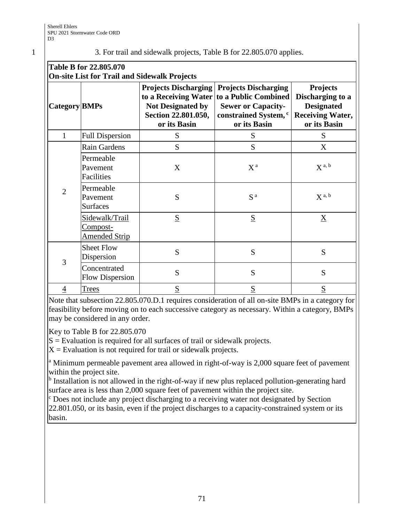## 1 3. For trail and sidewalk projects, Table B for 22.805.070 applies.

| <b>Table B for 22.805.070</b>                       |  |
|-----------------------------------------------------|--|
| <b>On-site List for Trail and Sidewalk Projects</b> |  |

| on site list for trun and sidewaik I rejects |                                                           |                                                                                         |                                                                                                                                                           |                                                                                                     |  |  |
|----------------------------------------------|-----------------------------------------------------------|-----------------------------------------------------------------------------------------|-----------------------------------------------------------------------------------------------------------------------------------------------------------|-----------------------------------------------------------------------------------------------------|--|--|
| Category BMPs                                |                                                           | <b>Projects Discharging</b><br>Not Designated by<br>Section 22.801.050,<br>or its Basin | <b>Projects Discharging</b><br>to a Receiving Water to a Public Combined<br><b>Sewer or Capacity-</b><br>constrained System, <sup>c</sup><br>or its Basin | <b>Projects</b><br>Discharging to a<br><b>Designated</b><br><b>Receiving Water,</b><br>or its Basin |  |  |
| $\mathbf{1}$                                 | <b>Full Dispersion</b>                                    | S                                                                                       | S                                                                                                                                                         | S                                                                                                   |  |  |
| $\overline{2}$                               | Rain Gardens                                              | S                                                                                       | S                                                                                                                                                         | X                                                                                                   |  |  |
|                                              | Permeable<br>Pavement<br>Facilities                       | X                                                                                       | $X^{\mathfrak{a}}$                                                                                                                                        | $X^{a, b}$                                                                                          |  |  |
|                                              | Permeable<br>Pavement<br><b>Surfaces</b>                  | S                                                                                       | S <sup>a</sup>                                                                                                                                            | $X^{a, b}$                                                                                          |  |  |
|                                              | Sidewalk/Trail<br><u>Compost-</u><br><b>Amended Strip</b> | S                                                                                       | $\underline{S}$                                                                                                                                           | $\underline{X}$                                                                                     |  |  |
| 3                                            | <b>Sheet Flow</b><br>Dispersion                           | S                                                                                       | S                                                                                                                                                         | S                                                                                                   |  |  |
|                                              | Concentrated<br><b>Flow Dispersion</b>                    | S                                                                                       | S                                                                                                                                                         | S                                                                                                   |  |  |
| $\overline{4}$                               | <b>Trees</b>                                              | S                                                                                       | S                                                                                                                                                         | S                                                                                                   |  |  |

Note that subsection 22.805.070.D.1 requires consideration of all on-site BMPs in a category for feasibility before moving on to each successive category as necessary. Within a category, BMPs may be considered in any order.

Key to Table B for 22.805.070

 $S =$  Evaluation is required for all surfaces of trail or sidewalk projects.

 $X =$  Evaluation is not required for trail or sidewalk projects.

<sup>a</sup> Minimum permeable pavement area allowed in right-of-way is 2,000 square feet of pavement within the project site.

<sup>b</sup> Installation is not allowed in the right-of-way if new plus replaced pollution-generating hard surface area is less than 2,000 square feet of pavement within the project site.

<sup>c</sup> Does not include any project discharging to a receiving water not designated by Section 22.801.050, or its basin, even if the project discharges to a capacity-constrained system or its basin.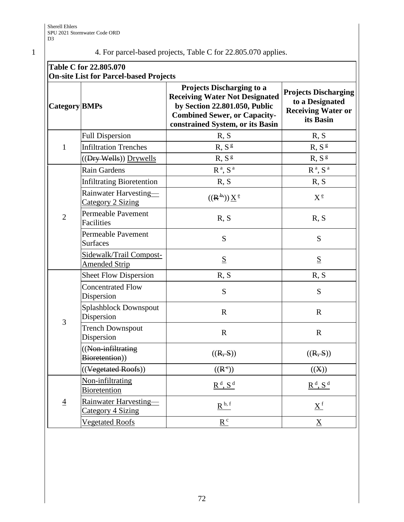# 1 4. For parcel-based projects, Table C for 22.805.070 applies.

| Table C for 22.805.070<br><b>On-site List for Parcel-based Projects</b> |                                                   |                                                                                                                                                                                       |                                                                                          |  |  |
|-------------------------------------------------------------------------|---------------------------------------------------|---------------------------------------------------------------------------------------------------------------------------------------------------------------------------------------|------------------------------------------------------------------------------------------|--|--|
| Category BMPs                                                           |                                                   | <b>Projects Discharging to a</b><br><b>Receiving Water Not Designated</b><br>by Section 22.801.050, Public<br><b>Combined Sewer, or Capacity-</b><br>constrained System, or its Basin | <b>Projects Discharging</b><br>to a Designated<br><b>Receiving Water or</b><br>its Basin |  |  |
| $\mathbf{1}$                                                            | <b>Full Dispersion</b>                            | R, S                                                                                                                                                                                  | R, S                                                                                     |  |  |
|                                                                         | <b>Infiltration Trenches</b>                      | R, S <sup>g</sup>                                                                                                                                                                     | R, S <sup>g</sup>                                                                        |  |  |
|                                                                         | ((Dry Wells)) Drywells                            | R, S <sup>g</sup>                                                                                                                                                                     | R, S <sup>g</sup>                                                                        |  |  |
| $\overline{2}$                                                          | Rain Gardens                                      | R <sup>a</sup> , S <sup>a</sup>                                                                                                                                                       | $\mathbf{R}^{\,\mathrm{a}},\,\mathbf{S}^{\,\mathrm{a}}$                                  |  |  |
|                                                                         | <b>Infiltrating Bioretention</b>                  | R, S                                                                                                                                                                                  | R, S                                                                                     |  |  |
|                                                                         | Rainwater Harvesting-<br>Category 2 Sizing        | $((R^{\overline{b}}))\underline{X}^{\underline{e}}$                                                                                                                                   | $X^{\underline{e}}$                                                                      |  |  |
|                                                                         | <b>Permeable Pavement</b><br>Facilities           | R, S                                                                                                                                                                                  | R, S                                                                                     |  |  |
|                                                                         | <b>Permeable Pavement</b><br><b>Surfaces</b>      | S                                                                                                                                                                                     | S                                                                                        |  |  |
|                                                                         | Sidewalk/Trail Compost-<br><b>Amended Strip</b>   | $\underline{\mathbf{S}}$                                                                                                                                                              | $\underline{S}$                                                                          |  |  |
| 3                                                                       | <b>Sheet Flow Dispersion</b>                      | R, S                                                                                                                                                                                  | R, S                                                                                     |  |  |
|                                                                         | <b>Concentrated Flow</b><br>Dispersion            | S                                                                                                                                                                                     | S                                                                                        |  |  |
|                                                                         | Splashblock Downspout<br>Dispersion               | $\mathbf R$                                                                                                                                                                           | $\mathbf R$                                                                              |  |  |
|                                                                         | <b>Trench Downspout</b><br>Dispersion             | $\mathbf R$                                                                                                                                                                           | $\mathbf R$                                                                              |  |  |
|                                                                         | ((Non-infiltrating<br>Bioretention))              | ((R, S))                                                                                                                                                                              | ((R, S))                                                                                 |  |  |
|                                                                         | ((Vegetated Roofs))                               | $((R^e))$                                                                                                                                                                             | ((X))                                                                                    |  |  |
| $\overline{4}$                                                          | Non-infiltrating<br><b>Bioretention</b>           | $R^d$ , $S^d$                                                                                                                                                                         | $R^d$ , $S^d$                                                                            |  |  |
|                                                                         | Rainwater Harvesting-<br><b>Category 4 Sizing</b> | $R^{b, f}$                                                                                                                                                                            | $\underline{X}^f$                                                                        |  |  |
|                                                                         | <b>Vegetated Roofs</b>                            | $\underline{R}^c$                                                                                                                                                                     | $\underline{X}$                                                                          |  |  |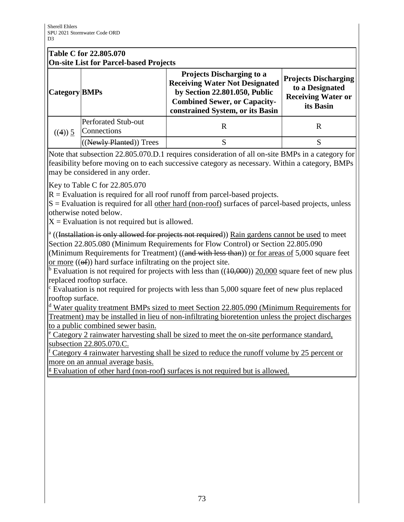## **Table C for 22.805.070 On-site List for Parcel-based Projects**

| On site list for Tareer sased Frojects |                                           |                                                                                                                                                                                       |                                                                                          |
|----------------------------------------|-------------------------------------------|---------------------------------------------------------------------------------------------------------------------------------------------------------------------------------------|------------------------------------------------------------------------------------------|
| <b>Category BMPs</b>                   |                                           | <b>Projects Discharging to a</b><br><b>Receiving Water Not Designated</b><br>by Section 22.801.050, Public<br><b>Combined Sewer, or Capacity-</b><br>constrained System, or its Basin | <b>Projects Discharging</b><br>to a Designated<br><b>Receiving Water or</b><br>its Basin |
| $((4))$ 5                              | <b>Perforated Stub-out</b><br>Connections | R                                                                                                                                                                                     |                                                                                          |
|                                        | (Newly Planted)) Trees                    |                                                                                                                                                                                       |                                                                                          |

Note that subsection 22.805.070.D.1 requires consideration of all on-site BMPs in a category for feasibility before moving on to each successive category as necessary. Within a category, BMPs may be considered in any order.

Key to Table C for 22.805.070

 $R =$  Evaluation is required for all roof runoff from parcel-based projects.

 $S =$  Evaluation is required for all other hard (non-roof) surfaces of parcel-based projects, unless otherwise noted below.

 $X =$  Evaluation is not required but is allowed.

<sup>a</sup> ((Installation is only allowed for projects not required)) Rain gardens cannot be used to meet Section 22.805.080 (Minimum Requirements for Flow Control) or Section 22.805.090

(Minimum Requirements for Treatment) ((and with less than)) or for areas of 5,000 square feet or more  $((\theta f))$  hard surface infiltrating on the project site.

<sup>b</sup> Evaluation is not required for projects with less than  $((10,000))$  20,000 square feet of new plus replaced rooftop surface.

 $\epsilon$  Evaluation is not required for projects with less than 5,000 square feet of new plus replaced rooftop surface.

<sup>d</sup> Water quality treatment BMPs sized to meet Section 22.805.090 (Minimum Requirements for Treatment) may be installed in lieu of non-infiltrating bioretention unless the project discharges to a public combined sewer basin.

<sup>e</sup> Category 2 rainwater harvesting shall be sized to meet the on-site performance standard, subsection 22.805.070.C.

<sup>f</sup> Category 4 rainwater harvesting shall be sized to reduce the runoff volume by 25 percent or more on an annual average basis.

<sup>g</sup> Evaluation of other hard (non-roof) surfaces is not required but is allowed.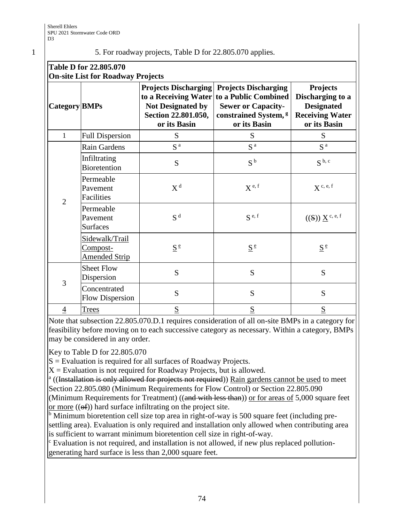## 1 5. For roadway projects, Table D for 22.805.070 applies.

| Table D for 22.805.070<br><b>On-site List for Roadway Projects</b> |                                                           |                                                                                                                        |                                                                                                                                      |                                                                                                    |
|--------------------------------------------------------------------|-----------------------------------------------------------|------------------------------------------------------------------------------------------------------------------------|--------------------------------------------------------------------------------------------------------------------------------------|----------------------------------------------------------------------------------------------------|
| <b>Category BMPs</b>                                               |                                                           | <b>Projects Discharging</b><br>to a Receiving Water<br><b>Not Designated by</b><br>Section 22.801.050,<br>or its Basin | <b>Projects Discharging</b><br>to a Public Combined<br><b>Sewer or Capacity-</b><br>constrained System, <sup>g</sup><br>or its Basin | <b>Projects</b><br>Discharging to a<br><b>Designated</b><br><b>Receiving Water</b><br>or its Basin |
| $\mathbf{1}$                                                       | <b>Full Dispersion</b>                                    | S                                                                                                                      | S                                                                                                                                    | S                                                                                                  |
|                                                                    | Rain Gardens                                              | S <sup>a</sup>                                                                                                         | S <sup>a</sup>                                                                                                                       | S <sup>a</sup>                                                                                     |
|                                                                    | Infiltrating<br><b>Bioretention</b>                       | S                                                                                                                      | S <sup>b</sup>                                                                                                                       | S <sup>b, c</sup>                                                                                  |
| $\overline{2}$                                                     | Permeable<br>Pavement<br>Facilities                       | $X^d$                                                                                                                  | $X^{\text{e, f}}$                                                                                                                    | $X^c$ , e, f                                                                                       |
|                                                                    | Permeable<br>Pavement<br><b>Surfaces</b>                  | S <sup>d</sup>                                                                                                         | $S^{e,f}$                                                                                                                            | $((S)) \underline{X}^{c, e, f}$                                                                    |
|                                                                    | Sidewalk/Trail<br><u>Compost-</u><br><b>Amended Strip</b> | $S^{\frac{e}{}}$                                                                                                       | $\underline{S}^e$                                                                                                                    | $S^{\frac{e}{}}$                                                                                   |
| 3                                                                  | <b>Sheet Flow</b><br>Dispersion                           | S                                                                                                                      | S                                                                                                                                    | S                                                                                                  |
|                                                                    | Concentrated<br><b>Flow Dispersion</b>                    | S                                                                                                                      | S                                                                                                                                    | S                                                                                                  |
| 4                                                                  | <b>Trees</b>                                              | S                                                                                                                      | S                                                                                                                                    | S                                                                                                  |

Note that subsection 22.805.070.D.1 requires consideration of all on-site BMPs in a category for feasibility before moving on to each successive category as necessary. Within a category, BMPs may be considered in any order.

Key to Table D for 22.805.070

 $S =$  Evaluation is required for all surfaces of Roadway Projects.

 $X =$  Evaluation is not required for Roadway Projects, but is allowed.

<sup>a</sup> ((Installation is only allowed for projects not required)) Rain gardens cannot be used to meet Section 22.805.080 (Minimum Requirements for Flow Control) or Section 22.805.090

(Minimum Requirements for Treatment) ((and with less than)) or for areas of 5,000 square feet or more  $((\theta f))$  hard surface infiltrating on the project site.

<sup>b</sup> Minimum bioretention cell size top area in right-of-way is 500 square feet (including presettling area). Evaluation is only required and installation only allowed when contributing area is sufficient to warrant minimum bioretention cell size in right-of-way.

<sup>c</sup> Evaluation is not required, and installation is not allowed, if new plus replaced pollutiongenerating hard surface is less than 2,000 square feet.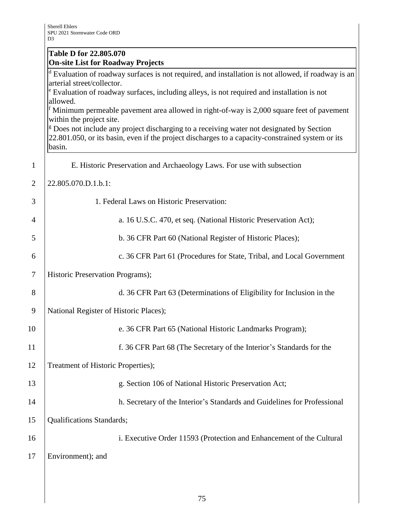|                | <b>Table D for 22.805.070</b><br><b>On-site List for Roadway Projects</b>                                                                                                                                                                 |  |  |
|----------------|-------------------------------------------------------------------------------------------------------------------------------------------------------------------------------------------------------------------------------------------|--|--|
|                | Evaluation of roadway surfaces is not required, and installation is not allowed, if roadway is an<br>arterial street/collector.<br><sup>e</sup> Evaluation of roadway surfaces, including alleys, is not required and installation is not |  |  |
|                | allowed.<br>Minimum permeable pavement area allowed in right-of-way is 2,000 square feet of pavement<br>within the project site.<br><sup>g</sup> Does not include any project discharging to a receiving water not designated by Section  |  |  |
|                | 22.801.050, or its basin, even if the project discharges to a capacity-constrained system or its<br>basin.                                                                                                                                |  |  |
| $\mathbf{1}$   | E. Historic Preservation and Archaeology Laws. For use with subsection                                                                                                                                                                    |  |  |
| 2              | 22.805.070.D.1.b.1:                                                                                                                                                                                                                       |  |  |
| 3              | 1. Federal Laws on Historic Preservation:                                                                                                                                                                                                 |  |  |
| $\overline{4}$ | a. 16 U.S.C. 470, et seq. (National Historic Preservation Act);                                                                                                                                                                           |  |  |
| 5              | b. 36 CFR Part 60 (National Register of Historic Places);                                                                                                                                                                                 |  |  |
| 6              | c. 36 CFR Part 61 (Procedures for State, Tribal, and Local Government                                                                                                                                                                     |  |  |
| 7              | Historic Preservation Programs);                                                                                                                                                                                                          |  |  |
| 8              | d. 36 CFR Part 63 (Determinations of Eligibility for Inclusion in the                                                                                                                                                                     |  |  |
| 9              | National Register of Historic Places);                                                                                                                                                                                                    |  |  |
| 10             | e. 36 CFR Part 65 (National Historic Landmarks Program);                                                                                                                                                                                  |  |  |
| 11             | f. 36 CFR Part 68 (The Secretary of the Interior's Standards for the                                                                                                                                                                      |  |  |
| 12             | Treatment of Historic Properties);                                                                                                                                                                                                        |  |  |
| 13             | g. Section 106 of National Historic Preservation Act;                                                                                                                                                                                     |  |  |
| 14             | h. Secretary of the Interior's Standards and Guidelines for Professional                                                                                                                                                                  |  |  |
| 15             | Qualifications Standards;                                                                                                                                                                                                                 |  |  |
| 16             | i. Executive Order 11593 (Protection and Enhancement of the Cultural                                                                                                                                                                      |  |  |
| 17             | Environment); and                                                                                                                                                                                                                         |  |  |
|                |                                                                                                                                                                                                                                           |  |  |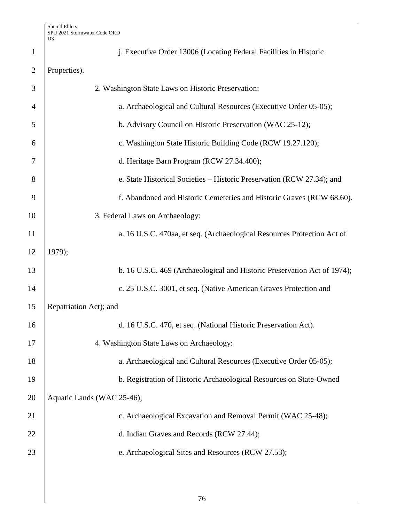| $\mathbf{1}$   | j. Executive Order 13006 (Locating Federal Facilities in Historic        |
|----------------|--------------------------------------------------------------------------|
| $\overline{2}$ | Properties).                                                             |
| 3              | 2. Washington State Laws on Historic Preservation:                       |
| 4              | a. Archaeological and Cultural Resources (Executive Order 05-05);        |
| 5              | b. Advisory Council on Historic Preservation (WAC 25-12);                |
| 6              | c. Washington State Historic Building Code (RCW 19.27.120);              |
| 7              | d. Heritage Barn Program (RCW 27.34.400);                                |
| 8              | e. State Historical Societies – Historic Preservation (RCW 27.34); and   |
| 9              | f. Abandoned and Historic Cemeteries and Historic Graves (RCW 68.60).    |
| 10             | 3. Federal Laws on Archaeology:                                          |
| 11             | a. 16 U.S.C. 470aa, et seq. (Archaeological Resources Protection Act of  |
| 12             | 1979);                                                                   |
| 13             | b. 16 U.S.C. 469 (Archaeological and Historic Preservation Act of 1974); |
| 14             | c. 25 U.S.C. 3001, et seq. (Native American Graves Protection and        |
| 15             | Repatriation Act); and                                                   |
| 16             | d. 16 U.S.C. 470, et seq. (National Historic Preservation Act).          |
| 17             | 4. Washington State Laws on Archaeology:                                 |
| 18             | a. Archaeological and Cultural Resources (Executive Order 05-05);        |
| 19             | b. Registration of Historic Archaeological Resources on State-Owned      |
| 20             | Aquatic Lands (WAC 25-46);                                               |
| 21             | c. Archaeological Excavation and Removal Permit (WAC 25-48);             |
| 22             | d. Indian Graves and Records (RCW 27.44);                                |
| 23             | e. Archaeological Sites and Resources (RCW 27.53);                       |
|                |                                                                          |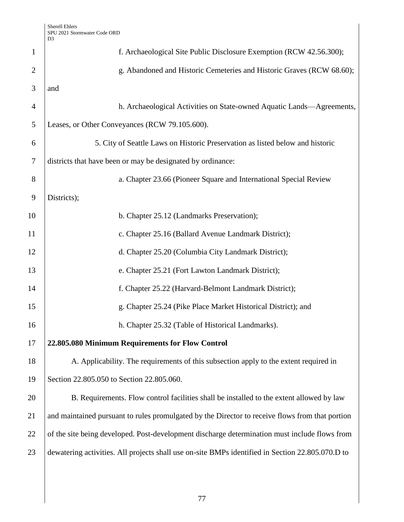|                | ້                                                                                                |
|----------------|--------------------------------------------------------------------------------------------------|
| $\mathbf{1}$   | f. Archaeological Site Public Disclosure Exemption (RCW 42.56.300);                              |
| $\overline{2}$ | g. Abandoned and Historic Cemeteries and Historic Graves (RCW 68.60);                            |
| 3              | and                                                                                              |
| $\overline{4}$ | h. Archaeological Activities on State-owned Aquatic Lands—Agreements,                            |
| 5              | Leases, or Other Conveyances (RCW 79.105.600).                                                   |
| 6              | 5. City of Seattle Laws on Historic Preservation as listed below and historic                    |
| 7              | districts that have been or may be designated by ordinance:                                      |
| 8              | a. Chapter 23.66 (Pioneer Square and International Special Review                                |
| 9              | Districts);                                                                                      |
| 10             | b. Chapter 25.12 (Landmarks Preservation);                                                       |
| 11             | c. Chapter 25.16 (Ballard Avenue Landmark District);                                             |
| 12             | d. Chapter 25.20 (Columbia City Landmark District);                                              |
| 13             | e. Chapter 25.21 (Fort Lawton Landmark District);                                                |
| 14             | f. Chapter 25.22 (Harvard-Belmont Landmark District);                                            |
| 15             | g. Chapter 25.24 (Pike Place Market Historical District); and                                    |
| 16             | h. Chapter 25.32 (Table of Historical Landmarks).                                                |
| 17             | 22.805.080 Minimum Requirements for Flow Control                                                 |
| 18             | A. Applicability. The requirements of this subsection apply to the extent required in            |
| 19             | Section 22.805.050 to Section 22.805.060.                                                        |
| 20             | B. Requirements. Flow control facilities shall be installed to the extent allowed by law         |
| 21             | and maintained pursuant to rules promulgated by the Director to receive flows from that portion  |
| 22             | of the site being developed. Post-development discharge determination must include flows from    |
| 23             | dewatering activities. All projects shall use on-site BMPs identified in Section 22.805.070.D to |
|                |                                                                                                  |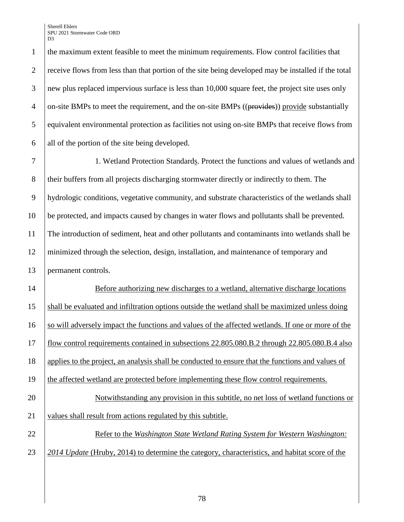Sherell Ehlers SPU 2021 Stormwater Code ORD D<sub>3</sub>

 the maximum extent feasible to meet the minimum requirements. Flow control facilities that 2 receive flows from less than that portion of the site being developed may be installed if the total new plus replaced impervious surface is less than 10,000 square feet, the project site uses only  $\frac{4}{2}$  on-site BMPs to meet the requirement, and the on-site BMPs ((provides)) provide substantially equivalent environmental protection as facilities not using on-site BMPs that receive flows from all of the portion of the site being developed.

 1. Wetland Protection Standards. Protect the functions and values of wetlands and 8 their buffers from all projects discharging stormwater directly or indirectly to them. The hydrologic conditions, vegetative community, and substrate characteristics of the wetlands shall be protected, and impacts caused by changes in water flows and pollutants shall be prevented. The introduction of sediment, heat and other pollutants and contaminants into wetlands shall be minimized through the selection, design, installation, and maintenance of temporary and permanent controls.

 Before authorizing new discharges to a wetland, alternative discharge locations shall be evaluated and infiltration options outside the wetland shall be maximized unless doing 16 so will adversely impact the functions and values of the affected wetlands. If one or more of the flow control requirements contained in subsections 22.805.080.B.2 through 22.805.080.B.4 also applies to the project, an analysis shall be conducted to ensure that the functions and values of 19 the affected wetland are protected before implementing these flow control requirements. Notwithstanding any provision in this subtitle, no net loss of wetland functions or 21 values shall result from actions regulated by this subtitle. Refer to the *Washington State Wetland Rating System for Western Washington: 2014 Update* (Hruby, 2014) to determine the category, characteristics, and habitat score of the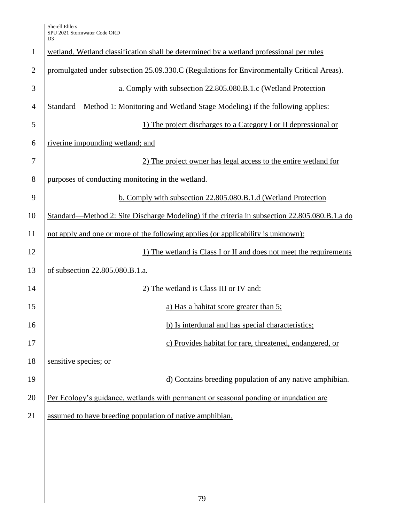| $\mathbf{1}$   | wetland. Wetland classification shall be determined by a wetland professional per rules       |
|----------------|-----------------------------------------------------------------------------------------------|
| $\overline{2}$ | promulgated under subsection 25.09.330.C (Regulations for Environmentally Critical Areas).    |
| 3              | a. Comply with subsection 22.805.080.B.1.c (Wetland Protection                                |
| $\overline{4}$ | Standard—Method 1: Monitoring and Wetland Stage Modeling) if the following applies:           |
| 5              | 1) The project discharges to a Category I or II depressional or                               |
| 6              | riverine impounding wetland; and                                                              |
| 7              | 2) The project owner has legal access to the entire wetland for                               |
| 8              | purposes of conducting monitoring in the wetland.                                             |
| 9              | b. Comply with subsection 22.805.080.B.1.d (Wetland Protection                                |
| 10             | Standard—Method 2: Site Discharge Modeling) if the criteria in subsection 22.805.080.B.1.a do |
| 11             | not apply and one or more of the following applies (or applicability is unknown):             |
| 12             | 1) The wetland is Class I or II and does not meet the requirements                            |
| 13             | of subsection 22.805.080.B.1.a.                                                               |
| 14             | 2) The wetland is Class III or IV and:                                                        |
| 15             | a) Has a habitat score greater than 5;                                                        |
| 16             | b) Is interdunal and has special characteristics;                                             |
| 17             | c) Provides habitat for rare, threatened, endangered, or                                      |
| 18             | sensitive species; or                                                                         |
| 19             | d) Contains breeding population of any native amphibian.                                      |
| 20             | Per Ecology's guidance, wetlands with permanent or seasonal ponding or inundation are         |
| 21             | assumed to have breeding population of native amphibian.                                      |
|                |                                                                                               |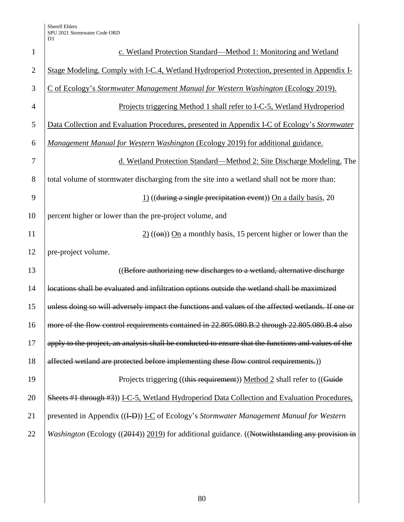| $\mathbf{1}$   | c. Wetland Protection Standard—Method 1: Monitoring and Wetland                                     |
|----------------|-----------------------------------------------------------------------------------------------------|
| $\overline{2}$ | Stage Modeling. Comply with I-C.4, Wetland Hydroperiod Protection, presented in Appendix I-         |
| 3              | C of Ecology's Stormwater Management Manual for Western Washington (Ecology 2019).                  |
| $\overline{4}$ | Projects triggering Method 1 shall refer to I-C-5, Wetland Hydroperiod                              |
| 5              | Data Collection and Evaluation Procedures, presented in Appendix I-C of Ecology's Stormwater        |
| 6              | Management Manual for Western Washington (Ecology 2019) for additional guidance.                    |
| 7              | d. Wetland Protection Standard—Method 2: Site Discharge Modeling. The                               |
| 8              | total volume of stormwater discharging from the site into a wetland shall not be more than:         |
| 9              | $\frac{1}{2}$ ((during a single precipitation event)) On a daily basis, 20                          |
| 10             | percent higher or lower than the pre-project volume, and                                            |
| 11             | $\frac{2}{2}$ (( $\Theta$ m)) On a monthly basis, 15 percent higher or lower than the               |
| 12             | pre-project volume.                                                                                 |
| 13             | ((Before authorizing new discharges to a wetland, alternative discharge                             |
| 14             | locations shall be evaluated and infiltration options outside the wetland shall be maximized        |
| 15             | unless doing so will adversely impact the functions and values of the affected wetlands. If one or  |
| 16             | more of the flow control requirements contained in 22.805.080.B.2 through 22.805.080.B.4 also       |
| 17             | apply to the project, an analysis shall be conducted to ensure that the functions and values of the |
| 18             | affected wetland are protected before implementing these flow control requirements.))               |
| 19             | Projects triggering ((this requirement)) Method 2 shall refer to ((Guide                            |
| 20             | Sheets #1 through #3)) I-C-5, Wetland Hydroperiod Data Collection and Evaluation Procedures,        |
| 21             | presented in Appendix ((I-D)) I-C of Ecology's Stormwater Management Manual for Western             |
| 22             | Washington (Ecology ((2014)) 2019) for additional guidance. ((Notwithstanding any provision in      |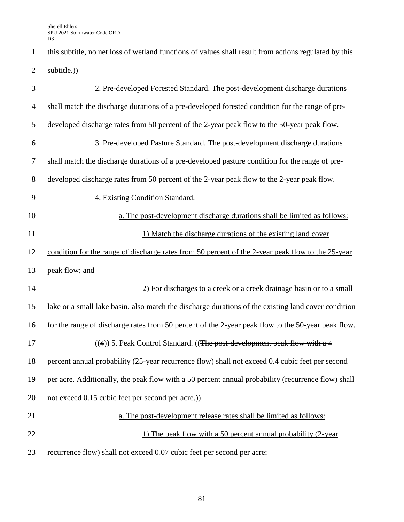| $\mathbf{1}$   | this subtitle, no net loss of wetland functions of values shall result from actions regulated by this |
|----------------|-------------------------------------------------------------------------------------------------------|
| $\overline{2}$ | subtitle.)                                                                                            |
| 3              | 2. Pre-developed Forested Standard. The post-development discharge durations                          |
| $\overline{4}$ | shall match the discharge durations of a pre-developed forested condition for the range of pre-       |
| 5              | developed discharge rates from 50 percent of the 2-year peak flow to the 50-year peak flow.           |
| 6              | 3. Pre-developed Pasture Standard. The post-development discharge durations                           |
| $\overline{7}$ | shall match the discharge durations of a pre-developed pasture condition for the range of pre-        |
| 8              | developed discharge rates from 50 percent of the 2-year peak flow to the 2-year peak flow.            |
| 9              | 4. Existing Condition Standard.                                                                       |
| 10             | a. The post-development discharge durations shall be limited as follows:                              |
| 11             | 1) Match the discharge durations of the existing land cover                                           |
| 12             | condition for the range of discharge rates from 50 percent of the 2-year peak flow to the 25-year     |
| 13             | peak flow; and                                                                                        |
| 14             | 2) For discharges to a creek or a creek drainage basin or to a small                                  |
| 15             | lake or a small lake basin, also match the discharge durations of the existing land cover condition   |
| 16             | for the range of discharge rates from 50 percent of the 2-year peak flow to the 50-year peak flow.    |
| 17             | $((4))$ 5. Peak Control Standard. ((The post-development peak flow with a 4                           |
| 18             | percent annual probability (25-year recurrence flow) shall not exceed 0.4 cubic feet per second       |
| 19             | per acre. Additionally, the peak flow with a 50 percent annual probability (recurrence flow) shall    |
| 20             | not exceed 0.15 cubic feet per second per acre.)                                                      |
| 21             | a. The post-development release rates shall be limited as follows:                                    |
| 22             | 1) The peak flow with a 50 percent annual probability (2-year)                                        |
| 23             | recurrence flow) shall not exceed 0.07 cubic feet per second per acre;                                |
|                |                                                                                                       |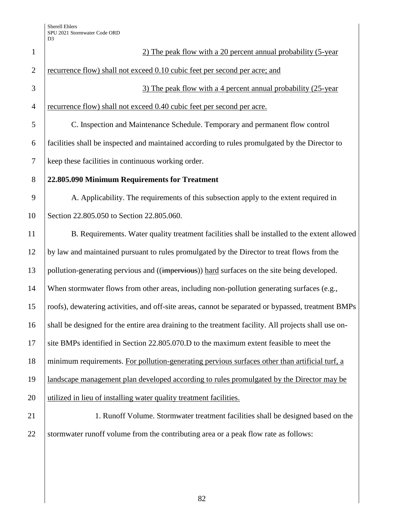| $\mathbf{1}$   | 2) The peak flow with a 20 percent annual probability (5-year                                        |
|----------------|------------------------------------------------------------------------------------------------------|
| $\overline{2}$ | recurrence flow) shall not exceed 0.10 cubic feet per second per acre; and                           |
| 3              | 3) The peak flow with a 4 percent annual probability (25-year)                                       |
| $\overline{4}$ | recurrence flow) shall not exceed 0.40 cubic feet per second per acre.                               |
| 5              | C. Inspection and Maintenance Schedule. Temporary and permanent flow control                         |
| 6              | facilities shall be inspected and maintained according to rules promulgated by the Director to       |
| $\tau$         | keep these facilities in continuous working order.                                                   |
| 8              | 22.805.090 Minimum Requirements for Treatment                                                        |
| 9              | A. Applicability. The requirements of this subsection apply to the extent required in                |
| 10             | Section 22.805.050 to Section 22.805.060.                                                            |
| 11             | B. Requirements. Water quality treatment facilities shall be installed to the extent allowed         |
| 12             | by law and maintained pursuant to rules promulgated by the Director to treat flows from the          |
| 13             | pollution-generating pervious and ((impervious)) hard surfaces on the site being developed.          |
| 14             | When stormwater flows from other areas, including non-pollution generating surfaces (e.g.,           |
| 15             | roofs), dewatering activities, and off-site areas, cannot be separated or bypassed, treatment BMPs   |
| 16             | shall be designed for the entire area draining to the treatment facility. All projects shall use on- |
| 17             | site BMPs identified in Section 22.805.070.D to the maximum extent feasible to meet the              |
| 18             | minimum requirements. For pollution-generating pervious surfaces other than artificial turf, a       |
| 19             | landscape management plan developed according to rules promulgated by the Director may be            |
| 20             | utilized in lieu of installing water quality treatment facilities.                                   |
| 21             | 1. Runoff Volume. Stormwater treatment facilities shall be designed based on the                     |
| 22             | stormwater runoff volume from the contributing area or a peak flow rate as follows:                  |
|                |                                                                                                      |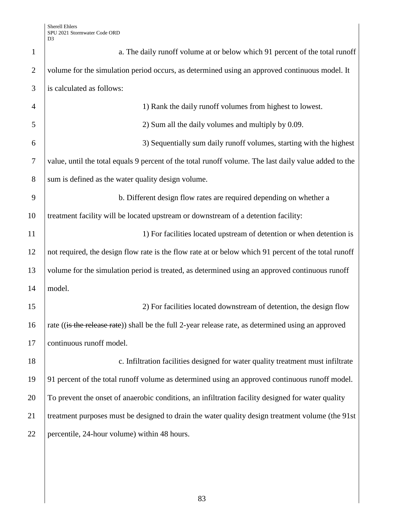| $\mathbf{1}$   | a. The daily runoff volume at or below which 91 percent of the total runoff                           |
|----------------|-------------------------------------------------------------------------------------------------------|
| $\overline{2}$ | volume for the simulation period occurs, as determined using an approved continuous model. It         |
| 3              | is calculated as follows:                                                                             |
| $\overline{4}$ | 1) Rank the daily runoff volumes from highest to lowest.                                              |
| 5              | 2) Sum all the daily volumes and multiply by 0.09.                                                    |
| 6              | 3) Sequentially sum daily runoff volumes, starting with the highest                                   |
| $\tau$         | value, until the total equals 9 percent of the total runoff volume. The last daily value added to the |
| 8              | sum is defined as the water quality design volume.                                                    |
| 9              | b. Different design flow rates are required depending on whether a                                    |
| 10             | treatment facility will be located upstream or downstream of a detention facility:                    |
| 11             | 1) For facilities located upstream of detention or when detention is                                  |
| 12             | not required, the design flow rate is the flow rate at or below which 91 percent of the total runoff  |
| 13             | volume for the simulation period is treated, as determined using an approved continuous runoff        |
| 14             | model.                                                                                                |
| 15             | 2) For facilities located downstream of detention, the design flow                                    |
| 16             | rate ((is the release rate)) shall be the full 2-year release rate, as determined using an approved   |
| 17             | continuous runoff model.                                                                              |
| 18             | c. Infiltration facilities designed for water quality treatment must infiltrate                       |
| 19             | 91 percent of the total runoff volume as determined using an approved continuous runoff model.        |
| 20             | To prevent the onset of anaerobic conditions, an infiltration facility designed for water quality     |
| 21             | treatment purposes must be designed to drain the water quality design treatment volume (the 91st      |
| 22             | percentile, 24-hour volume) within 48 hours.                                                          |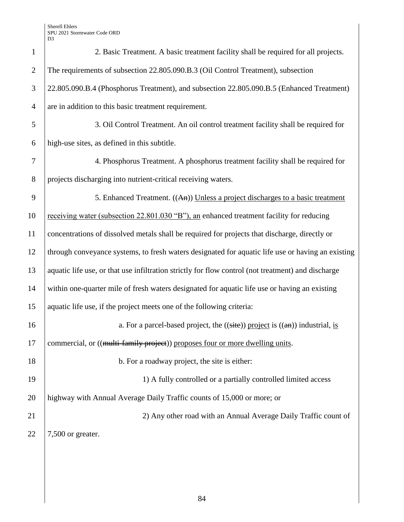Sherell Ehlers SPU 2021 Stormwater Code ORD D3

| $\mathbf{1}$   | 2. Basic Treatment. A basic treatment facility shall be required for all projects.                                   |
|----------------|----------------------------------------------------------------------------------------------------------------------|
| $\overline{2}$ | The requirements of subsection 22.805.090.B.3 (Oil Control Treatment), subsection                                    |
| 3              | 22.805.090.B.4 (Phosphorus Treatment), and subsection 22.805.090.B.5 (Enhanced Treatment)                            |
| $\overline{4}$ | are in addition to this basic treatment requirement.                                                                 |
| 5              | 3. Oil Control Treatment. An oil control treatment facility shall be required for                                    |
| 6              | high-use sites, as defined in this subtitle.                                                                         |
| 7              | 4. Phosphorus Treatment. A phosphorus treatment facility shall be required for                                       |
| 8              | projects discharging into nutrient-critical receiving waters.                                                        |
| 9              | 5. Enhanced Treatment. ((An)) Unless a project discharges to a basic treatment                                       |
| 10             | receiving water (subsection 22.801.030 "B"), an enhanced treatment facility for reducing                             |
| 11             | concentrations of dissolved metals shall be required for projects that discharge, directly or                        |
| 12             | through conveyance systems, to fresh waters designated for aquatic life use or having an existing                    |
| 13             | aquatic life use, or that use infiltration strictly for flow control (not treatment) and discharge                   |
| 14             | within one-quarter mile of fresh waters designated for aquatic life use or having an existing                        |
| 15             | aquatic life use, if the project meets one of the following criteria:                                                |
| 16             | a. For a parcel-based project, the $((\overline{\text{site}}))$ project is $((\overline{\text{an}}))$ industrial, is |
| 17             | commercial, or ((multi-family project)) proposes four or more dwelling units.                                        |
| 18             | b. For a roadway project, the site is either:                                                                        |
| 19             | 1) A fully controlled or a partially controlled limited access                                                       |
| 20             | highway with Annual Average Daily Traffic counts of 15,000 or more; or                                               |
| 21             | 2) Any other road with an Annual Average Daily Traffic count of                                                      |
| 22             | 7,500 or greater.                                                                                                    |
|                |                                                                                                                      |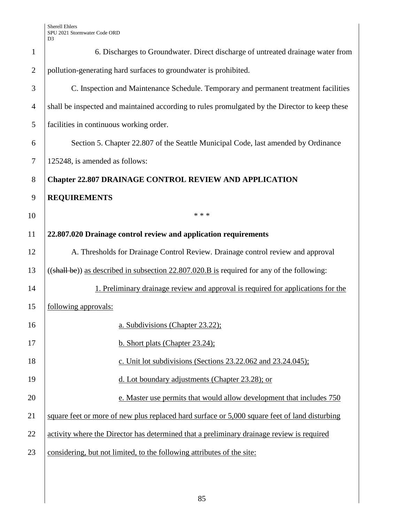| $\mathbf{1}$   | 6. Discharges to Groundwater. Direct discharge of untreated drainage water from                |
|----------------|------------------------------------------------------------------------------------------------|
| $\overline{2}$ | pollution-generating hard surfaces to groundwater is prohibited.                               |
| 3              | C. Inspection and Maintenance Schedule. Temporary and permanent treatment facilities           |
| $\overline{4}$ | shall be inspected and maintained according to rules promulgated by the Director to keep these |
| 5              | facilities in continuous working order.                                                        |
| 6              | Section 5. Chapter 22.807 of the Seattle Municipal Code, last amended by Ordinance             |
| $\tau$         | 125248, is amended as follows:                                                                 |
| 8              | <b>Chapter 22.807 DRAINAGE CONTROL REVIEW AND APPLICATION</b>                                  |
| 9              | <b>REQUIREMENTS</b>                                                                            |
| 10             | * * *                                                                                          |
| 11             | 22.807.020 Drainage control review and application requirements                                |
| 12             | A. Thresholds for Drainage Control Review. Drainage control review and approval                |
| 13             | $((shall be))$ as described in subsection 22.807.020.B is required for any of the following:   |
| 14             | 1. Preliminary drainage review and approval is required for applications for the               |
| 15             | following approvals:                                                                           |
| 16             | a. Subdivisions (Chapter 23.22);                                                               |
| 17             | b. Short plats (Chapter 23.24);                                                                |
| 18             | c. Unit lot subdivisions (Sections $23.22.062$ and $23.24.045$ );                              |
| 19             | d. Lot boundary adjustments (Chapter 23.28); or                                                |
| 20             | e. Master use permits that would allow development that includes 750                           |
| 21             | square feet or more of new plus replaced hard surface or 5,000 square feet of land disturbing  |
| 22             | activity where the Director has determined that a preliminary drainage review is required      |
| 23             | considering, but not limited, to the following attributes of the site:                         |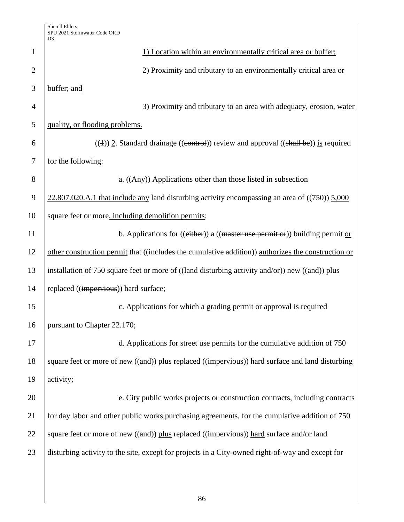|                | D <sub>3</sub>                                                                                      |  |  |  |
|----------------|-----------------------------------------------------------------------------------------------------|--|--|--|
| 1              | 1) Location within an environmentally critical area or buffer;                                      |  |  |  |
| $\overline{2}$ | 2) Proximity and tributary to an environmentally critical area or                                   |  |  |  |
| 3              | buffer; and                                                                                         |  |  |  |
| 4              | 3) Proximity and tributary to an area with adequacy, erosion, water                                 |  |  |  |
| 5              | quality, or flooding problems.                                                                      |  |  |  |
| 6              | $((4))$ 2. Standard drainage ((control)) review and approval ((shall be)) is required               |  |  |  |
| 7              | for the following:                                                                                  |  |  |  |
| 8              | a. ((Any)) Applications other than those listed in subsection                                       |  |  |  |
| 9              | $22.807.020.A.1$ that include any land disturbing activity encompassing an area of $((750))$ 5,000  |  |  |  |
| 10             | square feet or more, including demolition permits;                                                  |  |  |  |
| 11             | b. Applications for $((\text{either}))$ a $((\text{master use permit or}))$ building permit or      |  |  |  |
| 12             | other construction permit that ((includes the cumulative addition)) authorizes the construction or  |  |  |  |
| 13             | installation of 750 square feet or more of $((land$ disturbing activity and/or)) new $((and))$ plus |  |  |  |
| 14             | replaced ((impervious)) hard surface;                                                               |  |  |  |
| 15             | c. Applications for which a grading permit or approval is required                                  |  |  |  |
| 16             | pursuant to Chapter 22.170;                                                                         |  |  |  |
| 17             | d. Applications for street use permits for the cumulative addition of 750                           |  |  |  |
| 18             | square feet or more of new ((and)) plus replaced ((impervious)) hard surface and land disturbing    |  |  |  |
| 19             | activity;                                                                                           |  |  |  |
| 20             | e. City public works projects or construction contracts, including contracts                        |  |  |  |
| 21             | for day labor and other public works purchasing agreements, for the cumulative addition of 750      |  |  |  |
| 22             | square feet or more of new ((and)) plus replaced ((impervious)) hard surface and/or land            |  |  |  |
| 23             | disturbing activity to the site, except for projects in a City-owned right-of-way and except for    |  |  |  |
|                |                                                                                                     |  |  |  |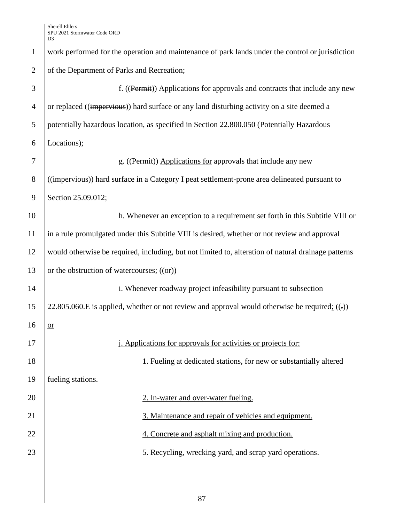| $\mathbf{1}$   | work performed for the operation and maintenance of park lands under the control or jurisdiction       |  |  |
|----------------|--------------------------------------------------------------------------------------------------------|--|--|
| $\overline{2}$ | of the Department of Parks and Recreation;                                                             |  |  |
| 3              | f. ((Permit)) Applications for approvals and contracts that include any new                            |  |  |
| $\overline{4}$ | or replaced ((impervious)) hard surface or any land disturbing activity on a site deemed a             |  |  |
| 5              | potentially hazardous location, as specified in Section 22.800.050 (Potentially Hazardous              |  |  |
| 6              | Locations);                                                                                            |  |  |
| 7              | g. ((Permit)) Applications for approvals that include any new                                          |  |  |
| $8\,$          | (( <i>impervious</i> )) hard surface in a Category I peat settlement-prone area delineated pursuant to |  |  |
| 9              | Section 25.09.012;                                                                                     |  |  |
| 10             | h. Whenever an exception to a requirement set forth in this Subtitle VIII or                           |  |  |
| 11             | in a rule promulgated under this Subtitle VIII is desired, whether or not review and approval          |  |  |
| 12             | would otherwise be required, including, but not limited to, alteration of natural drainage patterns    |  |  |
| 13             | or the obstruction of watercourses; $((\theta \cdot \mathbf{r}))$                                      |  |  |
| 14             | i. Whenever roadway project infeasibility pursuant to subsection                                       |  |  |
| 15             | 22.805.060.E is applied, whether or not review and approval would otherwise be required; $((.)$        |  |  |
| 16             | $or$                                                                                                   |  |  |
| 17             | <i>i.</i> Applications for approvals for activities or projects for:                                   |  |  |
| 18             | 1. Fueling at dedicated stations, for new or substantially altered                                     |  |  |
| 19             | fueling stations.                                                                                      |  |  |
| 20             | 2. In-water and over-water fueling.                                                                    |  |  |
| 21             | 3. Maintenance and repair of vehicles and equipment.                                                   |  |  |
| 22             | 4. Concrete and asphalt mixing and production.                                                         |  |  |
| 23             | 5. Recycling, wrecking yard, and scrap yard operations.                                                |  |  |
|                |                                                                                                        |  |  |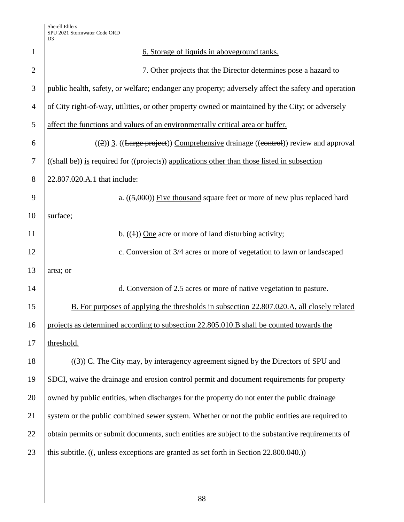| $\mathbf{1}$   | 6. Storage of liquids in aboveground tanks.                                                         |  |  |
|----------------|-----------------------------------------------------------------------------------------------------|--|--|
| $\overline{2}$ | 7. Other projects that the Director determines pose a hazard to                                     |  |  |
| 3              | public health, safety, or welfare; endanger any property; adversely affect the safety and operation |  |  |
| $\overline{4}$ | of City right-of-way, utilities, or other property owned or maintained by the City; or adversely    |  |  |
| 5              | affect the functions and values of an environmentally critical area or buffer.                      |  |  |
| 6              | $((2))$ 3. ((Large project)) Comprehensive drainage ((control)) review and approval                 |  |  |
| 7              | ((shall be)) is required for ((projects)) applications other than those listed in subsection        |  |  |
| 8              | 22.807.020.A.1 that include:                                                                        |  |  |
| 9              | a. $((5,000))$ Five thousand square feet or more of new plus replaced hard                          |  |  |
| 10             | surface;                                                                                            |  |  |
| 11             | b. $((4))$ One acre or more of land disturbing activity;                                            |  |  |
| 12             | c. Conversion of 3/4 acres or more of vegetation to lawn or landscaped                              |  |  |
| 13             | area; or                                                                                            |  |  |
| 14             | d. Conversion of 2.5 acres or more of native vegetation to pasture.                                 |  |  |
| 15             | B. For purposes of applying the thresholds in subsection 22.807.020.A, all closely related          |  |  |
| 16             | projects as determined according to subsection 22.805.010.B shall be counted towards the            |  |  |
| 17             | threshold.                                                                                          |  |  |
| 18             | $((3))$ C. The City may, by interagency agreement signed by the Directors of SPU and                |  |  |
| 19             | SDCI, waive the drainage and erosion control permit and document requirements for property          |  |  |
| 20             | owned by public entities, when discharges for the property do not enter the public drainage         |  |  |
| 21             | system or the public combined sewer system. Whether or not the public entities are required to      |  |  |
| 22             | obtain permits or submit documents, such entities are subject to the substantive requirements of    |  |  |
| 23             | this subtitle. (( <del>, unless exceptions are granted as set forth in Section 22.800.040.</del> )) |  |  |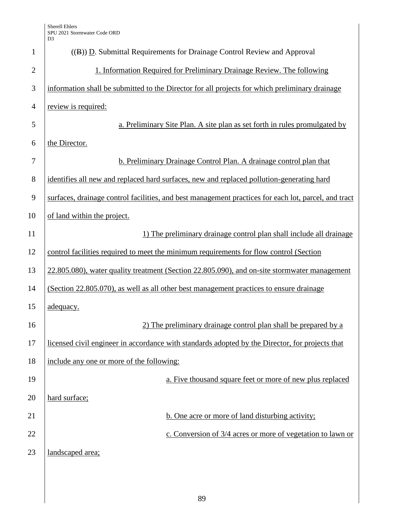| $\mathbf{1}$   | $((B))$ D. Submittal Requirements for Drainage Control Review and Approval                           |
|----------------|------------------------------------------------------------------------------------------------------|
| $\overline{2}$ | 1. Information Required for Preliminary Drainage Review. The following                               |
| 3              | information shall be submitted to the Director for all projects for which preliminary drainage       |
| $\overline{4}$ | review is required:                                                                                  |
| 5              | a. Preliminary Site Plan. A site plan as set forth in rules promulgated by                           |
| 6              | the Director.                                                                                        |
| 7              | b. Preliminary Drainage Control Plan. A drainage control plan that                                   |
| 8              | identifies all new and replaced hard surfaces, new and replaced pollution-generating hard            |
| 9              | surfaces, drainage control facilities, and best management practices for each lot, parcel, and tract |
| 10             | of land within the project.                                                                          |
| 11             | 1) The preliminary drainage control plan shall include all drainage                                  |
| 12             | control facilities required to meet the minimum requirements for flow control (Section               |
| 13             | 22.805.080), water quality treatment (Section 22.805.090), and on-site stormwater management         |
| 14             | (Section 22.805.070), as well as all other best management practices to ensure drainage              |
| 15             | adequacy.                                                                                            |
| 16             | 2) The preliminary drainage control plan shall be prepared by a                                      |
| 17             | licensed civil engineer in accordance with standards adopted by the Director, for projects that      |
| 18             | include any one or more of the following:                                                            |
| 19             | a. Five thousand square feet or more of new plus replaced                                            |
| 20             | hard surface;                                                                                        |
| 21             | b. One acre or more of land disturbing activity;                                                     |
| 22             | c. Conversion of 3/4 acres or more of vegetation to lawn or                                          |
| 23             | landscaped area;                                                                                     |
|                |                                                                                                      |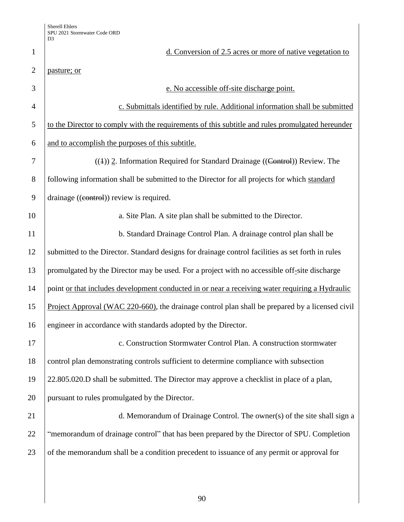| $\mathbf{1}$   | d. Conversion of 2.5 acres or more of native vegetation to                                        |
|----------------|---------------------------------------------------------------------------------------------------|
| $\overline{2}$ | pasture; or                                                                                       |
| 3              | e. No accessible off-site discharge point.                                                        |
| $\overline{4}$ | c. Submittals identified by rule. Additional information shall be submitted                       |
| 5              | to the Director to comply with the requirements of this subtitle and rules promulgated hereunder  |
| 6              | and to accomplish the purposes of this subtitle.                                                  |
| 7              | $((4))$ 2. Information Required for Standard Drainage ((Control)) Review. The                     |
| 8              | following information shall be submitted to the Director for all projects for which standard      |
| 9              | drainage ((eontrol)) review is required.                                                          |
| 10             | a. Site Plan. A site plan shall be submitted to the Director.                                     |
| 11             | b. Standard Drainage Control Plan. A drainage control plan shall be                               |
| 12             | submitted to the Director. Standard designs for drainage control facilities as set forth in rules |
| 13             | promulgated by the Director may be used. For a project with no accessible off-site discharge      |
| 14             | point or that includes development conducted in or near a receiving water requiring a Hydraulic   |
| 15             | Project Approval (WAC 220-660), the drainage control plan shall be prepared by a licensed civil   |
| 16             | engineer in accordance with standards adopted by the Director.                                    |
| 17             | c. Construction Stormwater Control Plan. A construction stormwater                                |
| 18             | control plan demonstrating controls sufficient to determine compliance with subsection            |
| 19             | 22.805.020.D shall be submitted. The Director may approve a checklist in place of a plan,         |
| 20             | pursuant to rules promulgated by the Director.                                                    |
| 21             | d. Memorandum of Drainage Control. The owner(s) of the site shall sign a                          |
| 22             | "memorandum of drainage control" that has been prepared by the Director of SPU. Completion        |
| 23             | of the memorandum shall be a condition precedent to issuance of any permit or approval for        |
|                |                                                                                                   |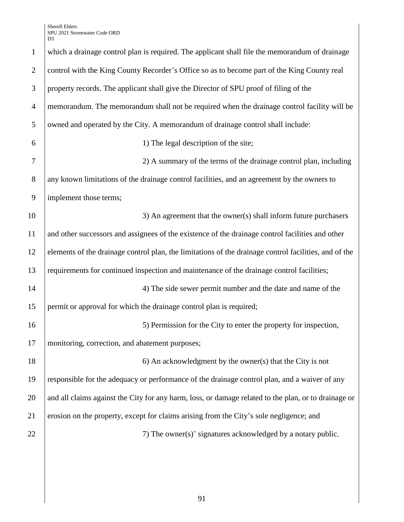Sherell Ehlers SPU 2021 Stormwater Code ORD D3

| $\mathbf{1}$   | which a drainage control plan is required. The applicant shall file the memorandum of drainage        |
|----------------|-------------------------------------------------------------------------------------------------------|
| $\overline{2}$ | control with the King County Recorder's Office so as to become part of the King County real           |
| 3              | property records. The applicant shall give the Director of SPU proof of filing of the                 |
| $\overline{4}$ | memorandum. The memorandum shall not be required when the drainage control facility will be           |
| 5              | owned and operated by the City. A memorandum of drainage control shall include:                       |
| 6              | 1) The legal description of the site;                                                                 |
| 7              | 2) A summary of the terms of the drainage control plan, including                                     |
| 8              | any known limitations of the drainage control facilities, and an agreement by the owners to           |
| 9              | implement those terms;                                                                                |
| 10             | 3) An agreement that the owner(s) shall inform future purchasers                                      |
| 11             | and other successors and assignees of the existence of the drainage control facilities and other      |
| 12             | elements of the drainage control plan, the limitations of the drainage control facilities, and of the |
| 13             | requirements for continued inspection and maintenance of the drainage control facilities;             |
| 14             | 4) The side sewer permit number and the date and name of the                                          |
| 15             | permit or approval for which the drainage control plan is required;                                   |
| 16             | 5) Permission for the City to enter the property for inspection,                                      |
| 17             | monitoring, correction, and abatement purposes;                                                       |
| 18             | 6) An acknowledgment by the owner(s) that the City is not                                             |
| 19             | responsible for the adequacy or performance of the drainage control plan, and a waiver of any         |
| 20             | and all claims against the City for any harm, loss, or damage related to the plan, or to drainage or  |
| 21             | erosion on the property, except for claims arising from the City's sole negligence; and               |
| 22             | 7) The owner(s)' signatures acknowledged by a notary public.                                          |
|                |                                                                                                       |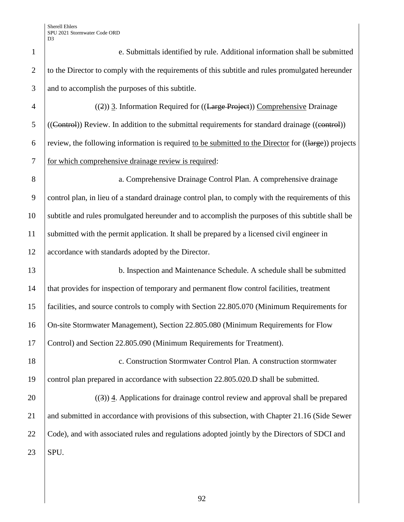Sherell Ehlers SPU 2021 Stormwater Code ORD D3

| $\mathbf{1}$   | e. Submittals identified by rule. Additional information shall be submitted                          |  |  |
|----------------|------------------------------------------------------------------------------------------------------|--|--|
| $\mathbf{2}$   | to the Director to comply with the requirements of this subtitle and rules promulgated hereunder     |  |  |
| 3              | and to accomplish the purposes of this subtitle.                                                     |  |  |
| $\overline{4}$ | ((2)) 3. Information Required for ((Large Project)) Comprehensive Drainage                           |  |  |
| 5              | ((Control)) Review. In addition to the submittal requirements for standard drainage ((control))      |  |  |
| 6              | review, the following information is required to be submitted to the Director for ((large)) projects |  |  |
| $\tau$         | for which comprehensive drainage review is required:                                                 |  |  |
| 8              | a. Comprehensive Drainage Control Plan. A comprehensive drainage                                     |  |  |
| 9              | control plan, in lieu of a standard drainage control plan, to comply with the requirements of this   |  |  |
| 10             | subtitle and rules promulgated hereunder and to accomplish the purposes of this subtitle shall be    |  |  |
| 11             | submitted with the permit application. It shall be prepared by a licensed civil engineer in          |  |  |
| 12             | accordance with standards adopted by the Director.                                                   |  |  |
| 13             | b. Inspection and Maintenance Schedule. A schedule shall be submitted                                |  |  |
| 14             | that provides for inspection of temporary and permanent flow control facilities, treatment           |  |  |
| 15             | facilities, and source controls to comply with Section 22.805.070 (Minimum Requirements for          |  |  |
| 16             | On-site Stormwater Management), Section 22.805.080 (Minimum Requirements for Flow                    |  |  |
| 17             | Control) and Section 22.805.090 (Minimum Requirements for Treatment).                                |  |  |
| 18             | c. Construction Stormwater Control Plan. A construction stormwater                                   |  |  |
| 19             | control plan prepared in accordance with subsection 22.805.020.D shall be submitted.                 |  |  |
| 20             | $((3))$ 4. Applications for drainage control review and approval shall be prepared                   |  |  |
| 21             | and submitted in accordance with provisions of this subsection, with Chapter 21.16 (Side Sewer       |  |  |
| 22             | Code), and with associated rules and regulations adopted jointly by the Directors of SDCI and        |  |  |
| 23             | SPU.                                                                                                 |  |  |
|                |                                                                                                      |  |  |

92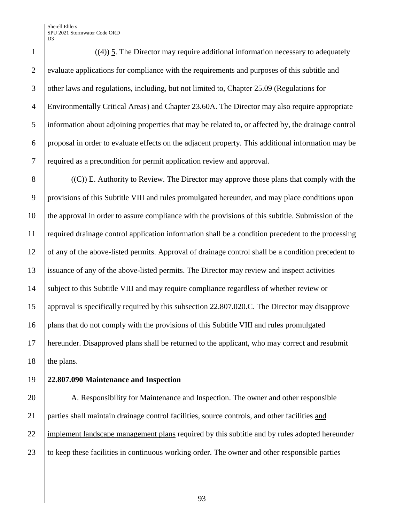Sherell Ehlers SPU 2021 Stormwater Code ORD D<sub>3</sub>

 ((4)) 5. The Director may require additional information necessary to adequately 2 evaluate applications for compliance with the requirements and purposes of this subtitle and 3 other laws and regulations, including, but not limited to, Chapter 25.09 (Regulations for Environmentally Critical Areas) and Chapter 23.60A. The Director may also require appropriate information about adjoining properties that may be related to, or affected by, the drainage control proposal in order to evaluate effects on the adjacent property. This additional information may be required as a precondition for permit application review and approval.

8 ((E)) E. Authority to Review. The Director may approve those plans that comply with the provisions of this Subtitle VIII and rules promulgated hereunder, and may place conditions upon the approval in order to assure compliance with the provisions of this subtitle. Submission of the required drainage control application information shall be a condition precedent to the processing of any of the above-listed permits. Approval of drainage control shall be a condition precedent to issuance of any of the above-listed permits. The Director may review and inspect activities subject to this Subtitle VIII and may require compliance regardless of whether review or approval is specifically required by this subsection 22.807.020.C. The Director may disapprove plans that do not comply with the provisions of this Subtitle VIII and rules promulgated hereunder. Disapproved plans shall be returned to the applicant, who may correct and resubmit 18 the plans.

## **22.807.090 Maintenance and Inspection**

20 A. Responsibility for Maintenance and Inspection. The owner and other responsible parties shall maintain drainage control facilities, source controls, and other facilities and 22 implement landscape management plans required by this subtitle and by rules adopted hereunder 23 to keep these facilities in continuous working order. The owner and other responsible parties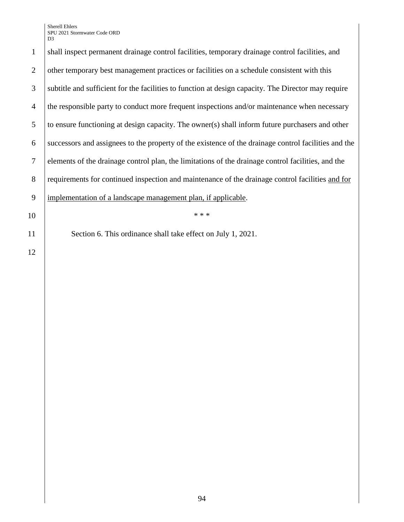Sherell Ehlers SPU 2021 Stormwater Code ORD D<sub>3</sub>

1 shall inspect permanent drainage control facilities, temporary drainage control facilities, and 2 other temporary best management practices or facilities on a schedule consistent with this 3 subtitle and sufficient for the facilities to function at design capacity. The Director may require 4 the responsible party to conduct more frequent inspections and/or maintenance when necessary  $\overline{5}$  to ensure functioning at design capacity. The owner(s) shall inform future purchasers and other 6 successors and assignees to the property of the existence of the drainage control facilities and the 7 elements of the drainage control plan, the limitations of the drainage control facilities, and the 8 requirements for continued inspection and maintenance of the drainage control facilities and for 9 | implementation of a landscape management plan, if applicable.  $10$  \*\*\*

11 Section 6. This ordinance shall take effect on July 1, 2021.

12